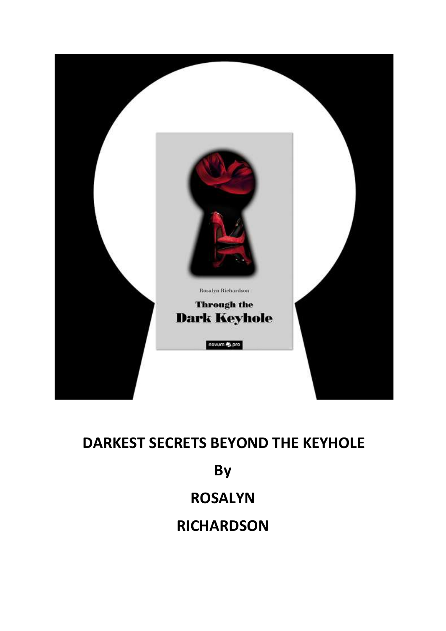

# **DARKEST SECRETS BEYOND THE KEYHOLE By ROSALYN RICHARDSON**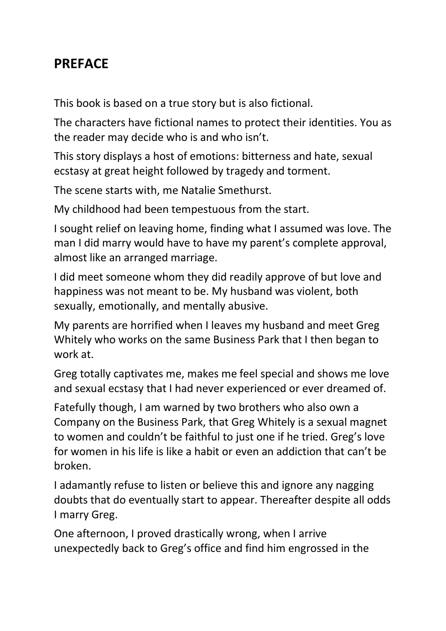#### **PREFACE**

This book is based on a true story but is also fictional.

The characters have fictional names to protect their identities. You as the reader may decide who is and who isn't.

This story displays a host of emotions: bitterness and hate, sexual ecstasy at great height followed by tragedy and torment.

The scene starts with, me Natalie Smethurst.

My childhood had been tempestuous from the start.

I sought relief on leaving home, finding what I assumed was love. The man I did marry would have to have my parent's complete approval, almost like an arranged marriage.

I did meet someone whom they did readily approve of but love and happiness was not meant to be. My husband was violent, both sexually, emotionally, and mentally abusive.

My parents are horrified when I leaves my husband and meet Greg Whitely who works on the same Business Park that I then began to work at.

Greg totally captivates me, makes me feel special and shows me love and sexual ecstasy that I had never experienced or ever dreamed of.

Fatefully though, I am warned by two brothers who also own a Company on the Business Park, that Greg Whitely is a sexual magnet to women and couldn't be faithful to just one if he tried. Greg's love for women in his life is like a habit or even an addiction that can't be broken.

I adamantly refuse to listen or believe this and ignore any nagging doubts that do eventually start to appear. Thereafter despite all odds I marry Greg.

One afternoon, I proved drastically wrong, when I arrive unexpectedly back to Greg's office and find him engrossed in the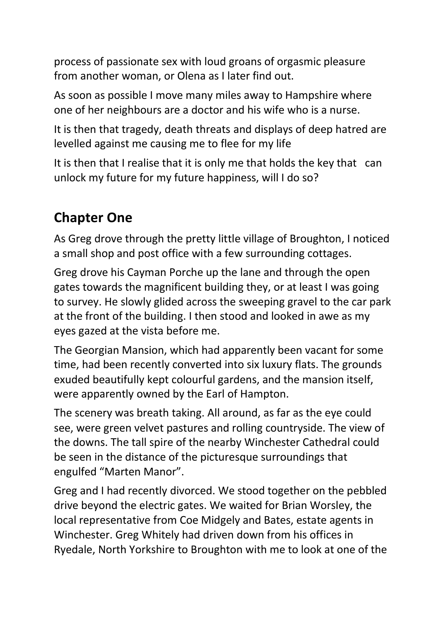process of passionate sex with loud groans of orgasmic pleasure from another woman, or Olena as I later find out.

As soon as possible I move many miles away to Hampshire where one of her neighbours are a doctor and his wife who is a nurse.

It is then that tragedy, death threats and displays of deep hatred are levelled against me causing me to flee for my life

It is then that I realise that it is only me that holds the key that can unlock my future for my future happiness, will I do so?

## **Chapter One**

As Greg drove through the pretty little village of Broughton, I noticed a small shop and post office with a few surrounding cottages.

Greg drove his Cayman Porche up the lane and through the open gates towards the magnificent building they, or at least I was going to survey. He slowly glided across the sweeping gravel to the car park at the front of the building. I then stood and looked in awe as my eyes gazed at the vista before me.

The Georgian Mansion, which had apparently been vacant for some time, had been recently converted into six luxury flats. The grounds exuded beautifully kept colourful gardens, and the mansion itself, were apparently owned by the Earl of Hampton.

The scenery was breath taking. All around, as far as the eye could see, were green velvet pastures and rolling countryside. The view of the downs. The tall spire of the nearby Winchester Cathedral could be seen in the distance of the picturesque surroundings that engulfed "Marten Manor".

Greg and I had recently divorced. We stood together on the pebbled drive beyond the electric gates. We waited for Brian Worsley, the local representative from Coe Midgely and Bates, estate agents in Winchester. Greg Whitely had driven down from his offices in Ryedale, North Yorkshire to Broughton with me to look at one of the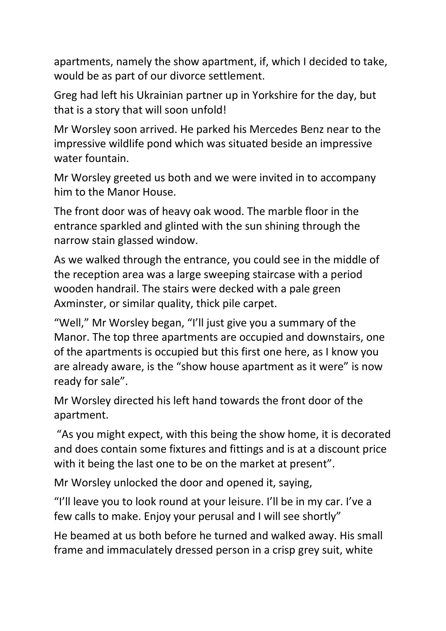apartments, namely the show apartment, if, which I decided to take, would be as part of our divorce settlement.

Greg had left his Ukrainian partner up in Yorkshire for the day, but that is a story that will soon unfold!

Mr Worsley soon arrived. He parked his Mercedes Benz near to the impressive wildlife pond which was situated beside an impressive water fountain.

Mr Worsley greeted us both and we were invited in to accompany him to the Manor House.

The front door was of heavy oak wood. The marble floor in the entrance sparkled and glinted with the sun shining through the narrow stain glassed window.

As we walked through the entrance, you could see in the middle of the reception area was a large sweeping staircase with a period wooden handrail. The stairs were decked with a pale green Axminster, or similar quality, thick pile carpet.

"Well," Mr Worsley began, "I'll just give you a summary of the Manor. The top three apartments are occupied and downstairs, one of the apartments is occupied but this first one here, as I know you are already aware, is the "show house apartment as it were" is now ready for sale".

Mr Worsley directed his left hand towards the front door of the apartment.

"As you might expect, with this being the show home, it is decorated and does contain some fixtures and fittings and is at a discount price with it being the last one to be on the market at present".

Mr Worsley unlocked the door and opened it, saying,

"I'll leave you to look round at your leisure. I'll be in my car. I've a few calls to make. Enjoy your perusal and I will see shortly"

He beamed at us both before he turned and walked away. His small frame and immaculately dressed person in a crisp grey suit, white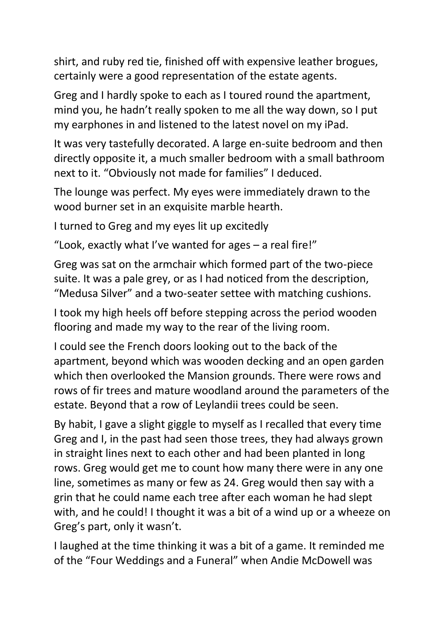shirt, and ruby red tie, finished off with expensive leather brogues, certainly were a good representation of the estate agents.

Greg and I hardly spoke to each as I toured round the apartment, mind you, he hadn't really spoken to me all the way down, so I put my earphones in and listened to the latest novel on my iPad.

It was very tastefully decorated. A large en-suite bedroom and then directly opposite it, a much smaller bedroom with a small bathroom next to it. "Obviously not made for families" I deduced.

The lounge was perfect. My eyes were immediately drawn to the wood burner set in an exquisite marble hearth.

I turned to Greg and my eyes lit up excitedly

"Look, exactly what I've wanted for ages – a real fire!"

Greg was sat on the armchair which formed part of the two-piece suite. It was a pale grey, or as I had noticed from the description, "Medusa Silver" and a two-seater settee with matching cushions.

I took my high heels off before stepping across the period wooden flooring and made my way to the rear of the living room.

I could see the French doors looking out to the back of the apartment, beyond which was wooden decking and an open garden which then overlooked the Mansion grounds. There were rows and rows of fir trees and mature woodland around the parameters of the estate. Beyond that a row of Leylandii trees could be seen.

By habit, I gave a slight giggle to myself as I recalled that every time Greg and I, in the past had seen those trees, they had always grown in straight lines next to each other and had been planted in long rows. Greg would get me to count how many there were in any one line, sometimes as many or few as 24. Greg would then say with a grin that he could name each tree after each woman he had slept with, and he could! I thought it was a bit of a wind up or a wheeze on Greg's part, only it wasn't.

I laughed at the time thinking it was a bit of a game. It reminded me of the "Four Weddings and a Funeral" when Andie McDowell was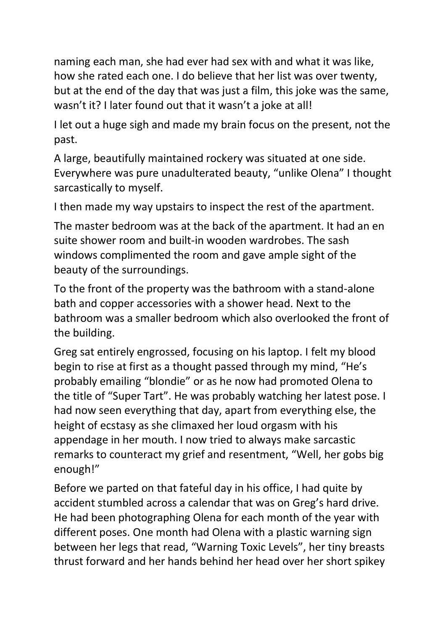naming each man, she had ever had sex with and what it was like, how she rated each one. I do believe that her list was over twenty, but at the end of the day that was just a film, this joke was the same, wasn't it? I later found out that it wasn't a joke at all!

I let out a huge sigh and made my brain focus on the present, not the past.

A large, beautifully maintained rockery was situated at one side. Everywhere was pure unadulterated beauty, "unlike Olena" I thought sarcastically to myself.

I then made my way upstairs to inspect the rest of the apartment.

The master bedroom was at the back of the apartment. It had an en suite shower room and built-in wooden wardrobes. The sash windows complimented the room and gave ample sight of the beauty of the surroundings.

To the front of the property was the bathroom with a stand-alone bath and copper accessories with a shower head. Next to the bathroom was a smaller bedroom which also overlooked the front of the building.

Greg sat entirely engrossed, focusing on his laptop. I felt my blood begin to rise at first as a thought passed through my mind, "He's probably emailing "blondie" or as he now had promoted Olena to the title of "Super Tart". He was probably watching her latest pose. I had now seen everything that day, apart from everything else, the height of ecstasy as she climaxed her loud orgasm with his appendage in her mouth. I now tried to always make sarcastic remarks to counteract my grief and resentment, "Well, her gobs big enough!"

Before we parted on that fateful day in his office, I had quite by accident stumbled across a calendar that was on Greg's hard drive. He had been photographing Olena for each month of the year with different poses. One month had Olena with a plastic warning sign between her legs that read, "Warning Toxic Levels", her tiny breasts thrust forward and her hands behind her head over her short spikey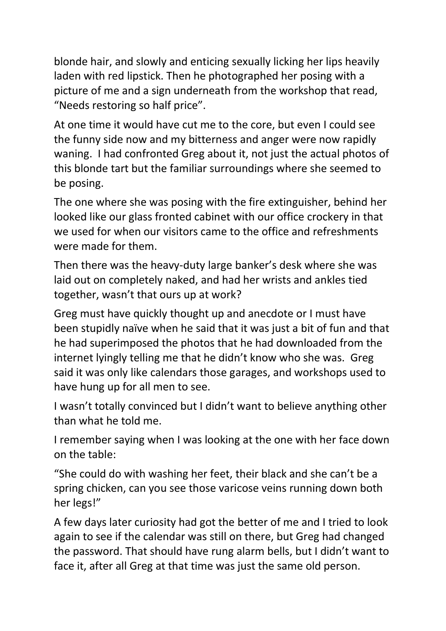blonde hair, and slowly and enticing sexually licking her lips heavily laden with red lipstick. Then he photographed her posing with a picture of me and a sign underneath from the workshop that read, "Needs restoring so half price".

At one time it would have cut me to the core, but even I could see the funny side now and my bitterness and anger were now rapidly waning. I had confronted Greg about it, not just the actual photos of this blonde tart but the familiar surroundings where she seemed to be posing.

The one where she was posing with the fire extinguisher, behind her looked like our glass fronted cabinet with our office crockery in that we used for when our visitors came to the office and refreshments were made for them.

Then there was the heavy-duty large banker's desk where she was laid out on completely naked, and had her wrists and ankles tied together, wasn't that ours up at work?

Greg must have quickly thought up and anecdote or I must have been stupidly naïve when he said that it was just a bit of fun and that he had superimposed the photos that he had downloaded from the internet lyingly telling me that he didn't know who she was. Greg said it was only like calendars those garages, and workshops used to have hung up for all men to see.

I wasn't totally convinced but I didn't want to believe anything other than what he told me.

I remember saying when I was looking at the one with her face down on the table:

"She could do with washing her feet, their black and she can't be a spring chicken, can you see those varicose veins running down both her legs!"

A few days later curiosity had got the better of me and I tried to look again to see if the calendar was still on there, but Greg had changed the password. That should have rung alarm bells, but I didn't want to face it, after all Greg at that time was just the same old person.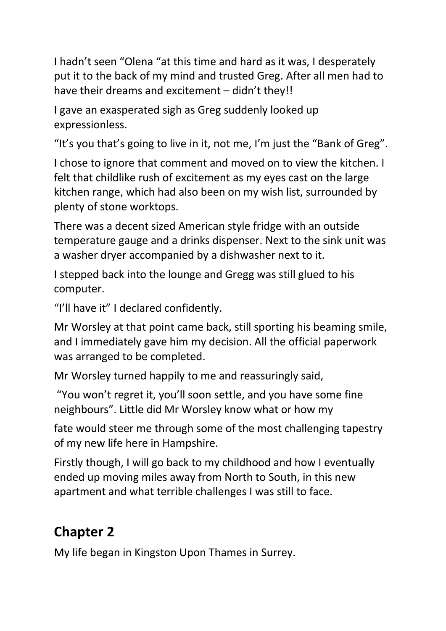I hadn't seen "Olena "at this time and hard as it was, I desperately put it to the back of my mind and trusted Greg. After all men had to have their dreams and excitement – didn't they!!

I gave an exasperated sigh as Greg suddenly looked up expressionless.

"It's you that's going to live in it, not me, I'm just the "Bank of Greg".

I chose to ignore that comment and moved on to view the kitchen. I felt that childlike rush of excitement as my eyes cast on the large kitchen range, which had also been on my wish list, surrounded by plenty of stone worktops.

There was a decent sized American style fridge with an outside temperature gauge and a drinks dispenser. Next to the sink unit was a washer dryer accompanied by a dishwasher next to it.

I stepped back into the lounge and Gregg was still glued to his computer.

"I'll have it" I declared confidently.

Mr Worsley at that point came back, still sporting his beaming smile, and I immediately gave him my decision. All the official paperwork was arranged to be completed.

Mr Worsley turned happily to me and reassuringly said,

"You won't regret it, you'll soon settle, and you have some fine neighbours". Little did Mr Worsley know what or how my

fate would steer me through some of the most challenging tapestry of my new life here in Hampshire.

Firstly though, I will go back to my childhood and how I eventually ended up moving miles away from North to South, in this new apartment and what terrible challenges I was still to face.

### **Chapter 2**

My life began in Kingston Upon Thames in Surrey.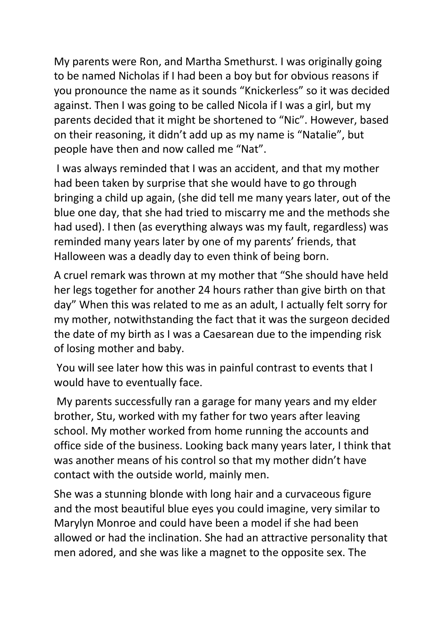My parents were Ron, and Martha Smethurst. I was originally going to be named Nicholas if I had been a boy but for obvious reasons if you pronounce the name as it sounds "Knickerless" so it was decided against. Then I was going to be called Nicola if I was a girl, but my parents decided that it might be shortened to "Nic". However, based on their reasoning, it didn't add up as my name is "Natalie", but people have then and now called me "Nat".

I was always reminded that I was an accident, and that my mother had been taken by surprise that she would have to go through bringing a child up again, (she did tell me many years later, out of the blue one day, that she had tried to miscarry me and the methods she had used). I then (as everything always was my fault, regardless) was reminded many years later by one of my parents' friends, that Halloween was a deadly day to even think of being born.

A cruel remark was thrown at my mother that "She should have held her legs together for another 24 hours rather than give birth on that day" When this was related to me as an adult, I actually felt sorry for my mother, notwithstanding the fact that it was the surgeon decided the date of my birth as I was a Caesarean due to the impending risk of losing mother and baby.

You will see later how this was in painful contrast to events that I would have to eventually face.

My parents successfully ran a garage for many years and my elder brother, Stu, worked with my father for two years after leaving school. My mother worked from home running the accounts and office side of the business. Looking back many years later, I think that was another means of his control so that my mother didn't have contact with the outside world, mainly men.

She was a stunning blonde with long hair and a curvaceous figure and the most beautiful blue eyes you could imagine, very similar to Marylyn Monroe and could have been a model if she had been allowed or had the inclination. She had an attractive personality that men adored, and she was like a magnet to the opposite sex. The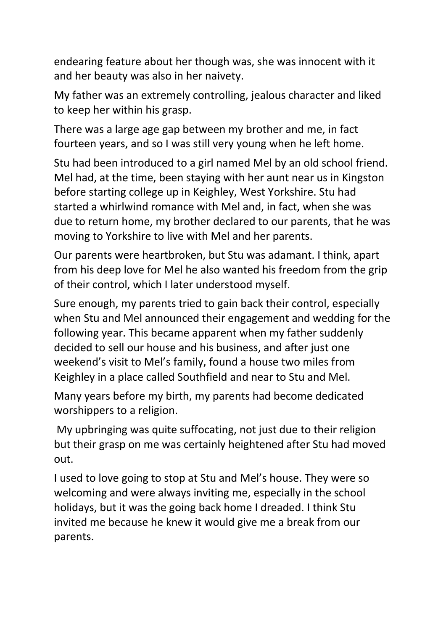endearing feature about her though was, she was innocent with it and her beauty was also in her naivety.

My father was an extremely controlling, jealous character and liked to keep her within his grasp.

There was a large age gap between my brother and me, in fact fourteen years, and so I was still very young when he left home.

Stu had been introduced to a girl named Mel by an old school friend. Mel had, at the time, been staying with her aunt near us in Kingston before starting college up in Keighley, West Yorkshire. Stu had started a whirlwind romance with Mel and, in fact, when she was due to return home, my brother declared to our parents, that he was moving to Yorkshire to live with Mel and her parents.

Our parents were heartbroken, but Stu was adamant. I think, apart from his deep love for Mel he also wanted his freedom from the grip of their control, which I later understood myself.

Sure enough, my parents tried to gain back their control, especially when Stu and Mel announced their engagement and wedding for the following year. This became apparent when my father suddenly decided to sell our house and his business, and after just one weekend's visit to Mel's family, found a house two miles from Keighley in a place called Southfield and near to Stu and Mel.

Many years before my birth, my parents had become dedicated worshippers to a religion.

My upbringing was quite suffocating, not just due to their religion but their grasp on me was certainly heightened after Stu had moved out.

I used to love going to stop at Stu and Mel's house. They were so welcoming and were always inviting me, especially in the school holidays, but it was the going back home I dreaded. I think Stu invited me because he knew it would give me a break from our parents.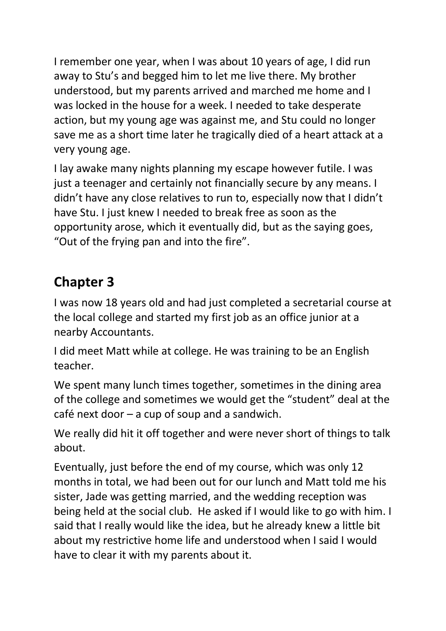I remember one year, when I was about 10 years of age, I did run away to Stu's and begged him to let me live there. My brother understood, but my parents arrived and marched me home and I was locked in the house for a week. I needed to take desperate action, but my young age was against me, and Stu could no longer save me as a short time later he tragically died of a heart attack at a very young age.

I lay awake many nights planning my escape however futile. I was just a teenager and certainly not financially secure by any means. I didn't have any close relatives to run to, especially now that I didn't have Stu. I just knew I needed to break free as soon as the opportunity arose, which it eventually did, but as the saying goes, "Out of the frying pan and into the fire".

## **Chapter 3**

I was now 18 years old and had just completed a secretarial course at the local college and started my first job as an office junior at a nearby Accountants.

I did meet Matt while at college. He was training to be an English teacher.

We spent many lunch times together, sometimes in the dining area of the college and sometimes we would get the "student" deal at the café next door – a cup of soup and a sandwich.

We really did hit it off together and were never short of things to talk about.

Eventually, just before the end of my course, which was only 12 months in total, we had been out for our lunch and Matt told me his sister, Jade was getting married, and the wedding reception was being held at the social club. He asked if I would like to go with him. I said that I really would like the idea, but he already knew a little bit about my restrictive home life and understood when I said I would have to clear it with my parents about it.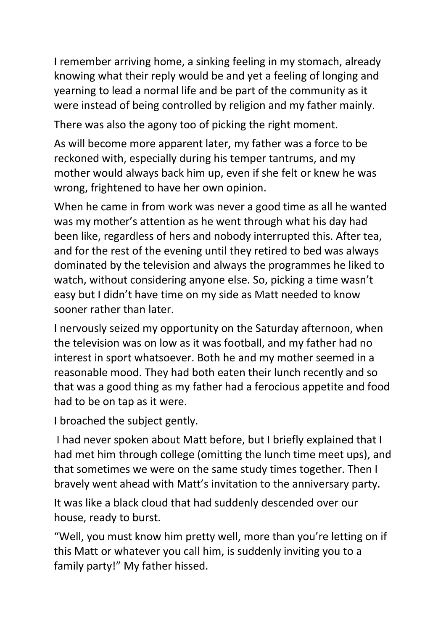I remember arriving home, a sinking feeling in my stomach, already knowing what their reply would be and yet a feeling of longing and yearning to lead a normal life and be part of the community as it were instead of being controlled by religion and my father mainly.

There was also the agony too of picking the right moment.

As will become more apparent later, my father was a force to be reckoned with, especially during his temper tantrums, and my mother would always back him up, even if she felt or knew he was wrong, frightened to have her own opinion.

When he came in from work was never a good time as all he wanted was my mother's attention as he went through what his day had been like, regardless of hers and nobody interrupted this. After tea, and for the rest of the evening until they retired to bed was always dominated by the television and always the programmes he liked to watch, without considering anyone else. So, picking a time wasn't easy but I didn't have time on my side as Matt needed to know sooner rather than later.

I nervously seized my opportunity on the Saturday afternoon, when the television was on low as it was football, and my father had no interest in sport whatsoever. Both he and my mother seemed in a reasonable mood. They had both eaten their lunch recently and so that was a good thing as my father had a ferocious appetite and food had to be on tap as it were.

I broached the subject gently.

I had never spoken about Matt before, but I briefly explained that I had met him through college (omitting the lunch time meet ups), and that sometimes we were on the same study times together. Then I bravely went ahead with Matt's invitation to the anniversary party.

It was like a black cloud that had suddenly descended over our house, ready to burst.

"Well, you must know him pretty well, more than you're letting on if this Matt or whatever you call him, is suddenly inviting you to a family party!" My father hissed.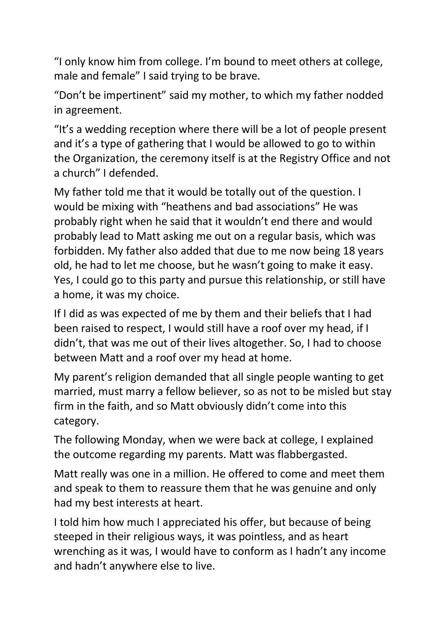"I only know him from college. I'm bound to meet others at college, male and female" I said trying to be brave.

"Don't be impertinent" said my mother, to which my father nodded in agreement.

"It's a wedding reception where there will be a lot of people present and it's a type of gathering that I would be allowed to go to within the Organization, the ceremony itself is at the Registry Office and not a church" I defended.

My father told me that it would be totally out of the question. I would be mixing with "heathens and bad associations" He was probably right when he said that it wouldn't end there and would probably lead to Matt asking me out on a regular basis, which was forbidden. My father also added that due to me now being 18 years old, he had to let me choose, but he wasn't going to make it easy. Yes, I could go to this party and pursue this relationship, or still have a home, it was my choice.

If I did as was expected of me by them and their beliefs that I had been raised to respect, I would still have a roof over my head, if I didn't, that was me out of their lives altogether. So, I had to choose between Matt and a roof over my head at home.

My parent's religion demanded that all single people wanting to get married, must marry a fellow believer, so as not to be misled but stay firm in the faith, and so Matt obviously didn't come into this category.

The following Monday, when we were back at college, I explained the outcome regarding my parents. Matt was flabbergasted.

Matt really was one in a million. He offered to come and meet them and speak to them to reassure them that he was genuine and only had my best interests at heart.

I told him how much I appreciated his offer, but because of being steeped in their religious ways, it was pointless, and as heart wrenching as it was, I would have to conform as I hadn't any income and hadn't anywhere else to live.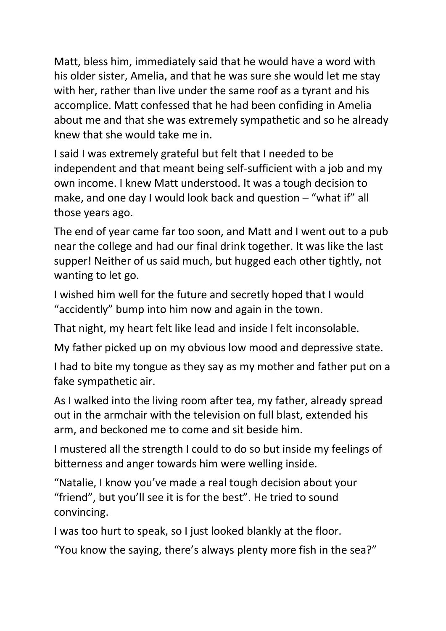Matt, bless him, immediately said that he would have a word with his older sister, Amelia, and that he was sure she would let me stay with her, rather than live under the same roof as a tyrant and his accomplice. Matt confessed that he had been confiding in Amelia about me and that she was extremely sympathetic and so he already knew that she would take me in.

I said I was extremely grateful but felt that I needed to be independent and that meant being self-sufficient with a job and my own income. I knew Matt understood. It was a tough decision to make, and one day I would look back and question – "what if" all those years ago.

The end of year came far too soon, and Matt and I went out to a pub near the college and had our final drink together. It was like the last supper! Neither of us said much, but hugged each other tightly, not wanting to let go.

I wished him well for the future and secretly hoped that I would "accidently" bump into him now and again in the town.

That night, my heart felt like lead and inside I felt inconsolable.

My father picked up on my obvious low mood and depressive state.

I had to bite my tongue as they say as my mother and father put on a fake sympathetic air.

As I walked into the living room after tea, my father, already spread out in the armchair with the television on full blast, extended his arm, and beckoned me to come and sit beside him.

I mustered all the strength I could to do so but inside my feelings of bitterness and anger towards him were welling inside.

"Natalie, I know you've made a real tough decision about your "friend", but you'll see it is for the best". He tried to sound convincing.

I was too hurt to speak, so I just looked blankly at the floor.

"You know the saying, there's always plenty more fish in the sea?"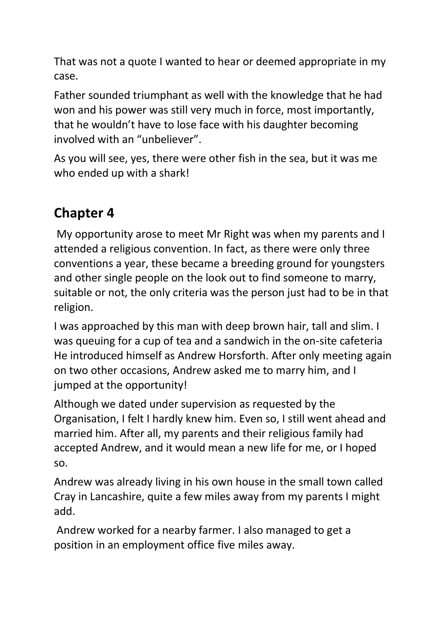That was not a quote I wanted to hear or deemed appropriate in my case.

Father sounded triumphant as well with the knowledge that he had won and his power was still very much in force, most importantly, that he wouldn't have to lose face with his daughter becoming involved with an "unbeliever".

As you will see, yes, there were other fish in the sea, but it was me who ended up with a shark!

## **Chapter 4**

My opportunity arose to meet Mr Right was when my parents and I attended a religious convention. In fact, as there were only three conventions a year, these became a breeding ground for youngsters and other single people on the look out to find someone to marry, suitable or not, the only criteria was the person just had to be in that religion.

I was approached by this man with deep brown hair, tall and slim. I was queuing for a cup of tea and a sandwich in the on-site cafeteria He introduced himself as Andrew Horsforth. After only meeting again on two other occasions, Andrew asked me to marry him, and I jumped at the opportunity!

Although we dated under supervision as requested by the Organisation, I felt I hardly knew him. Even so, I still went ahead and married him. After all, my parents and their religious family had accepted Andrew, and it would mean a new life for me, or I hoped so.

Andrew was already living in his own house in the small town called Cray in Lancashire, quite a few miles away from my parents I might add.

Andrew worked for a nearby farmer. I also managed to get a position in an employment office five miles away.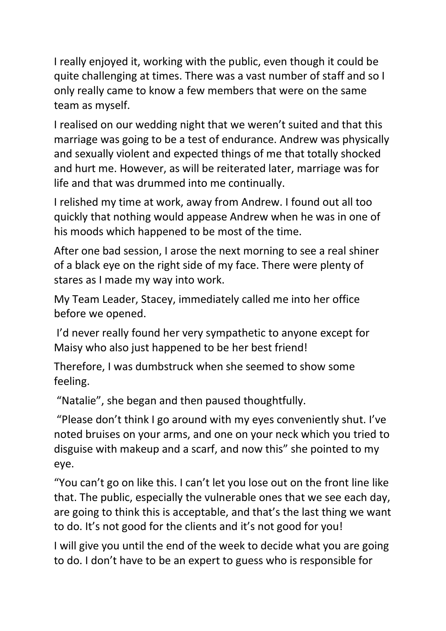I really enjoyed it, working with the public, even though it could be quite challenging at times. There was a vast number of staff and so I only really came to know a few members that were on the same team as myself.

I realised on our wedding night that we weren't suited and that this marriage was going to be a test of endurance. Andrew was physically and sexually violent and expected things of me that totally shocked and hurt me. However, as will be reiterated later, marriage was for life and that was drummed into me continually.

I relished my time at work, away from Andrew. I found out all too quickly that nothing would appease Andrew when he was in one of his moods which happened to be most of the time.

After one bad session, I arose the next morning to see a real shiner of a black eye on the right side of my face. There were plenty of stares as I made my way into work.

My Team Leader, Stacey, immediately called me into her office before we opened.

I'd never really found her very sympathetic to anyone except for Maisy who also just happened to be her best friend!

Therefore, I was dumbstruck when she seemed to show some feeling.

"Natalie", she began and then paused thoughtfully.

"Please don't think I go around with my eyes conveniently shut. I've noted bruises on your arms, and one on your neck which you tried to disguise with makeup and a scarf, and now this" she pointed to my eye.

"You can't go on like this. I can't let you lose out on the front line like that. The public, especially the vulnerable ones that we see each day, are going to think this is acceptable, and that's the last thing we want to do. It's not good for the clients and it's not good for you!

I will give you until the end of the week to decide what you are going to do. I don't have to be an expert to guess who is responsible for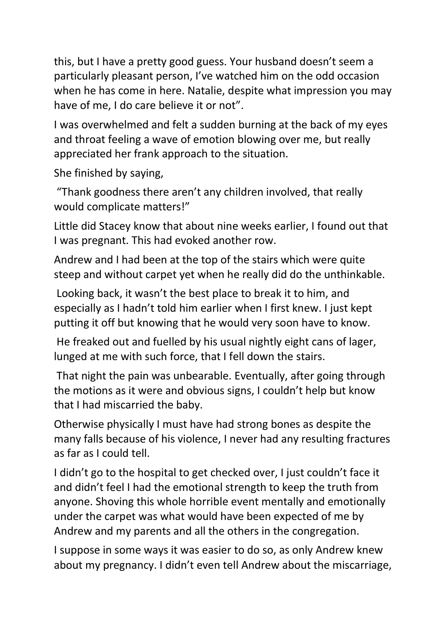this, but I have a pretty good guess. Your husband doesn't seem a particularly pleasant person, I've watched him on the odd occasion when he has come in here. Natalie, despite what impression you may have of me, I do care believe it or not".

I was overwhelmed and felt a sudden burning at the back of my eyes and throat feeling a wave of emotion blowing over me, but really appreciated her frank approach to the situation.

She finished by saying,

"Thank goodness there aren't any children involved, that really would complicate matters!"

Little did Stacey know that about nine weeks earlier, I found out that I was pregnant. This had evoked another row.

Andrew and I had been at the top of the stairs which were quite steep and without carpet yet when he really did do the unthinkable.

Looking back, it wasn't the best place to break it to him, and especially as I hadn't told him earlier when I first knew. I just kept putting it off but knowing that he would very soon have to know.

He freaked out and fuelled by his usual nightly eight cans of lager, lunged at me with such force, that I fell down the stairs.

That night the pain was unbearable. Eventually, after going through the motions as it were and obvious signs, I couldn't help but know that I had miscarried the baby.

Otherwise physically I must have had strong bones as despite the many falls because of his violence, I never had any resulting fractures as far as I could tell.

I didn't go to the hospital to get checked over, I just couldn't face it and didn't feel I had the emotional strength to keep the truth from anyone. Shoving this whole horrible event mentally and emotionally under the carpet was what would have been expected of me by Andrew and my parents and all the others in the congregation.

I suppose in some ways it was easier to do so, as only Andrew knew about my pregnancy. I didn't even tell Andrew about the miscarriage,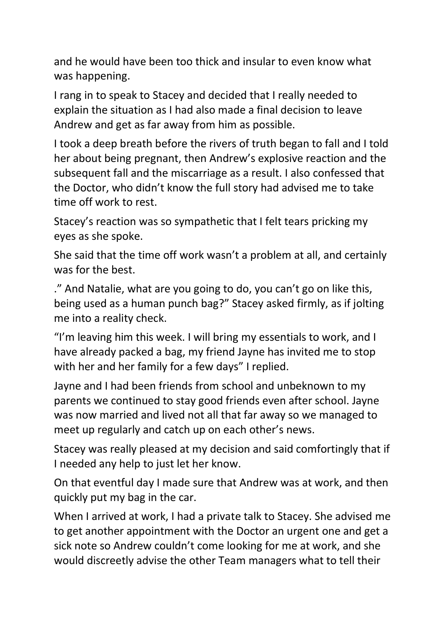and he would have been too thick and insular to even know what was happening.

I rang in to speak to Stacey and decided that I really needed to explain the situation as I had also made a final decision to leave Andrew and get as far away from him as possible.

I took a deep breath before the rivers of truth began to fall and I told her about being pregnant, then Andrew's explosive reaction and the subsequent fall and the miscarriage as a result. I also confessed that the Doctor, who didn't know the full story had advised me to take time off work to rest.

Stacey's reaction was so sympathetic that I felt tears pricking my eyes as she spoke.

She said that the time off work wasn't a problem at all, and certainly was for the best.

." And Natalie, what are you going to do, you can't go on like this, being used as a human punch bag?" Stacey asked firmly, as if jolting me into a reality check.

"I'm leaving him this week. I will bring my essentials to work, and I have already packed a bag, my friend Jayne has invited me to stop with her and her family for a few days" I replied.

Jayne and I had been friends from school and unbeknown to my parents we continued to stay good friends even after school. Jayne was now married and lived not all that far away so we managed to meet up regularly and catch up on each other's news.

Stacey was really pleased at my decision and said comfortingly that if I needed any help to just let her know.

On that eventful day I made sure that Andrew was at work, and then quickly put my bag in the car.

When I arrived at work, I had a private talk to Stacey. She advised me to get another appointment with the Doctor an urgent one and get a sick note so Andrew couldn't come looking for me at work, and she would discreetly advise the other Team managers what to tell their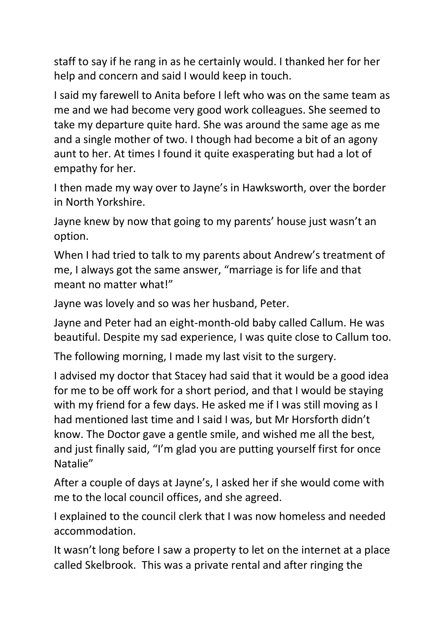staff to say if he rang in as he certainly would. I thanked her for her help and concern and said I would keep in touch.

I said my farewell to Anita before I left who was on the same team as me and we had become very good work colleagues. She seemed to take my departure quite hard. She was around the same age as me and a single mother of two. I though had become a bit of an agony aunt to her. At times I found it quite exasperating but had a lot of empathy for her.

I then made my way over to Jayne's in Hawksworth, over the border in North Yorkshire.

Jayne knew by now that going to my parents' house just wasn't an option.

When I had tried to talk to my parents about Andrew's treatment of me, I always got the same answer, "marriage is for life and that meant no matter what!"

Jayne was lovely and so was her husband, Peter.

Jayne and Peter had an eight-month-old baby called Callum. He was beautiful. Despite my sad experience, I was quite close to Callum too.

The following morning, I made my last visit to the surgery.

I advised my doctor that Stacey had said that it would be a good idea for me to be off work for a short period, and that I would be staying with my friend for a few days. He asked me if I was still moving as I had mentioned last time and I said I was, but Mr Horsforth didn't know. The Doctor gave a gentle smile, and wished me all the best, and just finally said, "I'm glad you are putting yourself first for once Natalie"

After a couple of days at Jayne's, I asked her if she would come with me to the local council offices, and she agreed.

I explained to the council clerk that I was now homeless and needed accommodation.

It wasn't long before I saw a property to let on the internet at a place called Skelbrook. This was a private rental and after ringing the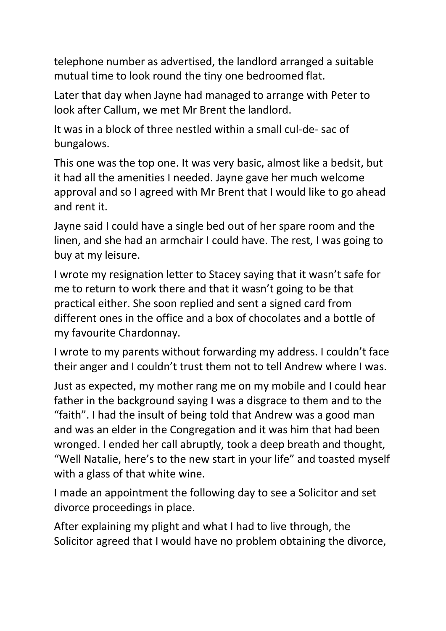telephone number as advertised, the landlord arranged a suitable mutual time to look round the tiny one bedroomed flat.

Later that day when Jayne had managed to arrange with Peter to look after Callum, we met Mr Brent the landlord.

It was in a block of three nestled within a small cul-de- sac of bungalows.

This one was the top one. It was very basic, almost like a bedsit, but it had all the amenities I needed. Jayne gave her much welcome approval and so I agreed with Mr Brent that I would like to go ahead and rent it.

Jayne said I could have a single bed out of her spare room and the linen, and she had an armchair I could have. The rest, I was going to buy at my leisure.

I wrote my resignation letter to Stacey saying that it wasn't safe for me to return to work there and that it wasn't going to be that practical either. She soon replied and sent a signed card from different ones in the office and a box of chocolates and a bottle of my favourite Chardonnay.

I wrote to my parents without forwarding my address. I couldn't face their anger and I couldn't trust them not to tell Andrew where I was.

Just as expected, my mother rang me on my mobile and I could hear father in the background saying I was a disgrace to them and to the "faith". I had the insult of being told that Andrew was a good man and was an elder in the Congregation and it was him that had been wronged. I ended her call abruptly, took a deep breath and thought, "Well Natalie, here's to the new start in your life" and toasted myself with a glass of that white wine.

I made an appointment the following day to see a Solicitor and set divorce proceedings in place.

After explaining my plight and what I had to live through, the Solicitor agreed that I would have no problem obtaining the divorce,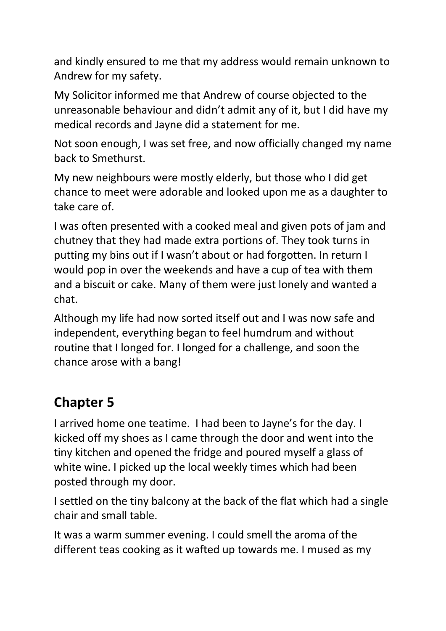and kindly ensured to me that my address would remain unknown to Andrew for my safety.

My Solicitor informed me that Andrew of course objected to the unreasonable behaviour and didn't admit any of it, but I did have my medical records and Jayne did a statement for me.

Not soon enough, I was set free, and now officially changed my name back to Smethurst.

My new neighbours were mostly elderly, but those who I did get chance to meet were adorable and looked upon me as a daughter to take care of.

I was often presented with a cooked meal and given pots of jam and chutney that they had made extra portions of. They took turns in putting my bins out if I wasn't about or had forgotten. In return I would pop in over the weekends and have a cup of tea with them and a biscuit or cake. Many of them were just lonely and wanted a chat.

Although my life had now sorted itself out and I was now safe and independent, everything began to feel humdrum and without routine that I longed for. I longed for a challenge, and soon the chance arose with a bang!

### **Chapter 5**

I arrived home one teatime. I had been to Jayne's for the day. I kicked off my shoes as I came through the door and went into the tiny kitchen and opened the fridge and poured myself a glass of white wine. I picked up the local weekly times which had been posted through my door.

I settled on the tiny balcony at the back of the flat which had a single chair and small table.

It was a warm summer evening. I could smell the aroma of the different teas cooking as it wafted up towards me. I mused as my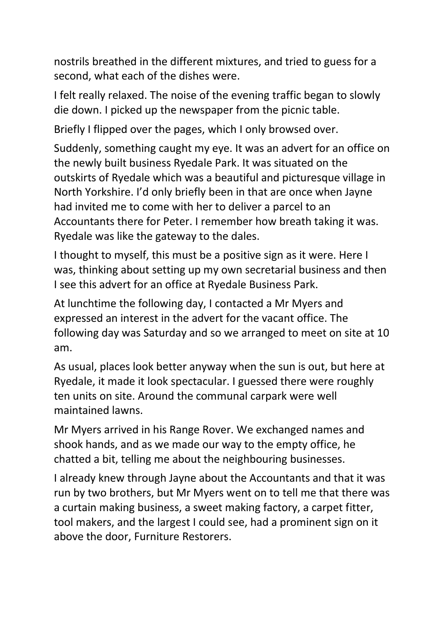nostrils breathed in the different mixtures, and tried to guess for a second, what each of the dishes were.

I felt really relaxed. The noise of the evening traffic began to slowly die down. I picked up the newspaper from the picnic table.

Briefly I flipped over the pages, which I only browsed over.

Suddenly, something caught my eye. It was an advert for an office on the newly built business Ryedale Park. It was situated on the outskirts of Ryedale which was a beautiful and picturesque village in North Yorkshire. I'd only briefly been in that are once when Jayne had invited me to come with her to deliver a parcel to an Accountants there for Peter. I remember how breath taking it was. Ryedale was like the gateway to the dales.

I thought to myself, this must be a positive sign as it were. Here I was, thinking about setting up my own secretarial business and then I see this advert for an office at Ryedale Business Park.

At lunchtime the following day, I contacted a Mr Myers and expressed an interest in the advert for the vacant office. The following day was Saturday and so we arranged to meet on site at 10 am.

As usual, places look better anyway when the sun is out, but here at Ryedale, it made it look spectacular. I guessed there were roughly ten units on site. Around the communal carpark were well maintained lawns.

Mr Myers arrived in his Range Rover. We exchanged names and shook hands, and as we made our way to the empty office, he chatted a bit, telling me about the neighbouring businesses.

I already knew through Jayne about the Accountants and that it was run by two brothers, but Mr Myers went on to tell me that there was a curtain making business, a sweet making factory, a carpet fitter, tool makers, and the largest I could see, had a prominent sign on it above the door, Furniture Restorers.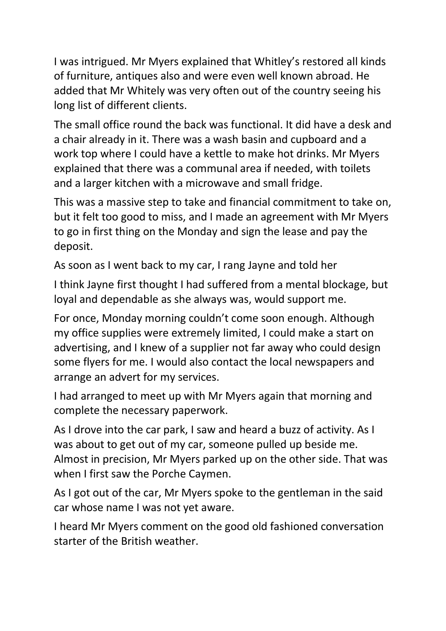I was intrigued. Mr Myers explained that Whitley's restored all kinds of furniture, antiques also and were even well known abroad. He added that Mr Whitely was very often out of the country seeing his long list of different clients.

The small office round the back was functional. It did have a desk and a chair already in it. There was a wash basin and cupboard and a work top where I could have a kettle to make hot drinks. Mr Myers explained that there was a communal area if needed, with toilets and a larger kitchen with a microwave and small fridge.

This was a massive step to take and financial commitment to take on, but it felt too good to miss, and I made an agreement with Mr Myers to go in first thing on the Monday and sign the lease and pay the deposit.

As soon as I went back to my car, I rang Jayne and told her

I think Jayne first thought I had suffered from a mental blockage, but loyal and dependable as she always was, would support me.

For once, Monday morning couldn't come soon enough. Although my office supplies were extremely limited, I could make a start on advertising, and I knew of a supplier not far away who could design some flyers for me. I would also contact the local newspapers and arrange an advert for my services.

I had arranged to meet up with Mr Myers again that morning and complete the necessary paperwork.

As I drove into the car park, I saw and heard a buzz of activity. As I was about to get out of my car, someone pulled up beside me. Almost in precision, Mr Myers parked up on the other side. That was when I first saw the Porche Caymen.

As I got out of the car, Mr Myers spoke to the gentleman in the said car whose name I was not yet aware.

I heard Mr Myers comment on the good old fashioned conversation starter of the British weather.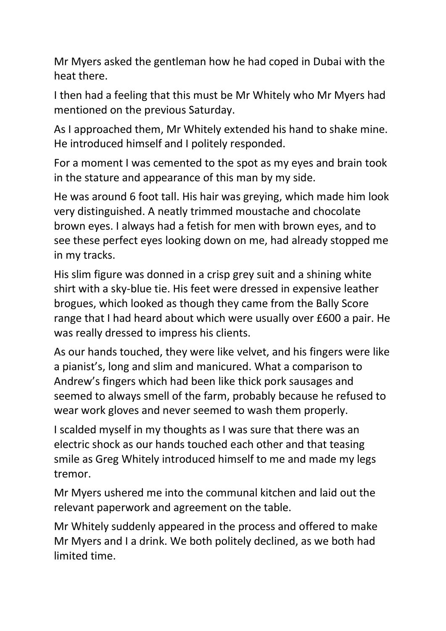Mr Myers asked the gentleman how he had coped in Dubai with the heat there.

I then had a feeling that this must be Mr Whitely who Mr Myers had mentioned on the previous Saturday.

As I approached them, Mr Whitely extended his hand to shake mine. He introduced himself and I politely responded.

For a moment I was cemented to the spot as my eyes and brain took in the stature and appearance of this man by my side.

He was around 6 foot tall. His hair was greying, which made him look very distinguished. A neatly trimmed moustache and chocolate brown eyes. I always had a fetish for men with brown eyes, and to see these perfect eyes looking down on me, had already stopped me in my tracks.

His slim figure was donned in a crisp grey suit and a shining white shirt with a sky-blue tie. His feet were dressed in expensive leather brogues, which looked as though they came from the Bally Score range that I had heard about which were usually over £600 a pair. He was really dressed to impress his clients.

As our hands touched, they were like velvet, and his fingers were like a pianist's, long and slim and manicured. What a comparison to Andrew's fingers which had been like thick pork sausages and seemed to always smell of the farm, probably because he refused to wear work gloves and never seemed to wash them properly.

I scalded myself in my thoughts as I was sure that there was an electric shock as our hands touched each other and that teasing smile as Greg Whitely introduced himself to me and made my legs tremor.

Mr Myers ushered me into the communal kitchen and laid out the relevant paperwork and agreement on the table.

Mr Whitely suddenly appeared in the process and offered to make Mr Myers and I a drink. We both politely declined, as we both had limited time.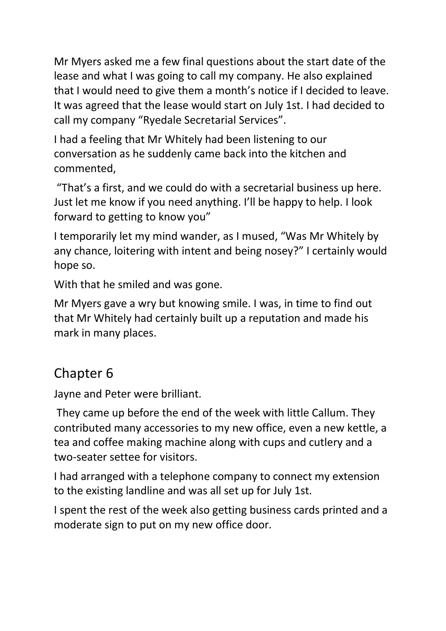Mr Myers asked me a few final questions about the start date of the lease and what I was going to call my company. He also explained that I would need to give them a month's notice if I decided to leave. It was agreed that the lease would start on July 1st. I had decided to call my company "Ryedale Secretarial Services".

I had a feeling that Mr Whitely had been listening to our conversation as he suddenly came back into the kitchen and commented,

"That's a first, and we could do with a secretarial business up here. Just let me know if you need anything. I'll be happy to help. I look forward to getting to know you"

I temporarily let my mind wander, as I mused, "Was Mr Whitely by any chance, loitering with intent and being nosey?" I certainly would hope so.

With that he smiled and was gone.

Mr Myers gave a wry but knowing smile. I was, in time to find out that Mr Whitely had certainly built up a reputation and made his mark in many places.

#### Chapter 6

Jayne and Peter were brilliant.

They came up before the end of the week with little Callum. They contributed many accessories to my new office, even a new kettle, a tea and coffee making machine along with cups and cutlery and a two-seater settee for visitors.

I had arranged with a telephone company to connect my extension to the existing landline and was all set up for July 1st.

I spent the rest of the week also getting business cards printed and a moderate sign to put on my new office door.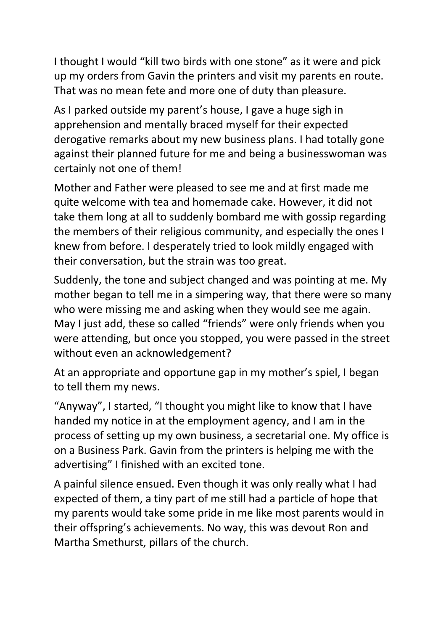I thought I would "kill two birds with one stone" as it were and pick up my orders from Gavin the printers and visit my parents en route. That was no mean fete and more one of duty than pleasure.

As I parked outside my parent's house, I gave a huge sigh in apprehension and mentally braced myself for their expected derogative remarks about my new business plans. I had totally gone against their planned future for me and being a businesswoman was certainly not one of them!

Mother and Father were pleased to see me and at first made me quite welcome with tea and homemade cake. However, it did not take them long at all to suddenly bombard me with gossip regarding the members of their religious community, and especially the ones I knew from before. I desperately tried to look mildly engaged with their conversation, but the strain was too great.

Suddenly, the tone and subject changed and was pointing at me. My mother began to tell me in a simpering way, that there were so many who were missing me and asking when they would see me again. May I just add, these so called "friends" were only friends when you were attending, but once you stopped, you were passed in the street without even an acknowledgement?

At an appropriate and opportune gap in my mother's spiel, I began to tell them my news.

"Anyway", I started, "I thought you might like to know that I have handed my notice in at the employment agency, and I am in the process of setting up my own business, a secretarial one. My office is on a Business Park. Gavin from the printers is helping me with the advertising" I finished with an excited tone.

A painful silence ensued. Even though it was only really what I had expected of them, a tiny part of me still had a particle of hope that my parents would take some pride in me like most parents would in their offspring's achievements. No way, this was devout Ron and Martha Smethurst, pillars of the church.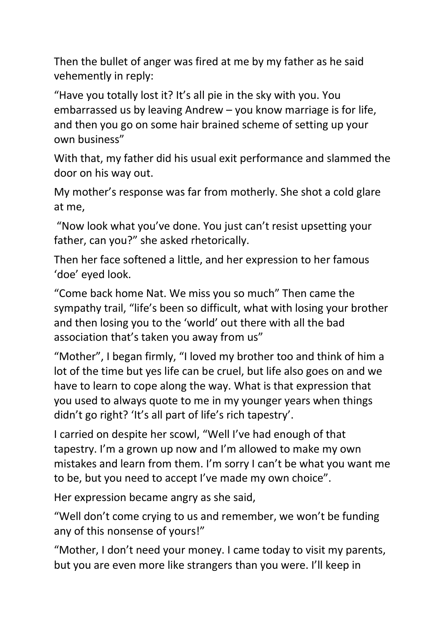Then the bullet of anger was fired at me by my father as he said vehemently in reply:

"Have you totally lost it? It's all pie in the sky with you. You embarrassed us by leaving Andrew – you know marriage is for life, and then you go on some hair brained scheme of setting up your own business"

With that, my father did his usual exit performance and slammed the door on his way out.

My mother's response was far from motherly. She shot a cold glare at me,

"Now look what you've done. You just can't resist upsetting your father, can you?" she asked rhetorically.

Then her face softened a little, and her expression to her famous 'doe' eyed look.

"Come back home Nat. We miss you so much" Then came the sympathy trail, "life's been so difficult, what with losing your brother and then losing you to the 'world' out there with all the bad association that's taken you away from us"

"Mother", I began firmly, "I loved my brother too and think of him a lot of the time but yes life can be cruel, but life also goes on and we have to learn to cope along the way. What is that expression that you used to always quote to me in my younger years when things didn't go right? 'It's all part of life's rich tapestry'.

I carried on despite her scowl, "Well I've had enough of that tapestry. I'm a grown up now and I'm allowed to make my own mistakes and learn from them. I'm sorry I can't be what you want me to be, but you need to accept I've made my own choice".

Her expression became angry as she said,

"Well don't come crying to us and remember, we won't be funding any of this nonsense of yours!"

"Mother, I don't need your money. I came today to visit my parents, but you are even more like strangers than you were. I'll keep in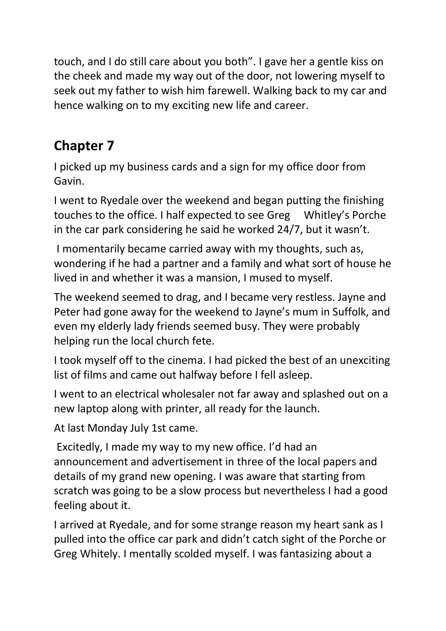touch, and I do still care about you both". I gave her a gentle kiss on the cheek and made my way out of the door, not lowering myself to seek out my father to wish him farewell. Walking back to my car and hence walking on to my exciting new life and career.

## **Chapter 7**

I picked up my business cards and a sign for my office door from Gavin.

I went to Ryedale over the weekend and began putting the finishing touches to the office. I half expected to see Greg Whitley's Porche in the car park considering he said he worked 24/7, but it wasn't.

I momentarily became carried away with my thoughts, such as, wondering if he had a partner and a family and what sort of house he lived in and whether it was a mansion, I mused to myself.

The weekend seemed to drag, and I became very restless. Jayne and Peter had gone away for the weekend to Jayne's mum in Suffolk, and even my elderly lady friends seemed busy. They were probably helping run the local church fete.

I took myself off to the cinema. I had picked the best of an unexciting list of films and came out halfway before I fell asleep.

I went to an electrical wholesaler not far away and splashed out on a new laptop along with printer, all ready for the launch.

At last Monday July 1st came.

Excitedly, I made my way to my new office. I'd had an announcement and advertisement in three of the local papers and details of my grand new opening. I was aware that starting from scratch was going to be a slow process but nevertheless I had a good feeling about it.

I arrived at Ryedale, and for some strange reason my heart sank as I pulled into the office car park and didn't catch sight of the Porche or Greg Whitely. I mentally scolded myself. I was fantasizing about a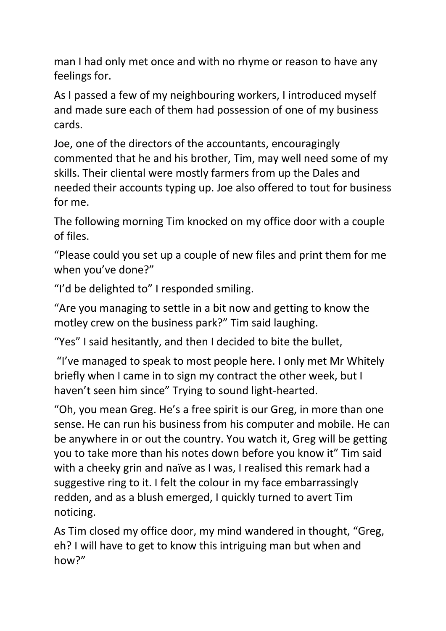man I had only met once and with no rhyme or reason to have any feelings for.

As I passed a few of my neighbouring workers, I introduced myself and made sure each of them had possession of one of my business cards.

Joe, one of the directors of the accountants, encouragingly commented that he and his brother, Tim, may well need some of my skills. Their cliental were mostly farmers from up the Dales and needed their accounts typing up. Joe also offered to tout for business for me.

The following morning Tim knocked on my office door with a couple of files.

"Please could you set up a couple of new files and print them for me when you've done?"

"I'd be delighted to" I responded smiling.

"Are you managing to settle in a bit now and getting to know the motley crew on the business park?" Tim said laughing.

"Yes" I said hesitantly, and then I decided to bite the bullet,

"I've managed to speak to most people here. I only met Mr Whitely briefly when I came in to sign my contract the other week, but I haven't seen him since" Trying to sound light-hearted.

"Oh, you mean Greg. He's a free spirit is our Greg, in more than one sense. He can run his business from his computer and mobile. He can be anywhere in or out the country. You watch it, Greg will be getting you to take more than his notes down before you know it" Tim said with a cheeky grin and naïve as I was, I realised this remark had a suggestive ring to it. I felt the colour in my face embarrassingly redden, and as a blush emerged, I quickly turned to avert Tim noticing.

As Tim closed my office door, my mind wandered in thought, "Greg, eh? I will have to get to know this intriguing man but when and how?"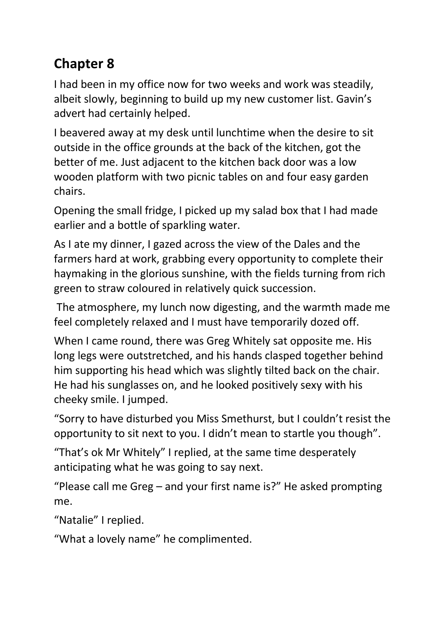# **Chapter 8**

I had been in my office now for two weeks and work was steadily, albeit slowly, beginning to build up my new customer list. Gavin's advert had certainly helped.

I beavered away at my desk until lunchtime when the desire to sit outside in the office grounds at the back of the kitchen, got the better of me. Just adjacent to the kitchen back door was a low wooden platform with two picnic tables on and four easy garden chairs.

Opening the small fridge, I picked up my salad box that I had made earlier and a bottle of sparkling water.

As I ate my dinner, I gazed across the view of the Dales and the farmers hard at work, grabbing every opportunity to complete their haymaking in the glorious sunshine, with the fields turning from rich green to straw coloured in relatively quick succession.

The atmosphere, my lunch now digesting, and the warmth made me feel completely relaxed and I must have temporarily dozed off.

When I came round, there was Greg Whitely sat opposite me. His long legs were outstretched, and his hands clasped together behind him supporting his head which was slightly tilted back on the chair. He had his sunglasses on, and he looked positively sexy with his cheeky smile. I jumped.

"Sorry to have disturbed you Miss Smethurst, but I couldn't resist the opportunity to sit next to you. I didn't mean to startle you though".

"That's ok Mr Whitely" I replied, at the same time desperately anticipating what he was going to say next.

"Please call me Greg – and your first name is?" He asked prompting me.

"Natalie" I replied.

"What a lovely name" he complimented.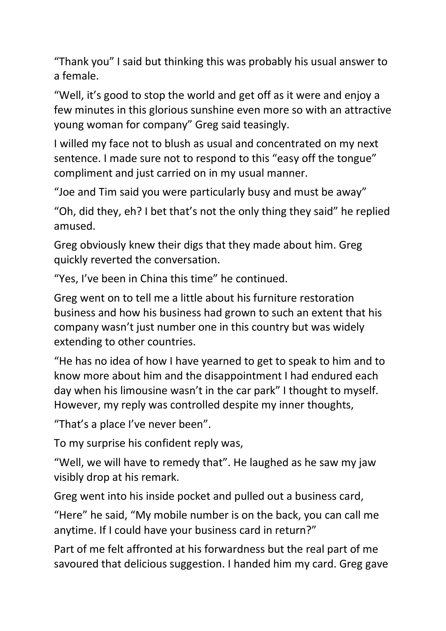"Thank you" I said but thinking this was probably his usual answer to a female.

"Well, it's good to stop the world and get off as it were and enjoy a few minutes in this glorious sunshine even more so with an attractive young woman for company" Greg said teasingly.

I willed my face not to blush as usual and concentrated on my next sentence. I made sure not to respond to this "easy off the tongue" compliment and just carried on in my usual manner.

"Joe and Tim said you were particularly busy and must be away"

"Oh, did they, eh? I bet that's not the only thing they said" he replied amused.

Greg obviously knew their digs that they made about him. Greg quickly reverted the conversation.

"Yes, I've been in China this time" he continued.

Greg went on to tell me a little about his furniture restoration business and how his business had grown to such an extent that his company wasn't just number one in this country but was widely extending to other countries.

"He has no idea of how I have yearned to get to speak to him and to know more about him and the disappointment I had endured each day when his limousine wasn't in the car park" I thought to myself. However, my reply was controlled despite my inner thoughts,

"That's a place I've never been".

To my surprise his confident reply was,

"Well, we will have to remedy that". He laughed as he saw my jaw visibly drop at his remark.

Greg went into his inside pocket and pulled out a business card,

"Here" he said, "My mobile number is on the back, you can call me anytime. If I could have your business card in return?"

Part of me felt affronted at his forwardness but the real part of me savoured that delicious suggestion. I handed him my card. Greg gave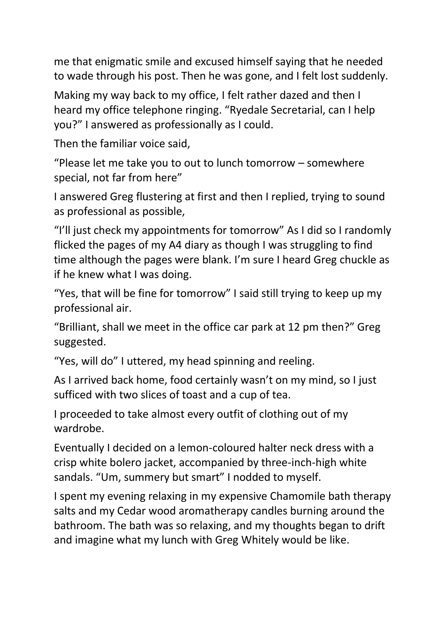me that enigmatic smile and excused himself saying that he needed to wade through his post. Then he was gone, and I felt lost suddenly.

Making my way back to my office, I felt rather dazed and then I heard my office telephone ringing. "Ryedale Secretarial, can I help you?" I answered as professionally as I could.

Then the familiar voice said,

"Please let me take you to out to lunch tomorrow – somewhere special, not far from here"

I answered Greg flustering at first and then I replied, trying to sound as professional as possible,

"I'll just check my appointments for tomorrow" As I did so I randomly flicked the pages of my A4 diary as though I was struggling to find time although the pages were blank. I'm sure I heard Greg chuckle as if he knew what I was doing.

"Yes, that will be fine for tomorrow" I said still trying to keep up my professional air.

"Brilliant, shall we meet in the office car park at 12 pm then?" Greg suggested.

"Yes, will do" I uttered, my head spinning and reeling.

As I arrived back home, food certainly wasn't on my mind, so I just sufficed with two slices of toast and a cup of tea.

I proceeded to take almost every outfit of clothing out of my wardrobe.

Eventually I decided on a lemon-coloured halter neck dress with a crisp white bolero jacket, accompanied by three-inch-high white sandals. "Um, summery but smart" I nodded to myself.

I spent my evening relaxing in my expensive Chamomile bath therapy salts and my Cedar wood aromatherapy candles burning around the bathroom. The bath was so relaxing, and my thoughts began to drift and imagine what my lunch with Greg Whitely would be like.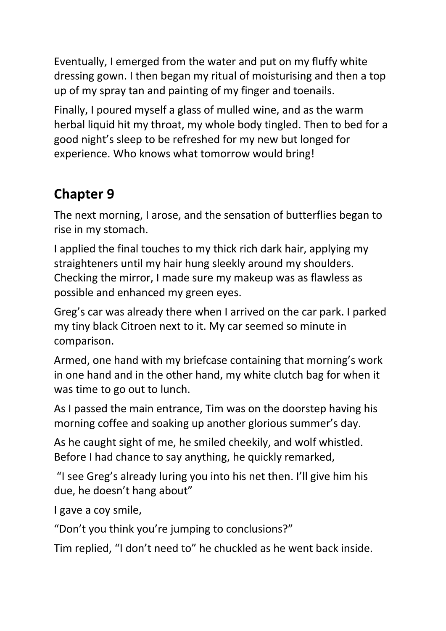Eventually, I emerged from the water and put on my fluffy white dressing gown. I then began my ritual of moisturising and then a top up of my spray tan and painting of my finger and toenails.

Finally, I poured myself a glass of mulled wine, and as the warm herbal liquid hit my throat, my whole body tingled. Then to bed for a good night's sleep to be refreshed for my new but longed for experience. Who knows what tomorrow would bring!

# **Chapter 9**

The next morning, I arose, and the sensation of butterflies began to rise in my stomach.

I applied the final touches to my thick rich dark hair, applying my straighteners until my hair hung sleekly around my shoulders. Checking the mirror, I made sure my makeup was as flawless as possible and enhanced my green eyes.

Greg's car was already there when I arrived on the car park. I parked my tiny black Citroen next to it. My car seemed so minute in comparison.

Armed, one hand with my briefcase containing that morning's work in one hand and in the other hand, my white clutch bag for when it was time to go out to lunch.

As I passed the main entrance, Tim was on the doorstep having his morning coffee and soaking up another glorious summer's day.

As he caught sight of me, he smiled cheekily, and wolf whistled. Before I had chance to say anything, he quickly remarked,

"I see Greg's already luring you into his net then. I'll give him his due, he doesn't hang about"

I gave a coy smile,

"Don't you think you're jumping to conclusions?"

Tim replied, "I don't need to" he chuckled as he went back inside.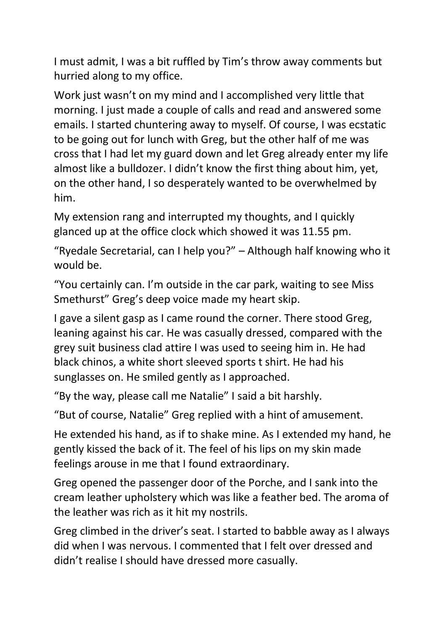I must admit, I was a bit ruffled by Tim's throw away comments but hurried along to my office.

Work just wasn't on my mind and I accomplished very little that morning. I just made a couple of calls and read and answered some emails. I started chuntering away to myself. Of course, I was ecstatic to be going out for lunch with Greg, but the other half of me was cross that I had let my guard down and let Greg already enter my life almost like a bulldozer. I didn't know the first thing about him, yet, on the other hand, I so desperately wanted to be overwhelmed by him.

My extension rang and interrupted my thoughts, and I quickly glanced up at the office clock which showed it was 11.55 pm.

"Ryedale Secretarial, can I help you?" – Although half knowing who it would be.

"You certainly can. I'm outside in the car park, waiting to see Miss Smethurst" Greg's deep voice made my heart skip.

I gave a silent gasp as I came round the corner. There stood Greg, leaning against his car. He was casually dressed, compared with the grey suit business clad attire I was used to seeing him in. He had black chinos, a white short sleeved sports t shirt. He had his sunglasses on. He smiled gently as I approached.

"By the way, please call me Natalie" I said a bit harshly.

"But of course, Natalie" Greg replied with a hint of amusement.

He extended his hand, as if to shake mine. As I extended my hand, he gently kissed the back of it. The feel of his lips on my skin made feelings arouse in me that I found extraordinary.

Greg opened the passenger door of the Porche, and I sank into the cream leather upholstery which was like a feather bed. The aroma of the leather was rich as it hit my nostrils.

Greg climbed in the driver's seat. I started to babble away as I always did when I was nervous. I commented that I felt over dressed and didn't realise I should have dressed more casually.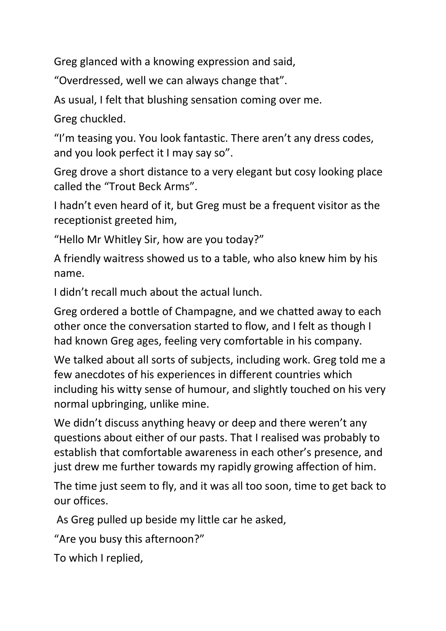Greg glanced with a knowing expression and said,

"Overdressed, well we can always change that".

As usual, I felt that blushing sensation coming over me.

Greg chuckled.

"I'm teasing you. You look fantastic. There aren't any dress codes, and you look perfect it I may say so".

Greg drove a short distance to a very elegant but cosy looking place called the "Trout Beck Arms".

I hadn't even heard of it, but Greg must be a frequent visitor as the receptionist greeted him,

"Hello Mr Whitley Sir, how are you today?"

A friendly waitress showed us to a table, who also knew him by his name.

I didn't recall much about the actual lunch.

Greg ordered a bottle of Champagne, and we chatted away to each other once the conversation started to flow, and I felt as though I had known Greg ages, feeling very comfortable in his company.

We talked about all sorts of subjects, including work. Greg told me a few anecdotes of his experiences in different countries which including his witty sense of humour, and slightly touched on his very normal upbringing, unlike mine.

We didn't discuss anything heavy or deep and there weren't any questions about either of our pasts. That I realised was probably to establish that comfortable awareness in each other's presence, and just drew me further towards my rapidly growing affection of him.

The time just seem to fly, and it was all too soon, time to get back to our offices.

As Greg pulled up beside my little car he asked,

"Are you busy this afternoon?"

To which I replied,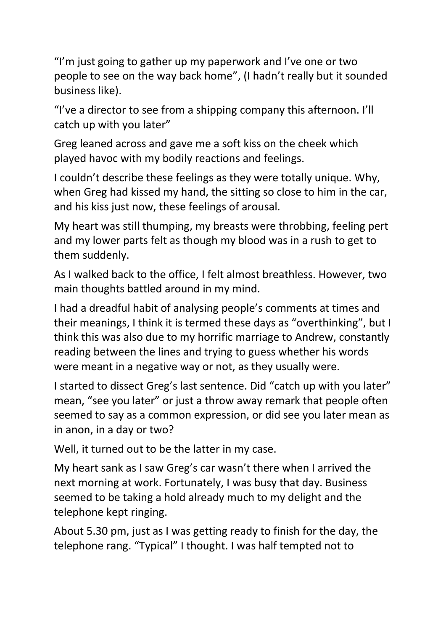"I'm just going to gather up my paperwork and I've one or two people to see on the way back home", (I hadn't really but it sounded business like).

"I've a director to see from a shipping company this afternoon. I'll catch up with you later"

Greg leaned across and gave me a soft kiss on the cheek which played havoc with my bodily reactions and feelings.

I couldn't describe these feelings as they were totally unique. Why, when Greg had kissed my hand, the sitting so close to him in the car, and his kiss just now, these feelings of arousal.

My heart was still thumping, my breasts were throbbing, feeling pert and my lower parts felt as though my blood was in a rush to get to them suddenly.

As I walked back to the office, I felt almost breathless. However, two main thoughts battled around in my mind.

I had a dreadful habit of analysing people's comments at times and their meanings, I think it is termed these days as "overthinking", but I think this was also due to my horrific marriage to Andrew, constantly reading between the lines and trying to guess whether his words were meant in a negative way or not, as they usually were.

I started to dissect Greg's last sentence. Did "catch up with you later" mean, "see you later" or just a throw away remark that people often seemed to say as a common expression, or did see you later mean as in anon, in a day or two?

Well, it turned out to be the latter in my case.

My heart sank as I saw Greg's car wasn't there when I arrived the next morning at work. Fortunately, I was busy that day. Business seemed to be taking a hold already much to my delight and the telephone kept ringing.

About 5.30 pm, just as I was getting ready to finish for the day, the telephone rang. "Typical" I thought. I was half tempted not to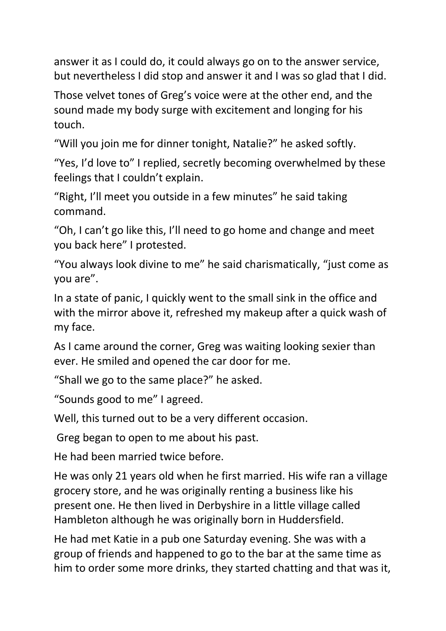answer it as I could do, it could always go on to the answer service, but nevertheless I did stop and answer it and I was so glad that I did.

Those velvet tones of Greg's voice were at the other end, and the sound made my body surge with excitement and longing for his touch.

"Will you join me for dinner tonight, Natalie?" he asked softly.

"Yes, I'd love to" I replied, secretly becoming overwhelmed by these feelings that I couldn't explain.

"Right, I'll meet you outside in a few minutes" he said taking command.

"Oh, I can't go like this, I'll need to go home and change and meet you back here" I protested.

"You always look divine to me" he said charismatically, "just come as you are".

In a state of panic, I quickly went to the small sink in the office and with the mirror above it, refreshed my makeup after a quick wash of my face.

As I came around the corner, Greg was waiting looking sexier than ever. He smiled and opened the car door for me.

"Shall we go to the same place?" he asked.

"Sounds good to me" I agreed.

Well, this turned out to be a very different occasion.

Greg began to open to me about his past.

He had been married twice before.

He was only 21 years old when he first married. His wife ran a village grocery store, and he was originally renting a business like his present one. He then lived in Derbyshire in a little village called Hambleton although he was originally born in Huddersfield.

He had met Katie in a pub one Saturday evening. She was with a group of friends and happened to go to the bar at the same time as him to order some more drinks, they started chatting and that was it,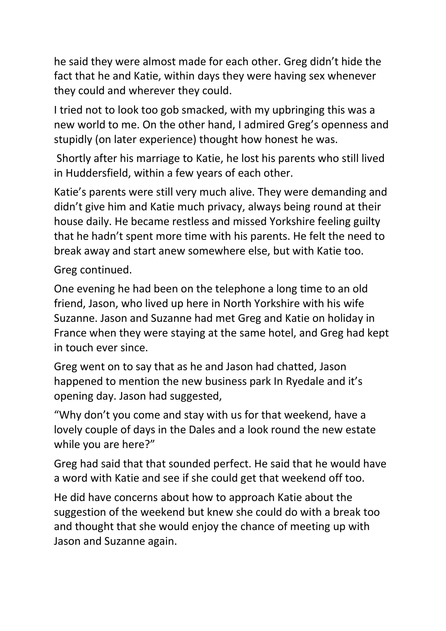he said they were almost made for each other. Greg didn't hide the fact that he and Katie, within days they were having sex whenever they could and wherever they could.

I tried not to look too gob smacked, with my upbringing this was a new world to me. On the other hand, I admired Greg's openness and stupidly (on later experience) thought how honest he was.

Shortly after his marriage to Katie, he lost his parents who still lived in Huddersfield, within a few years of each other.

Katie's parents were still very much alive. They were demanding and didn't give him and Katie much privacy, always being round at their house daily. He became restless and missed Yorkshire feeling guilty that he hadn't spent more time with his parents. He felt the need to break away and start anew somewhere else, but with Katie too.

Greg continued.

One evening he had been on the telephone a long time to an old friend, Jason, who lived up here in North Yorkshire with his wife Suzanne. Jason and Suzanne had met Greg and Katie on holiday in France when they were staying at the same hotel, and Greg had kept in touch ever since.

Greg went on to say that as he and Jason had chatted, Jason happened to mention the new business park In Ryedale and it's opening day. Jason had suggested,

"Why don't you come and stay with us for that weekend, have a lovely couple of days in the Dales and a look round the new estate while you are here?"

Greg had said that that sounded perfect. He said that he would have a word with Katie and see if she could get that weekend off too.

He did have concerns about how to approach Katie about the suggestion of the weekend but knew she could do with a break too and thought that she would enjoy the chance of meeting up with Jason and Suzanne again.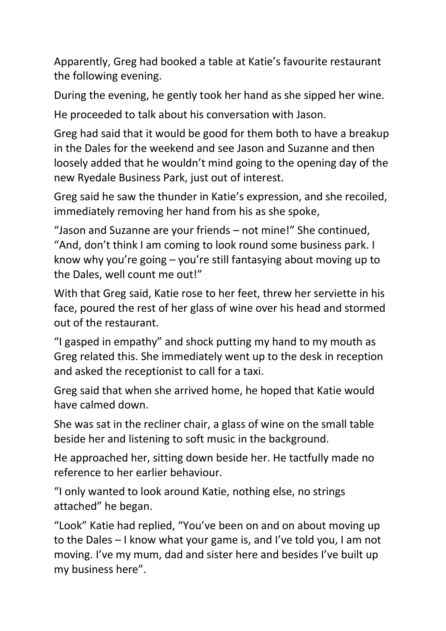Apparently, Greg had booked a table at Katie's favourite restaurant the following evening.

During the evening, he gently took her hand as she sipped her wine.

He proceeded to talk about his conversation with Jason.

Greg had said that it would be good for them both to have a breakup in the Dales for the weekend and see Jason and Suzanne and then loosely added that he wouldn't mind going to the opening day of the new Ryedale Business Park, just out of interest.

Greg said he saw the thunder in Katie's expression, and she recoiled, immediately removing her hand from his as she spoke,

"Jason and Suzanne are your friends – not mine!" She continued, "And, don't think I am coming to look round some business park. I know why you're going – you're still fantasying about moving up to the Dales, well count me out!"

With that Greg said, Katie rose to her feet, threw her serviette in his face, poured the rest of her glass of wine over his head and stormed out of the restaurant.

"I gasped in empathy" and shock putting my hand to my mouth as Greg related this. She immediately went up to the desk in reception and asked the receptionist to call for a taxi.

Greg said that when she arrived home, he hoped that Katie would have calmed down.

She was sat in the recliner chair, a glass of wine on the small table beside her and listening to soft music in the background.

He approached her, sitting down beside her. He tactfully made no reference to her earlier behaviour.

"I only wanted to look around Katie, nothing else, no strings attached" he began.

"Look" Katie had replied, "You've been on and on about moving up to the Dales – I know what your game is, and I've told you, I am not moving. I've my mum, dad and sister here and besides I've built up my business here".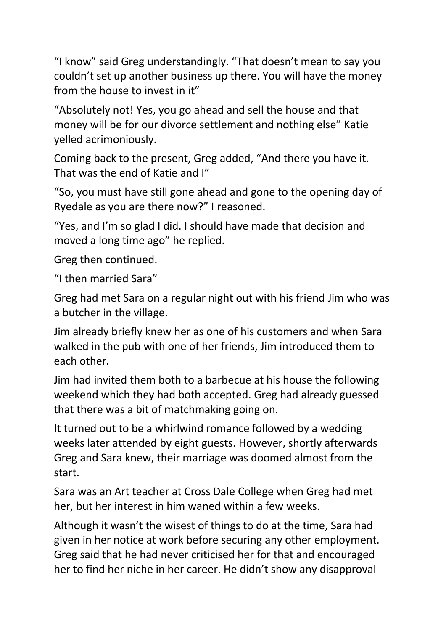"I know" said Greg understandingly. "That doesn't mean to say you couldn't set up another business up there. You will have the money from the house to invest in it"

"Absolutely not! Yes, you go ahead and sell the house and that money will be for our divorce settlement and nothing else" Katie yelled acrimoniously.

Coming back to the present, Greg added, "And there you have it. That was the end of Katie and I"

"So, you must have still gone ahead and gone to the opening day of Ryedale as you are there now?" I reasoned.

"Yes, and I'm so glad I did. I should have made that decision and moved a long time ago" he replied.

Greg then continued.

"I then married Sara"

Greg had met Sara on a regular night out with his friend Jim who was a butcher in the village.

Jim already briefly knew her as one of his customers and when Sara walked in the pub with one of her friends, Jim introduced them to each other.

Jim had invited them both to a barbecue at his house the following weekend which they had both accepted. Greg had already guessed that there was a bit of matchmaking going on.

It turned out to be a whirlwind romance followed by a wedding weeks later attended by eight guests. However, shortly afterwards Greg and Sara knew, their marriage was doomed almost from the start.

Sara was an Art teacher at Cross Dale College when Greg had met her, but her interest in him waned within a few weeks.

Although it wasn't the wisest of things to do at the time, Sara had given in her notice at work before securing any other employment. Greg said that he had never criticised her for that and encouraged her to find her niche in her career. He didn't show any disapproval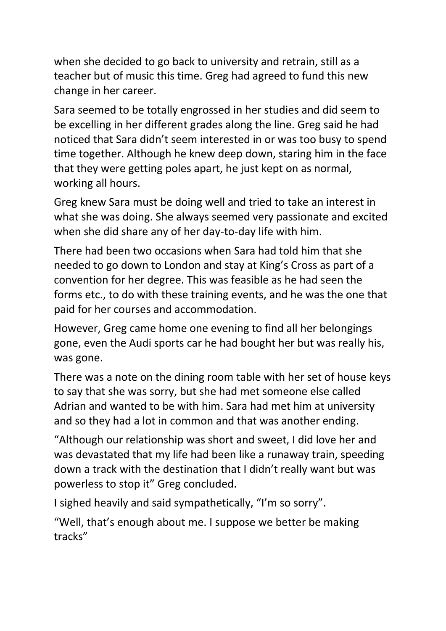when she decided to go back to university and retrain, still as a teacher but of music this time. Greg had agreed to fund this new change in her career.

Sara seemed to be totally engrossed in her studies and did seem to be excelling in her different grades along the line. Greg said he had noticed that Sara didn't seem interested in or was too busy to spend time together. Although he knew deep down, staring him in the face that they were getting poles apart, he just kept on as normal, working all hours.

Greg knew Sara must be doing well and tried to take an interest in what she was doing. She always seemed very passionate and excited when she did share any of her day-to-day life with him.

There had been two occasions when Sara had told him that she needed to go down to London and stay at King's Cross as part of a convention for her degree. This was feasible as he had seen the forms etc., to do with these training events, and he was the one that paid for her courses and accommodation.

However, Greg came home one evening to find all her belongings gone, even the Audi sports car he had bought her but was really his, was gone.

There was a note on the dining room table with her set of house keys to say that she was sorry, but she had met someone else called Adrian and wanted to be with him. Sara had met him at university and so they had a lot in common and that was another ending.

"Although our relationship was short and sweet, I did love her and was devastated that my life had been like a runaway train, speeding down a track with the destination that I didn't really want but was powerless to stop it" Greg concluded.

I sighed heavily and said sympathetically, "I'm so sorry".

"Well, that's enough about me. I suppose we better be making tracks"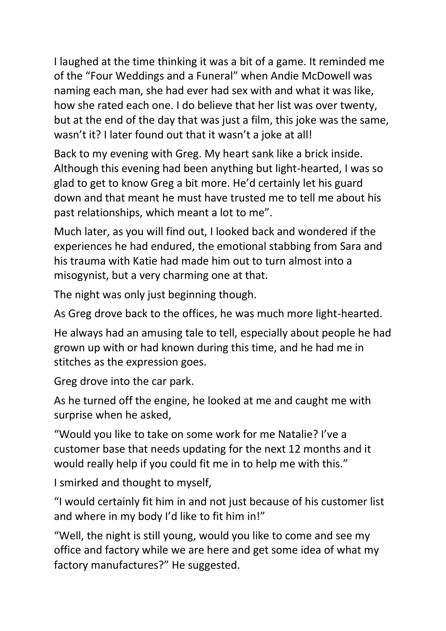I laughed at the time thinking it was a bit of a game. It reminded me of the "Four Weddings and a Funeral" when Andie McDowell was naming each man, she had ever had sex with and what it was like, how she rated each one. I do believe that her list was over twenty, but at the end of the day that was just a film, this joke was the same, wasn't it? I later found out that it wasn't a joke at all!

Back to my evening with Greg. My heart sank like a brick inside. Although this evening had been anything but light-hearted, I was so glad to get to know Greg a bit more. He'd certainly let his guard down and that meant he must have trusted me to tell me about his past relationships, which meant a lot to me".

Much later, as you will find out, I looked back and wondered if the experiences he had endured, the emotional stabbing from Sara and his trauma with Katie had made him out to turn almost into a misogynist, but a very charming one at that.

The night was only just beginning though.

As Greg drove back to the offices, he was much more light-hearted.

He always had an amusing tale to tell, especially about people he had grown up with or had known during this time, and he had me in stitches as the expression goes.

Greg drove into the car park.

As he turned off the engine, he looked at me and caught me with surprise when he asked,

"Would you like to take on some work for me Natalie? I've a customer base that needs updating for the next 12 months and it would really help if you could fit me in to help me with this."

I smirked and thought to myself,

"I would certainly fit him in and not just because of his customer list and where in my body I'd like to fit him in!"

"Well, the night is still young, would you like to come and see my office and factory while we are here and get some idea of what my factory manufactures?" He suggested.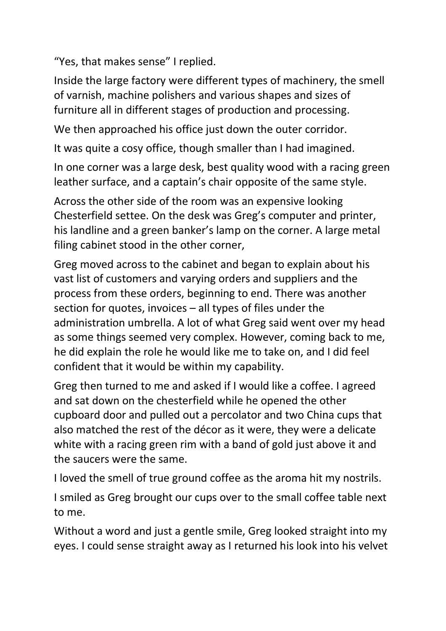"Yes, that makes sense" I replied.

Inside the large factory were different types of machinery, the smell of varnish, machine polishers and various shapes and sizes of furniture all in different stages of production and processing.

We then approached his office just down the outer corridor.

It was quite a cosy office, though smaller than I had imagined.

In one corner was a large desk, best quality wood with a racing green leather surface, and a captain's chair opposite of the same style.

Across the other side of the room was an expensive looking Chesterfield settee. On the desk was Greg's computer and printer, his landline and a green banker's lamp on the corner. A large metal filing cabinet stood in the other corner,

Greg moved across to the cabinet and began to explain about his vast list of customers and varying orders and suppliers and the process from these orders, beginning to end. There was another section for quotes, invoices – all types of files under the administration umbrella. A lot of what Greg said went over my head as some things seemed very complex. However, coming back to me, he did explain the role he would like me to take on, and I did feel confident that it would be within my capability.

Greg then turned to me and asked if I would like a coffee. I agreed and sat down on the chesterfield while he opened the other cupboard door and pulled out a percolator and two China cups that also matched the rest of the décor as it were, they were a delicate white with a racing green rim with a band of gold just above it and the saucers were the same.

I loved the smell of true ground coffee as the aroma hit my nostrils.

I smiled as Greg brought our cups over to the small coffee table next to me.

Without a word and just a gentle smile, Greg looked straight into my eyes. I could sense straight away as I returned his look into his velvet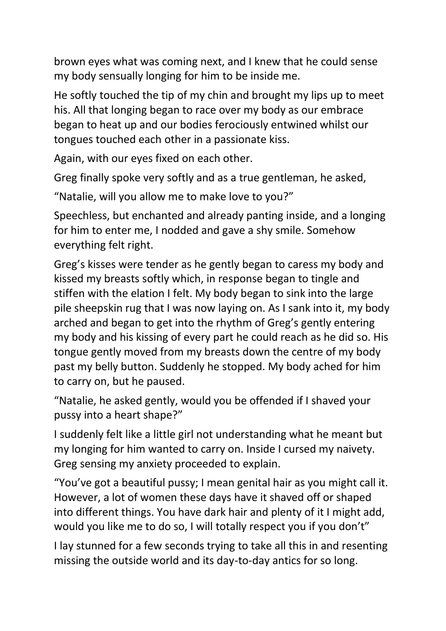brown eyes what was coming next, and I knew that he could sense my body sensually longing for him to be inside me.

He softly touched the tip of my chin and brought my lips up to meet his. All that longing began to race over my body as our embrace began to heat up and our bodies ferociously entwined whilst our tongues touched each other in a passionate kiss.

Again, with our eyes fixed on each other.

Greg finally spoke very softly and as a true gentleman, he asked,

"Natalie, will you allow me to make love to you?"

Speechless, but enchanted and already panting inside, and a longing for him to enter me, I nodded and gave a shy smile. Somehow everything felt right.

Greg's kisses were tender as he gently began to caress my body and kissed my breasts softly which, in response began to tingle and stiffen with the elation I felt. My body began to sink into the large pile sheepskin rug that I was now laying on. As I sank into it, my body arched and began to get into the rhythm of Greg's gently entering my body and his kissing of every part he could reach as he did so. His tongue gently moved from my breasts down the centre of my body past my belly button. Suddenly he stopped. My body ached for him to carry on, but he paused.

"Natalie, he asked gently, would you be offended if I shaved your pussy into a heart shape?"

I suddenly felt like a little girl not understanding what he meant but my longing for him wanted to carry on. Inside I cursed my naivety. Greg sensing my anxiety proceeded to explain.

"You've got a beautiful pussy; I mean genital hair as you might call it. However, a lot of women these days have it shaved off or shaped into different things. You have dark hair and plenty of it I might add, would you like me to do so, I will totally respect you if you don't"

I lay stunned for a few seconds trying to take all this in and resenting missing the outside world and its day-to-day antics for so long.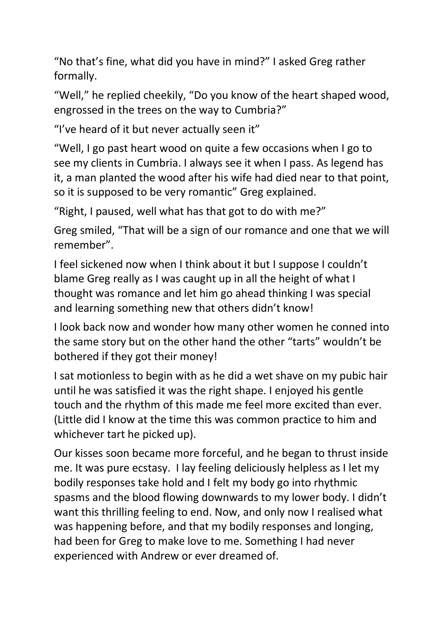"No that's fine, what did you have in mind?" I asked Greg rather formally.

"Well," he replied cheekily, "Do you know of the heart shaped wood, engrossed in the trees on the way to Cumbria?"

"I've heard of it but never actually seen it"

"Well, I go past heart wood on quite a few occasions when I go to see my clients in Cumbria. I always see it when I pass. As legend has it, a man planted the wood after his wife had died near to that point, so it is supposed to be very romantic" Greg explained.

"Right, I paused, well what has that got to do with me?"

Greg smiled, "That will be a sign of our romance and one that we will remember".

I feel sickened now when I think about it but I suppose I couldn't blame Greg really as I was caught up in all the height of what I thought was romance and let him go ahead thinking I was special and learning something new that others didn't know!

I look back now and wonder how many other women he conned into the same story but on the other hand the other "tarts" wouldn't be bothered if they got their money!

I sat motionless to begin with as he did a wet shave on my pubic hair until he was satisfied it was the right shape. I enjoyed his gentle touch and the rhythm of this made me feel more excited than ever. (Little did I know at the time this was common practice to him and whichever tart he picked up).

Our kisses soon became more forceful, and he began to thrust inside me. It was pure ecstasy. I lay feeling deliciously helpless as I let my bodily responses take hold and I felt my body go into rhythmic spasms and the blood flowing downwards to my lower body. I didn't want this thrilling feeling to end. Now, and only now I realised what was happening before, and that my bodily responses and longing, had been for Greg to make love to me. Something I had never experienced with Andrew or ever dreamed of.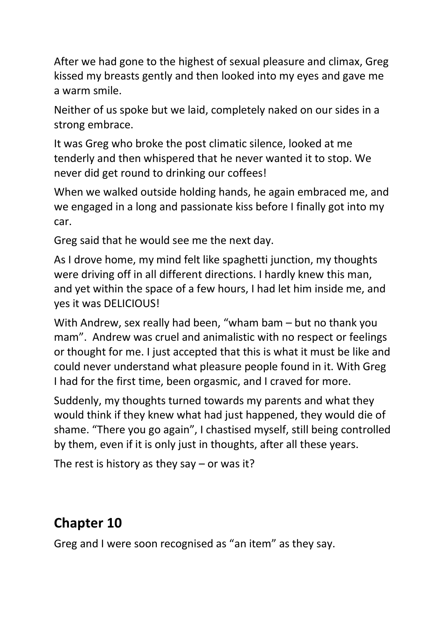After we had gone to the highest of sexual pleasure and climax, Greg kissed my breasts gently and then looked into my eyes and gave me a warm smile.

Neither of us spoke but we laid, completely naked on our sides in a strong embrace.

It was Greg who broke the post climatic silence, looked at me tenderly and then whispered that he never wanted it to stop. We never did get round to drinking our coffees!

When we walked outside holding hands, he again embraced me, and we engaged in a long and passionate kiss before I finally got into my car.

Greg said that he would see me the next day.

As I drove home, my mind felt like spaghetti junction, my thoughts were driving off in all different directions. I hardly knew this man, and yet within the space of a few hours, I had let him inside me, and yes it was DELICIOUS!

With Andrew, sex really had been, "wham bam – but no thank you mam". Andrew was cruel and animalistic with no respect or feelings or thought for me. I just accepted that this is what it must be like and could never understand what pleasure people found in it. With Greg I had for the first time, been orgasmic, and I craved for more.

Suddenly, my thoughts turned towards my parents and what they would think if they knew what had just happened, they would die of shame. "There you go again", I chastised myself, still being controlled by them, even if it is only just in thoughts, after all these years.

The rest is history as they say  $-$  or was it?

### **Chapter 10**

Greg and I were soon recognised as "an item" as they say.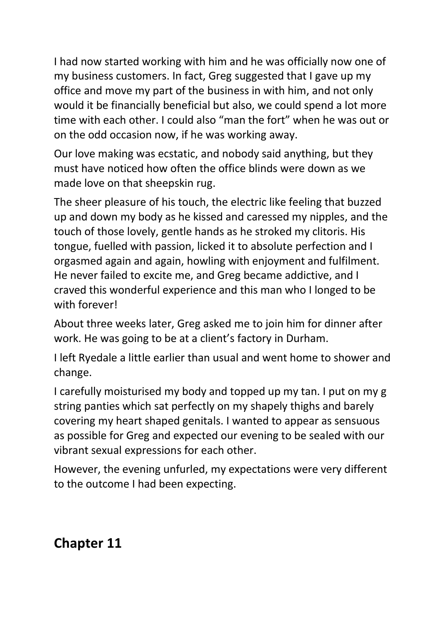I had now started working with him and he was officially now one of my business customers. In fact, Greg suggested that I gave up my office and move my part of the business in with him, and not only would it be financially beneficial but also, we could spend a lot more time with each other. I could also "man the fort" when he was out or on the odd occasion now, if he was working away.

Our love making was ecstatic, and nobody said anything, but they must have noticed how often the office blinds were down as we made love on that sheepskin rug.

The sheer pleasure of his touch, the electric like feeling that buzzed up and down my body as he kissed and caressed my nipples, and the touch of those lovely, gentle hands as he stroked my clitoris. His tongue, fuelled with passion, licked it to absolute perfection and I orgasmed again and again, howling with enjoyment and fulfilment. He never failed to excite me, and Greg became addictive, and I craved this wonderful experience and this man who I longed to be with forever!

About three weeks later, Greg asked me to join him for dinner after work. He was going to be at a client's factory in Durham.

I left Ryedale a little earlier than usual and went home to shower and change.

I carefully moisturised my body and topped up my tan. I put on my g string panties which sat perfectly on my shapely thighs and barely covering my heart shaped genitals. I wanted to appear as sensuous as possible for Greg and expected our evening to be sealed with our vibrant sexual expressions for each other.

However, the evening unfurled, my expectations were very different to the outcome I had been expecting.

#### **Chapter 11**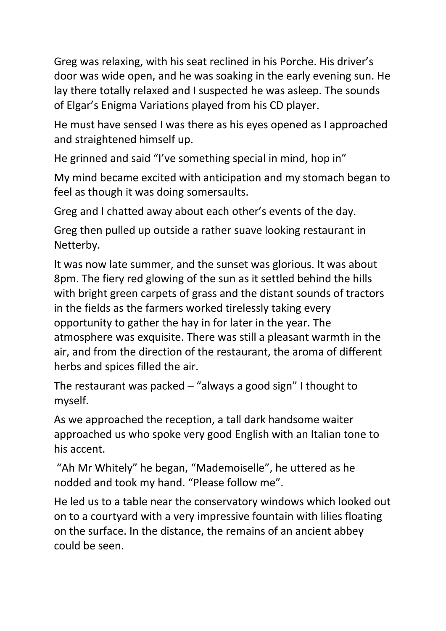Greg was relaxing, with his seat reclined in his Porche. His driver's door was wide open, and he was soaking in the early evening sun. He lay there totally relaxed and I suspected he was asleep. The sounds of Elgar's Enigma Variations played from his CD player.

He must have sensed I was there as his eyes opened as I approached and straightened himself up.

He grinned and said "I've something special in mind, hop in"

My mind became excited with anticipation and my stomach began to feel as though it was doing somersaults.

Greg and I chatted away about each other's events of the day.

Greg then pulled up outside a rather suave looking restaurant in Netterby.

It was now late summer, and the sunset was glorious. It was about 8pm. The fiery red glowing of the sun as it settled behind the hills with bright green carpets of grass and the distant sounds of tractors in the fields as the farmers worked tirelessly taking every opportunity to gather the hay in for later in the year. The atmosphere was exquisite. There was still a pleasant warmth in the air, and from the direction of the restaurant, the aroma of different herbs and spices filled the air.

The restaurant was packed  $-$  "always a good sign" I thought to myself.

As we approached the reception, a tall dark handsome waiter approached us who spoke very good English with an Italian tone to his accent.

"Ah Mr Whitely" he began, "Mademoiselle", he uttered as he nodded and took my hand. "Please follow me".

He led us to a table near the conservatory windows which looked out on to a courtyard with a very impressive fountain with lilies floating on the surface. In the distance, the remains of an ancient abbey could be seen.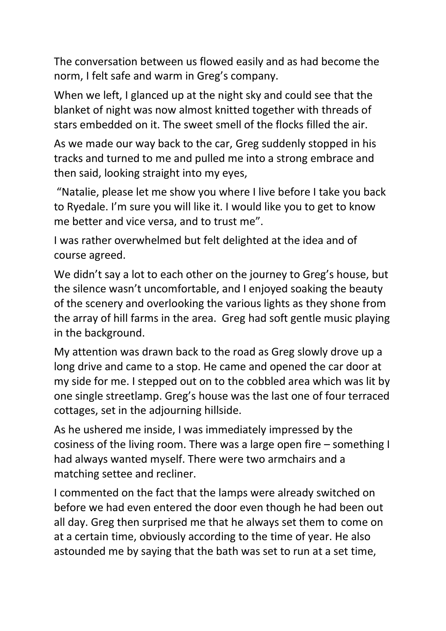The conversation between us flowed easily and as had become the norm, I felt safe and warm in Greg's company.

When we left, I glanced up at the night sky and could see that the blanket of night was now almost knitted together with threads of stars embedded on it. The sweet smell of the flocks filled the air.

As we made our way back to the car, Greg suddenly stopped in his tracks and turned to me and pulled me into a strong embrace and then said, looking straight into my eyes,

"Natalie, please let me show you where I live before I take you back to Ryedale. I'm sure you will like it. I would like you to get to know me better and vice versa, and to trust me".

I was rather overwhelmed but felt delighted at the idea and of course agreed.

We didn't say a lot to each other on the journey to Greg's house, but the silence wasn't uncomfortable, and I enjoyed soaking the beauty of the scenery and overlooking the various lights as they shone from the array of hill farms in the area. Greg had soft gentle music playing in the background.

My attention was drawn back to the road as Greg slowly drove up a long drive and came to a stop. He came and opened the car door at my side for me. I stepped out on to the cobbled area which was lit by one single streetlamp. Greg's house was the last one of four terraced cottages, set in the adjourning hillside.

As he ushered me inside, I was immediately impressed by the cosiness of the living room. There was a large open fire – something I had always wanted myself. There were two armchairs and a matching settee and recliner.

I commented on the fact that the lamps were already switched on before we had even entered the door even though he had been out all day. Greg then surprised me that he always set them to come on at a certain time, obviously according to the time of year. He also astounded me by saying that the bath was set to run at a set time,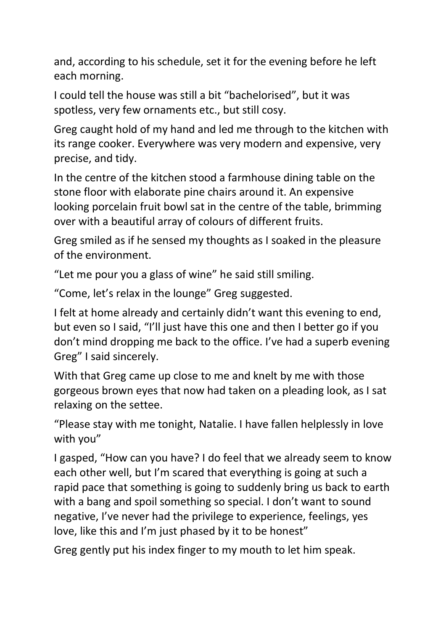and, according to his schedule, set it for the evening before he left each morning.

I could tell the house was still a bit "bachelorised", but it was spotless, very few ornaments etc., but still cosy.

Greg caught hold of my hand and led me through to the kitchen with its range cooker. Everywhere was very modern and expensive, very precise, and tidy.

In the centre of the kitchen stood a farmhouse dining table on the stone floor with elaborate pine chairs around it. An expensive looking porcelain fruit bowl sat in the centre of the table, brimming over with a beautiful array of colours of different fruits.

Greg smiled as if he sensed my thoughts as I soaked in the pleasure of the environment.

"Let me pour you a glass of wine" he said still smiling.

"Come, let's relax in the lounge" Greg suggested.

I felt at home already and certainly didn't want this evening to end, but even so I said, "I'll just have this one and then I better go if you don't mind dropping me back to the office. I've had a superb evening Greg" I said sincerely.

With that Greg came up close to me and knelt by me with those gorgeous brown eyes that now had taken on a pleading look, as I sat relaxing on the settee.

"Please stay with me tonight, Natalie. I have fallen helplessly in love with you"

I gasped, "How can you have? I do feel that we already seem to know each other well, but I'm scared that everything is going at such a rapid pace that something is going to suddenly bring us back to earth with a bang and spoil something so special. I don't want to sound negative, I've never had the privilege to experience, feelings, yes love, like this and I'm just phased by it to be honest"

Greg gently put his index finger to my mouth to let him speak.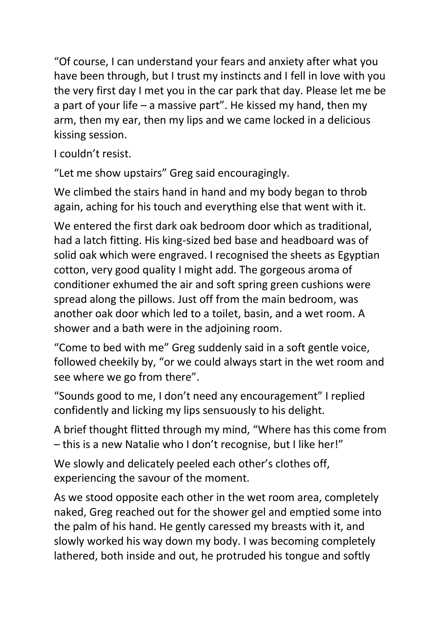"Of course, I can understand your fears and anxiety after what you have been through, but I trust my instincts and I fell in love with you the very first day I met you in the car park that day. Please let me be a part of your life – a massive part". He kissed my hand, then my arm, then my ear, then my lips and we came locked in a delicious kissing session.

I couldn't resist.

"Let me show upstairs" Greg said encouragingly.

We climbed the stairs hand in hand and my body began to throb again, aching for his touch and everything else that went with it.

We entered the first dark oak bedroom door which as traditional, had a latch fitting. His king-sized bed base and headboard was of solid oak which were engraved. I recognised the sheets as Egyptian cotton, very good quality I might add. The gorgeous aroma of conditioner exhumed the air and soft spring green cushions were spread along the pillows. Just off from the main bedroom, was another oak door which led to a toilet, basin, and a wet room. A shower and a bath were in the adjoining room.

"Come to bed with me" Greg suddenly said in a soft gentle voice, followed cheekily by, "or we could always start in the wet room and see where we go from there".

"Sounds good to me, I don't need any encouragement" I replied confidently and licking my lips sensuously to his delight.

A brief thought flitted through my mind, "Where has this come from – this is a new Natalie who I don't recognise, but I like her!"

We slowly and delicately peeled each other's clothes off, experiencing the savour of the moment.

As we stood opposite each other in the wet room area, completely naked, Greg reached out for the shower gel and emptied some into the palm of his hand. He gently caressed my breasts with it, and slowly worked his way down my body. I was becoming completely lathered, both inside and out, he protruded his tongue and softly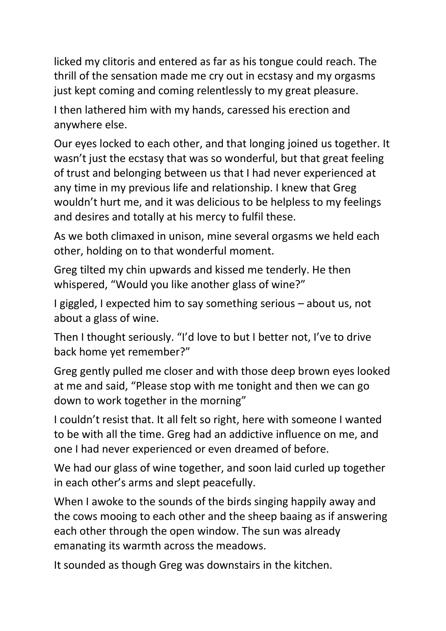licked my clitoris and entered as far as his tongue could reach. The thrill of the sensation made me cry out in ecstasy and my orgasms just kept coming and coming relentlessly to my great pleasure.

I then lathered him with my hands, caressed his erection and anywhere else.

Our eyes locked to each other, and that longing joined us together. It wasn't just the ecstasy that was so wonderful, but that great feeling of trust and belonging between us that I had never experienced at any time in my previous life and relationship. I knew that Greg wouldn't hurt me, and it was delicious to be helpless to my feelings and desires and totally at his mercy to fulfil these.

As we both climaxed in unison, mine several orgasms we held each other, holding on to that wonderful moment.

Greg tilted my chin upwards and kissed me tenderly. He then whispered, "Would you like another glass of wine?"

I giggled, I expected him to say something serious – about us, not about a glass of wine.

Then I thought seriously. "I'd love to but I better not, I've to drive back home yet remember?"

Greg gently pulled me closer and with those deep brown eyes looked at me and said, "Please stop with me tonight and then we can go down to work together in the morning"

I couldn't resist that. It all felt so right, here with someone I wanted to be with all the time. Greg had an addictive influence on me, and one I had never experienced or even dreamed of before.

We had our glass of wine together, and soon laid curled up together in each other's arms and slept peacefully.

When I awoke to the sounds of the birds singing happily away and the cows mooing to each other and the sheep baaing as if answering each other through the open window. The sun was already emanating its warmth across the meadows.

It sounded as though Greg was downstairs in the kitchen.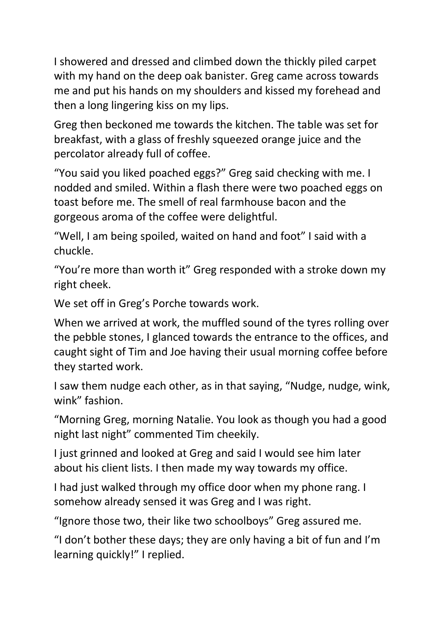I showered and dressed and climbed down the thickly piled carpet with my hand on the deep oak banister. Greg came across towards me and put his hands on my shoulders and kissed my forehead and then a long lingering kiss on my lips.

Greg then beckoned me towards the kitchen. The table was set for breakfast, with a glass of freshly squeezed orange juice and the percolator already full of coffee.

"You said you liked poached eggs?" Greg said checking with me. I nodded and smiled. Within a flash there were two poached eggs on toast before me. The smell of real farmhouse bacon and the gorgeous aroma of the coffee were delightful.

"Well, I am being spoiled, waited on hand and foot" I said with a chuckle.

"You're more than worth it" Greg responded with a stroke down my right cheek.

We set off in Greg's Porche towards work.

When we arrived at work, the muffled sound of the tyres rolling over the pebble stones, I glanced towards the entrance to the offices, and caught sight of Tim and Joe having their usual morning coffee before they started work.

I saw them nudge each other, as in that saying, "Nudge, nudge, wink, wink" fashion.

"Morning Greg, morning Natalie. You look as though you had a good night last night" commented Tim cheekily.

I just grinned and looked at Greg and said I would see him later about his client lists. I then made my way towards my office.

I had just walked through my office door when my phone rang. I somehow already sensed it was Greg and I was right.

"Ignore those two, their like two schoolboys" Greg assured me.

"I don't bother these days; they are only having a bit of fun and I'm learning quickly!" I replied.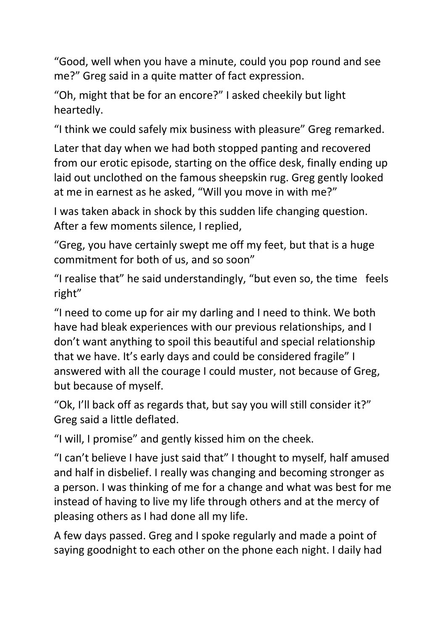"Good, well when you have a minute, could you pop round and see me?" Greg said in a quite matter of fact expression.

"Oh, might that be for an encore?" I asked cheekily but light heartedly.

"I think we could safely mix business with pleasure" Greg remarked.

Later that day when we had both stopped panting and recovered from our erotic episode, starting on the office desk, finally ending up laid out unclothed on the famous sheepskin rug. Greg gently looked at me in earnest as he asked, "Will you move in with me?"

I was taken aback in shock by this sudden life changing question. After a few moments silence, I replied,

"Greg, you have certainly swept me off my feet, but that is a huge commitment for both of us, and so soon"

"I realise that" he said understandingly, "but even so, the time feels right"

"I need to come up for air my darling and I need to think. We both have had bleak experiences with our previous relationships, and I don't want anything to spoil this beautiful and special relationship that we have. It's early days and could be considered fragile" I answered with all the courage I could muster, not because of Greg, but because of myself.

"Ok, I'll back off as regards that, but say you will still consider it?" Greg said a little deflated.

"I will, I promise" and gently kissed him on the cheek.

"I can't believe I have just said that" I thought to myself, half amused and half in disbelief. I really was changing and becoming stronger as a person. I was thinking of me for a change and what was best for me instead of having to live my life through others and at the mercy of pleasing others as I had done all my life.

A few days passed. Greg and I spoke regularly and made a point of saying goodnight to each other on the phone each night. I daily had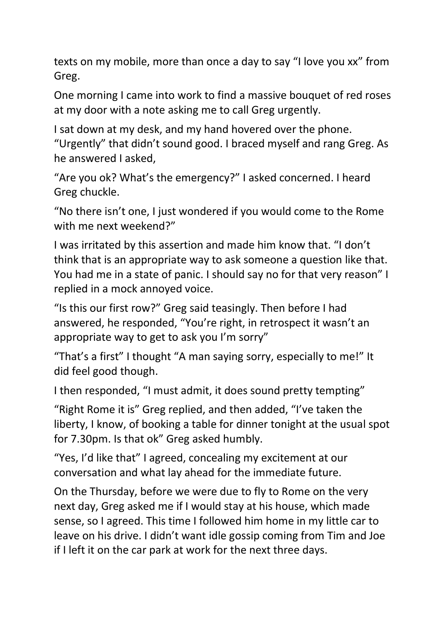texts on my mobile, more than once a day to say "I love you xx" from Greg.

One morning I came into work to find a massive bouquet of red roses at my door with a note asking me to call Greg urgently.

I sat down at my desk, and my hand hovered over the phone.

"Urgently" that didn't sound good. I braced myself and rang Greg. As he answered I asked,

"Are you ok? What's the emergency?" I asked concerned. I heard Greg chuckle.

"No there isn't one, I just wondered if you would come to the Rome with me next weekend?"

I was irritated by this assertion and made him know that. "I don't think that is an appropriate way to ask someone a question like that. You had me in a state of panic. I should say no for that very reason" I replied in a mock annoyed voice.

"Is this our first row?" Greg said teasingly. Then before I had answered, he responded, "You're right, in retrospect it wasn't an appropriate way to get to ask you I'm sorry"

"That's a first" I thought "A man saying sorry, especially to me!" It did feel good though.

I then responded, "I must admit, it does sound pretty tempting"

"Right Rome it is" Greg replied, and then added, "I've taken the liberty, I know, of booking a table for dinner tonight at the usual spot for 7.30pm. Is that ok" Greg asked humbly.

"Yes, I'd like that" I agreed, concealing my excitement at our conversation and what lay ahead for the immediate future.

On the Thursday, before we were due to fly to Rome on the very next day, Greg asked me if I would stay at his house, which made sense, so I agreed. This time I followed him home in my little car to leave on his drive. I didn't want idle gossip coming from Tim and Joe if I left it on the car park at work for the next three days.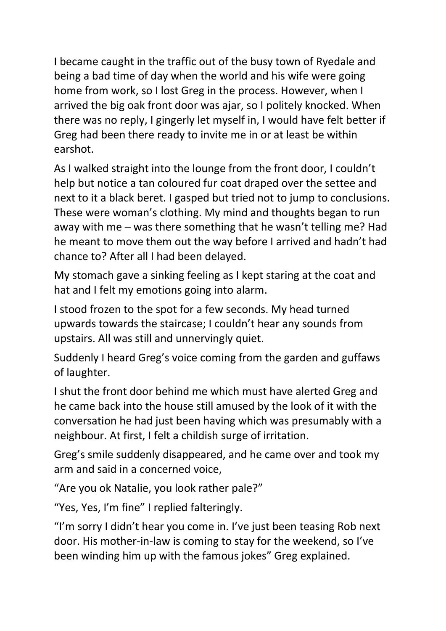I became caught in the traffic out of the busy town of Ryedale and being a bad time of day when the world and his wife were going home from work, so I lost Greg in the process. However, when I arrived the big oak front door was ajar, so I politely knocked. When there was no reply, I gingerly let myself in, I would have felt better if Greg had been there ready to invite me in or at least be within earshot.

As I walked straight into the lounge from the front door, I couldn't help but notice a tan coloured fur coat draped over the settee and next to it a black beret. I gasped but tried not to jump to conclusions. These were woman's clothing. My mind and thoughts began to run away with me – was there something that he wasn't telling me? Had he meant to move them out the way before I arrived and hadn't had chance to? After all I had been delayed.

My stomach gave a sinking feeling as I kept staring at the coat and hat and I felt my emotions going into alarm.

I stood frozen to the spot for a few seconds. My head turned upwards towards the staircase; I couldn't hear any sounds from upstairs. All was still and unnervingly quiet.

Suddenly I heard Greg's voice coming from the garden and guffaws of laughter.

I shut the front door behind me which must have alerted Greg and he came back into the house still amused by the look of it with the conversation he had just been having which was presumably with a neighbour. At first, I felt a childish surge of irritation.

Greg's smile suddenly disappeared, and he came over and took my arm and said in a concerned voice,

"Are you ok Natalie, you look rather pale?"

"Yes, Yes, I'm fine" I replied falteringly.

"I'm sorry I didn't hear you come in. I've just been teasing Rob next door. His mother-in-law is coming to stay for the weekend, so I've been winding him up with the famous jokes" Greg explained.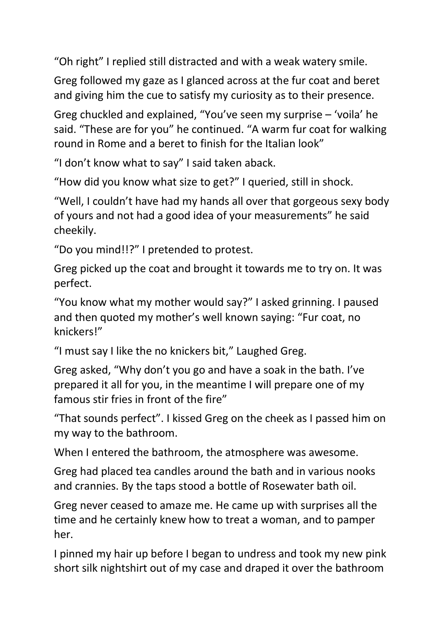"Oh right" I replied still distracted and with a weak watery smile.

Greg followed my gaze as I glanced across at the fur coat and beret and giving him the cue to satisfy my curiosity as to their presence.

Greg chuckled and explained, "You've seen my surprise – 'voila' he said. "These are for you" he continued. "A warm fur coat for walking round in Rome and a beret to finish for the Italian look"

"I don't know what to say" I said taken aback.

"How did you know what size to get?" I queried, still in shock.

"Well, I couldn't have had my hands all over that gorgeous sexy body of yours and not had a good idea of your measurements" he said cheekily.

"Do you mind!!?" I pretended to protest.

Greg picked up the coat and brought it towards me to try on. It was perfect.

"You know what my mother would say?" I asked grinning. I paused and then quoted my mother's well known saying: "Fur coat, no knickers!"

"I must say I like the no knickers bit," Laughed Greg.

Greg asked, "Why don't you go and have a soak in the bath. I've prepared it all for you, in the meantime I will prepare one of my famous stir fries in front of the fire"

"That sounds perfect". I kissed Greg on the cheek as I passed him on my way to the bathroom.

When I entered the bathroom, the atmosphere was awesome.

Greg had placed tea candles around the bath and in various nooks and crannies. By the taps stood a bottle of Rosewater bath oil.

Greg never ceased to amaze me. He came up with surprises all the time and he certainly knew how to treat a woman, and to pamper her.

I pinned my hair up before I began to undress and took my new pink short silk nightshirt out of my case and draped it over the bathroom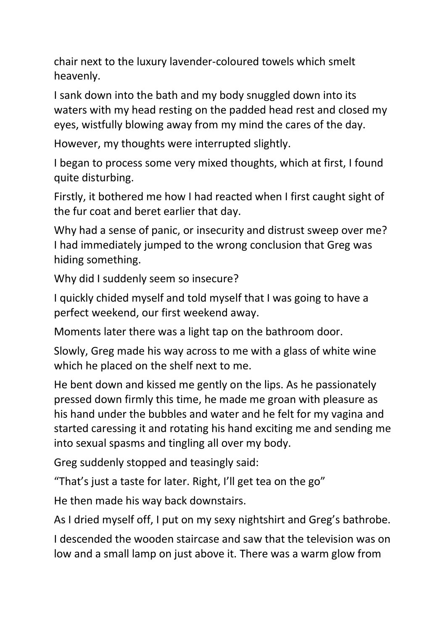chair next to the luxury lavender-coloured towels which smelt heavenly.

I sank down into the bath and my body snuggled down into its waters with my head resting on the padded head rest and closed my eyes, wistfully blowing away from my mind the cares of the day.

However, my thoughts were interrupted slightly.

I began to process some very mixed thoughts, which at first, I found quite disturbing.

Firstly, it bothered me how I had reacted when I first caught sight of the fur coat and beret earlier that day.

Why had a sense of panic, or insecurity and distrust sweep over me? I had immediately jumped to the wrong conclusion that Greg was hiding something.

Why did I suddenly seem so insecure?

I quickly chided myself and told myself that I was going to have a perfect weekend, our first weekend away.

Moments later there was a light tap on the bathroom door.

Slowly, Greg made his way across to me with a glass of white wine which he placed on the shelf next to me.

He bent down and kissed me gently on the lips. As he passionately pressed down firmly this time, he made me groan with pleasure as his hand under the bubbles and water and he felt for my vagina and started caressing it and rotating his hand exciting me and sending me into sexual spasms and tingling all over my body.

Greg suddenly stopped and teasingly said:

"That's just a taste for later. Right, I'll get tea on the go"

He then made his way back downstairs.

As I dried myself off, I put on my sexy nightshirt and Greg's bathrobe.

I descended the wooden staircase and saw that the television was on low and a small lamp on just above it. There was a warm glow from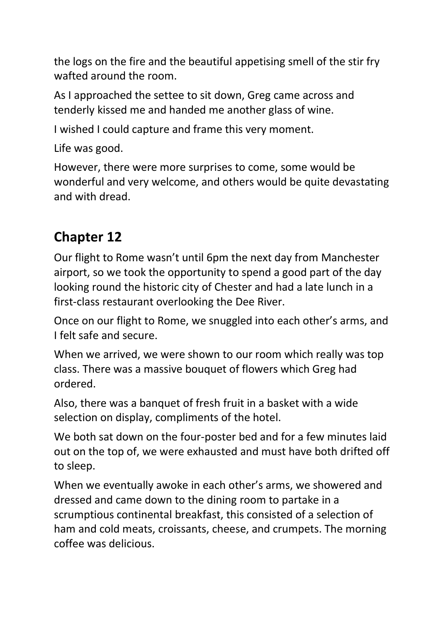the logs on the fire and the beautiful appetising smell of the stir fry wafted around the room.

As I approached the settee to sit down, Greg came across and tenderly kissed me and handed me another glass of wine.

I wished I could capture and frame this very moment.

Life was good.

However, there were more surprises to come, some would be wonderful and very welcome, and others would be quite devastating and with dread.

### **Chapter 12**

Our flight to Rome wasn't until 6pm the next day from Manchester airport, so we took the opportunity to spend a good part of the day looking round the historic city of Chester and had a late lunch in a first-class restaurant overlooking the Dee River.

Once on our flight to Rome, we snuggled into each other's arms, and I felt safe and secure.

When we arrived, we were shown to our room which really was top class. There was a massive bouquet of flowers which Greg had ordered.

Also, there was a banquet of fresh fruit in a basket with a wide selection on display, compliments of the hotel.

We both sat down on the four-poster bed and for a few minutes laid out on the top of, we were exhausted and must have both drifted off to sleep.

When we eventually awoke in each other's arms, we showered and dressed and came down to the dining room to partake in a scrumptious continental breakfast, this consisted of a selection of ham and cold meats, croissants, cheese, and crumpets. The morning coffee was delicious.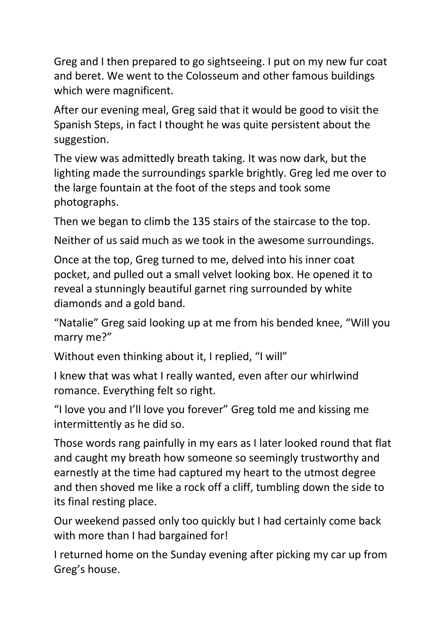Greg and I then prepared to go sightseeing. I put on my new fur coat and beret. We went to the Colosseum and other famous buildings which were magnificent.

After our evening meal, Greg said that it would be good to visit the Spanish Steps, in fact I thought he was quite persistent about the suggestion.

The view was admittedly breath taking. It was now dark, but the lighting made the surroundings sparkle brightly. Greg led me over to the large fountain at the foot of the steps and took some photographs.

Then we began to climb the 135 stairs of the staircase to the top.

Neither of us said much as we took in the awesome surroundings.

Once at the top, Greg turned to me, delved into his inner coat pocket, and pulled out a small velvet looking box. He opened it to reveal a stunningly beautiful garnet ring surrounded by white diamonds and a gold band.

"Natalie" Greg said looking up at me from his bended knee, "Will you marry me?"

Without even thinking about it, I replied, "I will"

I knew that was what I really wanted, even after our whirlwind romance. Everything felt so right.

"I love you and I'll love you forever" Greg told me and kissing me intermittently as he did so.

Those words rang painfully in my ears as I later looked round that flat and caught my breath how someone so seemingly trustworthy and earnestly at the time had captured my heart to the utmost degree and then shoved me like a rock off a cliff, tumbling down the side to its final resting place.

Our weekend passed only too quickly but I had certainly come back with more than I had bargained for!

I returned home on the Sunday evening after picking my car up from Greg's house.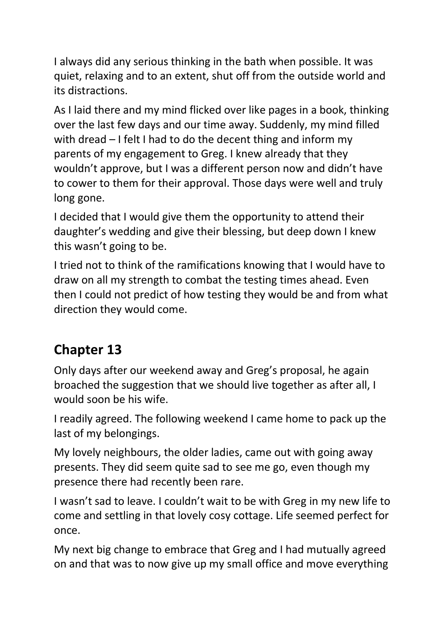I always did any serious thinking in the bath when possible. It was quiet, relaxing and to an extent, shut off from the outside world and its distractions.

As I laid there and my mind flicked over like pages in a book, thinking over the last few days and our time away. Suddenly, my mind filled with dread – I felt I had to do the decent thing and inform my parents of my engagement to Greg. I knew already that they wouldn't approve, but I was a different person now and didn't have to cower to them for their approval. Those days were well and truly long gone.

I decided that I would give them the opportunity to attend their daughter's wedding and give their blessing, but deep down I knew this wasn't going to be.

I tried not to think of the ramifications knowing that I would have to draw on all my strength to combat the testing times ahead. Even then I could not predict of how testing they would be and from what direction they would come.

### **Chapter 13**

Only days after our weekend away and Greg's proposal, he again broached the suggestion that we should live together as after all, I would soon be his wife.

I readily agreed. The following weekend I came home to pack up the last of my belongings.

My lovely neighbours, the older ladies, came out with going away presents. They did seem quite sad to see me go, even though my presence there had recently been rare.

I wasn't sad to leave. I couldn't wait to be with Greg in my new life to come and settling in that lovely cosy cottage. Life seemed perfect for once.

My next big change to embrace that Greg and I had mutually agreed on and that was to now give up my small office and move everything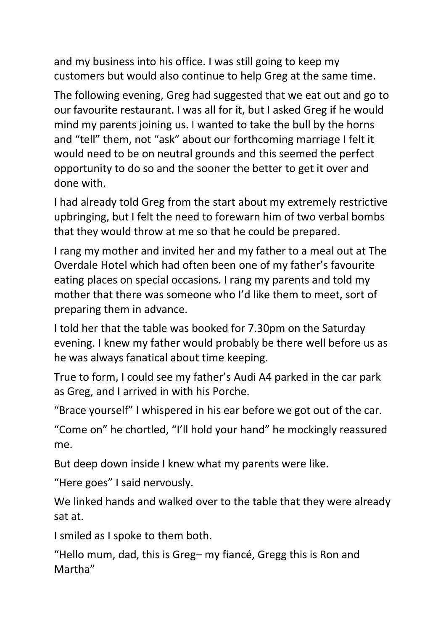and my business into his office. I was still going to keep my customers but would also continue to help Greg at the same time.

The following evening, Greg had suggested that we eat out and go to our favourite restaurant. I was all for it, but I asked Greg if he would mind my parents joining us. I wanted to take the bull by the horns and "tell" them, not "ask" about our forthcoming marriage I felt it would need to be on neutral grounds and this seemed the perfect opportunity to do so and the sooner the better to get it over and done with.

I had already told Greg from the start about my extremely restrictive upbringing, but I felt the need to forewarn him of two verbal bombs that they would throw at me so that he could be prepared.

I rang my mother and invited her and my father to a meal out at The Overdale Hotel which had often been one of my father's favourite eating places on special occasions. I rang my parents and told my mother that there was someone who I'd like them to meet, sort of preparing them in advance.

I told her that the table was booked for 7.30pm on the Saturday evening. I knew my father would probably be there well before us as he was always fanatical about time keeping.

True to form, I could see my father's Audi A4 parked in the car park as Greg, and I arrived in with his Porche.

"Brace yourself" I whispered in his ear before we got out of the car.

"Come on" he chortled, "I'll hold your hand" he mockingly reassured me.

But deep down inside I knew what my parents were like.

"Here goes" I said nervously.

We linked hands and walked over to the table that they were already sat at.

I smiled as I spoke to them both.

"Hello mum, dad, this is Greg– my fiancé, Gregg this is Ron and Martha"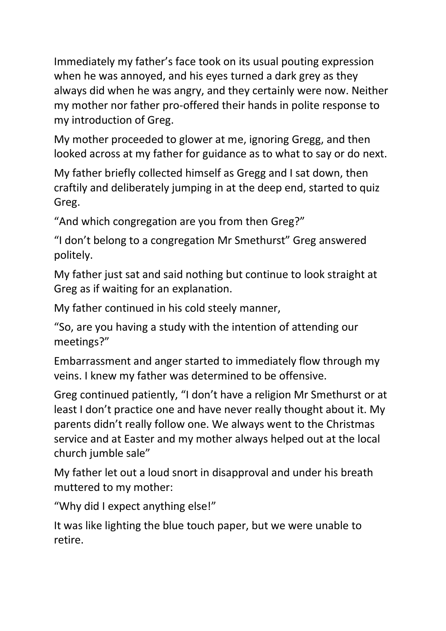Immediately my father's face took on its usual pouting expression when he was annoyed, and his eyes turned a dark grey as they always did when he was angry, and they certainly were now. Neither my mother nor father pro-offered their hands in polite response to my introduction of Greg.

My mother proceeded to glower at me, ignoring Gregg, and then looked across at my father for guidance as to what to say or do next.

My father briefly collected himself as Gregg and I sat down, then craftily and deliberately jumping in at the deep end, started to quiz Greg.

"And which congregation are you from then Greg?"

"I don't belong to a congregation Mr Smethurst" Greg answered politely.

My father just sat and said nothing but continue to look straight at Greg as if waiting for an explanation.

My father continued in his cold steely manner,

"So, are you having a study with the intention of attending our meetings?"

Embarrassment and anger started to immediately flow through my veins. I knew my father was determined to be offensive.

Greg continued patiently, "I don't have a religion Mr Smethurst or at least I don't practice one and have never really thought about it. My parents didn't really follow one. We always went to the Christmas service and at Easter and my mother always helped out at the local church jumble sale"

My father let out a loud snort in disapproval and under his breath muttered to my mother:

"Why did I expect anything else!"

It was like lighting the blue touch paper, but we were unable to retire.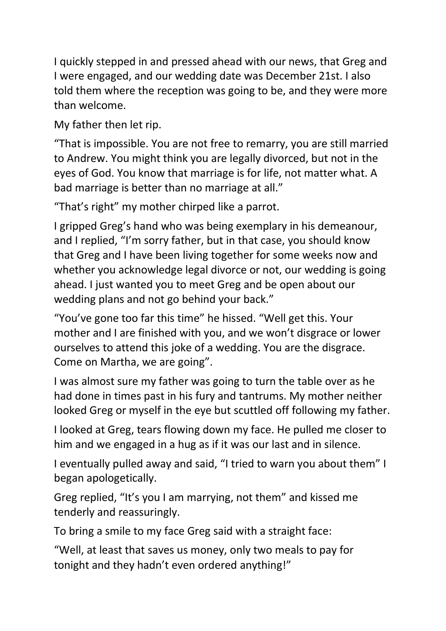I quickly stepped in and pressed ahead with our news, that Greg and I were engaged, and our wedding date was December 21st. I also told them where the reception was going to be, and they were more than welcome.

My father then let rip.

"That is impossible. You are not free to remarry, you are still married to Andrew. You might think you are legally divorced, but not in the eyes of God. You know that marriage is for life, not matter what. A bad marriage is better than no marriage at all."

"That's right" my mother chirped like a parrot.

I gripped Greg's hand who was being exemplary in his demeanour, and I replied, "I'm sorry father, but in that case, you should know that Greg and I have been living together for some weeks now and whether you acknowledge legal divorce or not, our wedding is going ahead. I just wanted you to meet Greg and be open about our wedding plans and not go behind your back."

"You've gone too far this time" he hissed. "Well get this. Your mother and I are finished with you, and we won't disgrace or lower ourselves to attend this joke of a wedding. You are the disgrace. Come on Martha, we are going".

I was almost sure my father was going to turn the table over as he had done in times past in his fury and tantrums. My mother neither looked Greg or myself in the eye but scuttled off following my father.

I looked at Greg, tears flowing down my face. He pulled me closer to him and we engaged in a hug as if it was our last and in silence.

I eventually pulled away and said, "I tried to warn you about them" I began apologetically.

Greg replied, "It's you I am marrying, not them" and kissed me tenderly and reassuringly.

To bring a smile to my face Greg said with a straight face:

"Well, at least that saves us money, only two meals to pay for tonight and they hadn't even ordered anything!"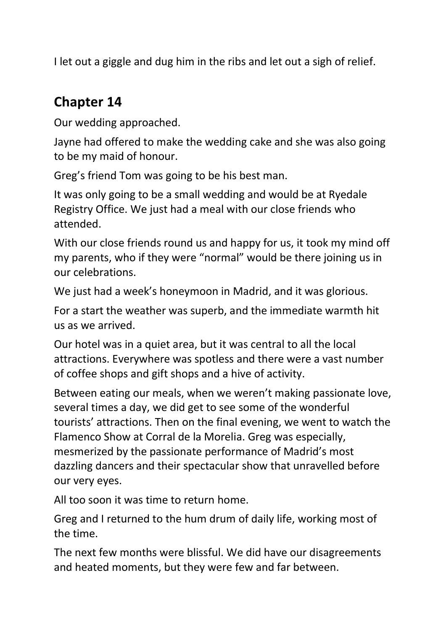I let out a giggle and dug him in the ribs and let out a sigh of relief.

#### **Chapter 14**

Our wedding approached.

Jayne had offered to make the wedding cake and she was also going to be my maid of honour.

Greg's friend Tom was going to be his best man.

It was only going to be a small wedding and would be at Ryedale Registry Office. We just had a meal with our close friends who attended.

With our close friends round us and happy for us, it took my mind off my parents, who if they were "normal" would be there joining us in our celebrations.

We just had a week's honeymoon in Madrid, and it was glorious.

For a start the weather was superb, and the immediate warmth hit us as we arrived.

Our hotel was in a quiet area, but it was central to all the local attractions. Everywhere was spotless and there were a vast number of coffee shops and gift shops and a hive of activity.

Between eating our meals, when we weren't making passionate love, several times a day, we did get to see some of the wonderful tourists' attractions. Then on the final evening, we went to watch the Flamenco Show at Corral de la Morelia. Greg was especially, mesmerized by the passionate performance of Madrid's most dazzling dancers and their spectacular show that unravelled before our very eyes.

All too soon it was time to return home.

Greg and I returned to the hum drum of daily life, working most of the time.

The next few months were blissful. We did have our disagreements and heated moments, but they were few and far between.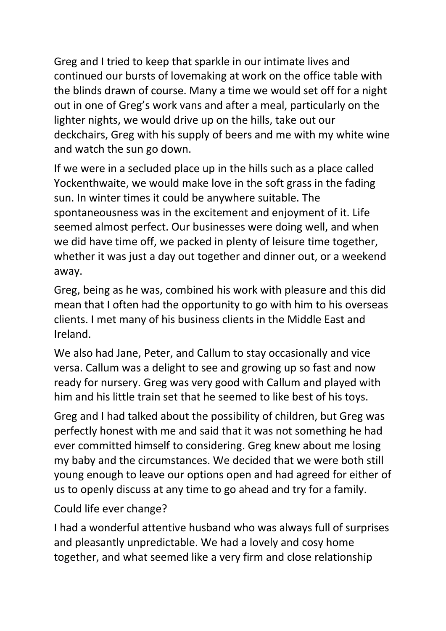Greg and I tried to keep that sparkle in our intimate lives and continued our bursts of lovemaking at work on the office table with the blinds drawn of course. Many a time we would set off for a night out in one of Greg's work vans and after a meal, particularly on the lighter nights, we would drive up on the hills, take out our deckchairs, Greg with his supply of beers and me with my white wine and watch the sun go down.

If we were in a secluded place up in the hills such as a place called Yockenthwaite, we would make love in the soft grass in the fading sun. In winter times it could be anywhere suitable. The spontaneousness was in the excitement and enjoyment of it. Life seemed almost perfect. Our businesses were doing well, and when we did have time off, we packed in plenty of leisure time together, whether it was just a day out together and dinner out, or a weekend away.

Greg, being as he was, combined his work with pleasure and this did mean that I often had the opportunity to go with him to his overseas clients. I met many of his business clients in the Middle East and Ireland.

We also had Jane, Peter, and Callum to stay occasionally and vice versa. Callum was a delight to see and growing up so fast and now ready for nursery. Greg was very good with Callum and played with him and his little train set that he seemed to like best of his toys.

Greg and I had talked about the possibility of children, but Greg was perfectly honest with me and said that it was not something he had ever committed himself to considering. Greg knew about me losing my baby and the circumstances. We decided that we were both still young enough to leave our options open and had agreed for either of us to openly discuss at any time to go ahead and try for a family.

Could life ever change?

I had a wonderful attentive husband who was always full of surprises and pleasantly unpredictable. We had a lovely and cosy home together, and what seemed like a very firm and close relationship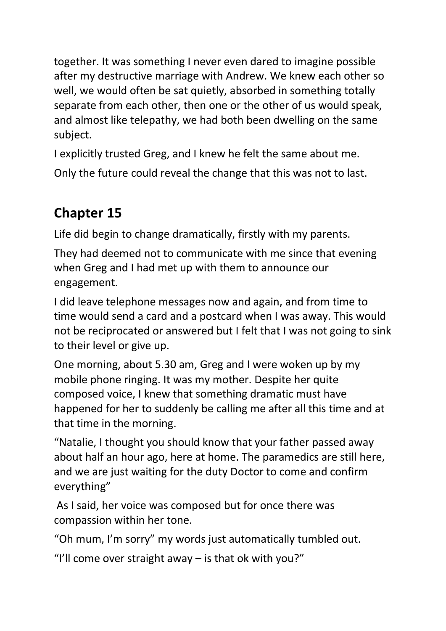together. It was something I never even dared to imagine possible after my destructive marriage with Andrew. We knew each other so well, we would often be sat quietly, absorbed in something totally separate from each other, then one or the other of us would speak, and almost like telepathy, we had both been dwelling on the same subject.

I explicitly trusted Greg, and I knew he felt the same about me.

Only the future could reveal the change that this was not to last.

# **Chapter 15**

Life did begin to change dramatically, firstly with my parents.

They had deemed not to communicate with me since that evening when Greg and I had met up with them to announce our engagement.

I did leave telephone messages now and again, and from time to time would send a card and a postcard when I was away. This would not be reciprocated or answered but I felt that I was not going to sink to their level or give up.

One morning, about 5.30 am, Greg and I were woken up by my mobile phone ringing. It was my mother. Despite her quite composed voice, I knew that something dramatic must have happened for her to suddenly be calling me after all this time and at that time in the morning.

"Natalie, I thought you should know that your father passed away about half an hour ago, here at home. The paramedics are still here, and we are just waiting for the duty Doctor to come and confirm everything"

As I said, her voice was composed but for once there was compassion within her tone.

"Oh mum, I'm sorry" my words just automatically tumbled out.

"I'll come over straight away  $-$  is that ok with you?"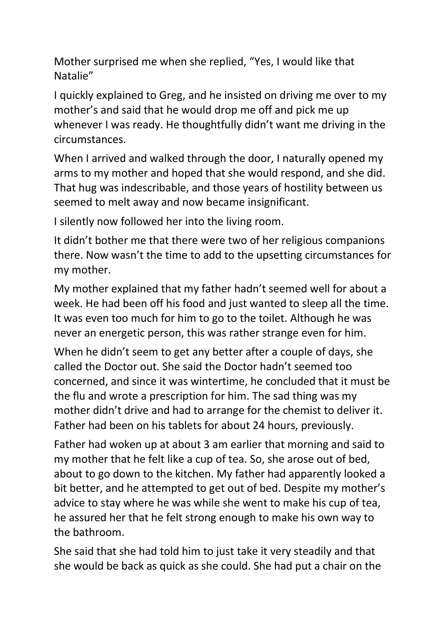Mother surprised me when she replied, "Yes, I would like that Natalie"

I quickly explained to Greg, and he insisted on driving me over to my mother's and said that he would drop me off and pick me up whenever I was ready. He thoughtfully didn't want me driving in the circumstances.

When I arrived and walked through the door, I naturally opened my arms to my mother and hoped that she would respond, and she did. That hug was indescribable, and those years of hostility between us seemed to melt away and now became insignificant.

I silently now followed her into the living room.

It didn't bother me that there were two of her religious companions there. Now wasn't the time to add to the upsetting circumstances for my mother.

My mother explained that my father hadn't seemed well for about a week. He had been off his food and just wanted to sleep all the time. It was even too much for him to go to the toilet. Although he was never an energetic person, this was rather strange even for him.

When he didn't seem to get any better after a couple of days, she called the Doctor out. She said the Doctor hadn't seemed too concerned, and since it was wintertime, he concluded that it must be the flu and wrote a prescription for him. The sad thing was my mother didn't drive and had to arrange for the chemist to deliver it. Father had been on his tablets for about 24 hours, previously.

Father had woken up at about 3 am earlier that morning and said to my mother that he felt like a cup of tea. So, she arose out of bed, about to go down to the kitchen. My father had apparently looked a bit better, and he attempted to get out of bed. Despite my mother's advice to stay where he was while she went to make his cup of tea, he assured her that he felt strong enough to make his own way to the bathroom.

She said that she had told him to just take it very steadily and that she would be back as quick as she could. She had put a chair on the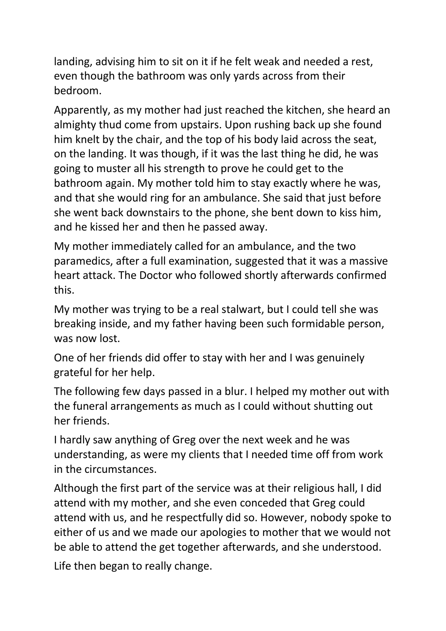landing, advising him to sit on it if he felt weak and needed a rest, even though the bathroom was only yards across from their bedroom.

Apparently, as my mother had just reached the kitchen, she heard an almighty thud come from upstairs. Upon rushing back up she found him knelt by the chair, and the top of his body laid across the seat, on the landing. It was though, if it was the last thing he did, he was going to muster all his strength to prove he could get to the bathroom again. My mother told him to stay exactly where he was, and that she would ring for an ambulance. She said that just before she went back downstairs to the phone, she bent down to kiss him, and he kissed her and then he passed away.

My mother immediately called for an ambulance, and the two paramedics, after a full examination, suggested that it was a massive heart attack. The Doctor who followed shortly afterwards confirmed this.

My mother was trying to be a real stalwart, but I could tell she was breaking inside, and my father having been such formidable person, was now lost.

One of her friends did offer to stay with her and I was genuinely grateful for her help.

The following few days passed in a blur. I helped my mother out with the funeral arrangements as much as I could without shutting out her friends.

I hardly saw anything of Greg over the next week and he was understanding, as were my clients that I needed time off from work in the circumstances.

Although the first part of the service was at their religious hall, I did attend with my mother, and she even conceded that Greg could attend with us, and he respectfully did so. However, nobody spoke to either of us and we made our apologies to mother that we would not be able to attend the get together afterwards, and she understood.

Life then began to really change.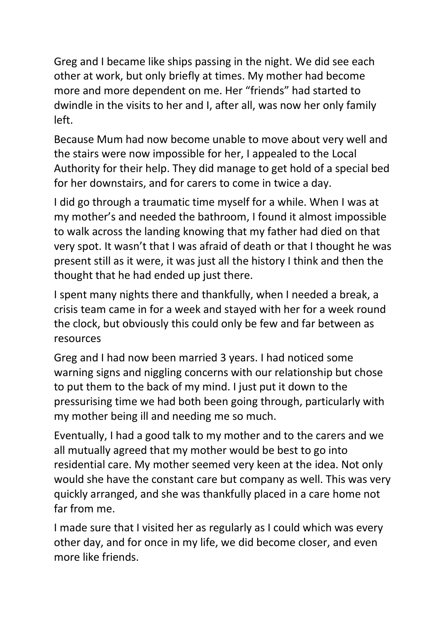Greg and I became like ships passing in the night. We did see each other at work, but only briefly at times. My mother had become more and more dependent on me. Her "friends" had started to dwindle in the visits to her and I, after all, was now her only family left.

Because Mum had now become unable to move about very well and the stairs were now impossible for her, I appealed to the Local Authority for their help. They did manage to get hold of a special bed for her downstairs, and for carers to come in twice a day.

I did go through a traumatic time myself for a while. When I was at my mother's and needed the bathroom, I found it almost impossible to walk across the landing knowing that my father had died on that very spot. It wasn't that I was afraid of death or that I thought he was present still as it were, it was just all the history I think and then the thought that he had ended up just there.

I spent many nights there and thankfully, when I needed a break, a crisis team came in for a week and stayed with her for a week round the clock, but obviously this could only be few and far between as resources

Greg and I had now been married 3 years. I had noticed some warning signs and niggling concerns with our relationship but chose to put them to the back of my mind. I just put it down to the pressurising time we had both been going through, particularly with my mother being ill and needing me so much.

Eventually, I had a good talk to my mother and to the carers and we all mutually agreed that my mother would be best to go into residential care. My mother seemed very keen at the idea. Not only would she have the constant care but company as well. This was very quickly arranged, and she was thankfully placed in a care home not far from me.

I made sure that I visited her as regularly as I could which was every other day, and for once in my life, we did become closer, and even more like friends.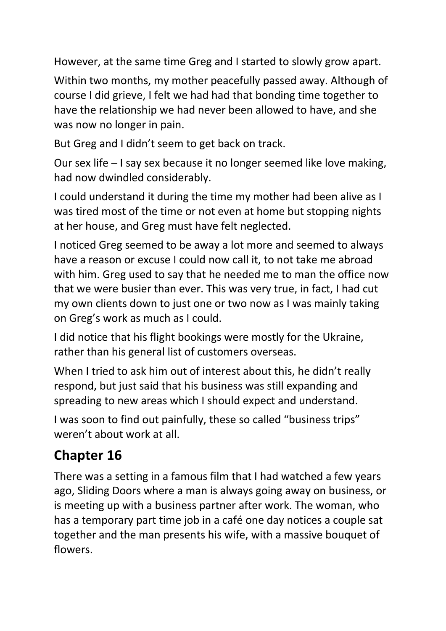However, at the same time Greg and I started to slowly grow apart.

Within two months, my mother peacefully passed away. Although of course I did grieve, I felt we had had that bonding time together to have the relationship we had never been allowed to have, and she was now no longer in pain.

But Greg and I didn't seem to get back on track.

Our sex life – I say sex because it no longer seemed like love making, had now dwindled considerably.

I could understand it during the time my mother had been alive as I was tired most of the time or not even at home but stopping nights at her house, and Greg must have felt neglected.

I noticed Greg seemed to be away a lot more and seemed to always have a reason or excuse I could now call it, to not take me abroad with him. Greg used to say that he needed me to man the office now that we were busier than ever. This was very true, in fact, I had cut my own clients down to just one or two now as I was mainly taking on Greg's work as much as I could.

I did notice that his flight bookings were mostly for the Ukraine, rather than his general list of customers overseas.

When I tried to ask him out of interest about this, he didn't really respond, but just said that his business was still expanding and spreading to new areas which I should expect and understand.

I was soon to find out painfully, these so called "business trips" weren't about work at all.

## **Chapter 16**

There was a setting in a famous film that I had watched a few years ago, Sliding Doors where a man is always going away on business, or is meeting up with a business partner after work. The woman, who has a temporary part time job in a café one day notices a couple sat together and the man presents his wife, with a massive bouquet of flowers.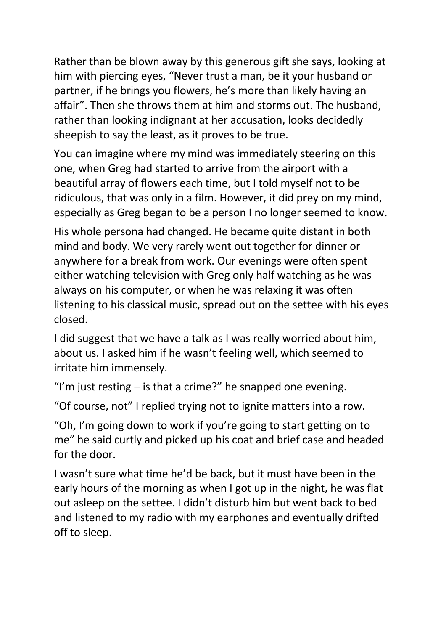Rather than be blown away by this generous gift she says, looking at him with piercing eyes, "Never trust a man, be it your husband or partner, if he brings you flowers, he's more than likely having an affair". Then she throws them at him and storms out. The husband, rather than looking indignant at her accusation, looks decidedly sheepish to say the least, as it proves to be true.

You can imagine where my mind was immediately steering on this one, when Greg had started to arrive from the airport with a beautiful array of flowers each time, but I told myself not to be ridiculous, that was only in a film. However, it did prey on my mind, especially as Greg began to be a person I no longer seemed to know.

His whole persona had changed. He became quite distant in both mind and body. We very rarely went out together for dinner or anywhere for a break from work. Our evenings were often spent either watching television with Greg only half watching as he was always on his computer, or when he was relaxing it was often listening to his classical music, spread out on the settee with his eyes closed.

I did suggest that we have a talk as I was really worried about him, about us. I asked him if he wasn't feeling well, which seemed to irritate him immensely.

"I'm just resting  $-$  is that a crime?" he snapped one evening.

"Of course, not" I replied trying not to ignite matters into a row.

"Oh, I'm going down to work if you're going to start getting on to me" he said curtly and picked up his coat and brief case and headed for the door.

I wasn't sure what time he'd be back, but it must have been in the early hours of the morning as when I got up in the night, he was flat out asleep on the settee. I didn't disturb him but went back to bed and listened to my radio with my earphones and eventually drifted off to sleep.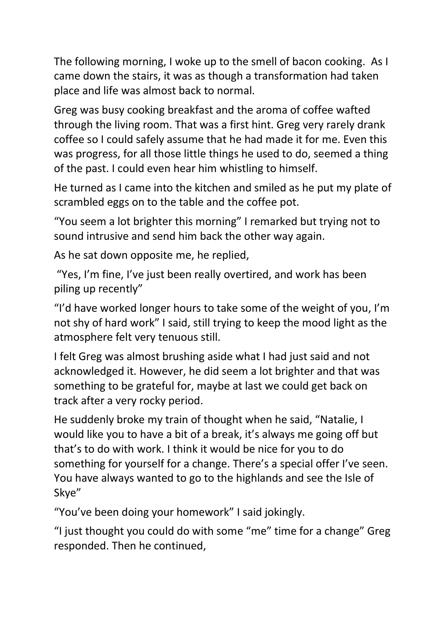The following morning, I woke up to the smell of bacon cooking. As I came down the stairs, it was as though a transformation had taken place and life was almost back to normal.

Greg was busy cooking breakfast and the aroma of coffee wafted through the living room. That was a first hint. Greg very rarely drank coffee so I could safely assume that he had made it for me. Even this was progress, for all those little things he used to do, seemed a thing of the past. I could even hear him whistling to himself.

He turned as I came into the kitchen and smiled as he put my plate of scrambled eggs on to the table and the coffee pot.

"You seem a lot brighter this morning" I remarked but trying not to sound intrusive and send him back the other way again.

As he sat down opposite me, he replied,

"Yes, I'm fine, I've just been really overtired, and work has been piling up recently"

"I'd have worked longer hours to take some of the weight of you, I'm not shy of hard work" I said, still trying to keep the mood light as the atmosphere felt very tenuous still.

I felt Greg was almost brushing aside what I had just said and not acknowledged it. However, he did seem a lot brighter and that was something to be grateful for, maybe at last we could get back on track after a very rocky period.

He suddenly broke my train of thought when he said, "Natalie, I would like you to have a bit of a break, it's always me going off but that's to do with work. I think it would be nice for you to do something for yourself for a change. There's a special offer I've seen. You have always wanted to go to the highlands and see the Isle of Skye"

"You've been doing your homework" I said jokingly.

"I just thought you could do with some "me" time for a change" Greg responded. Then he continued,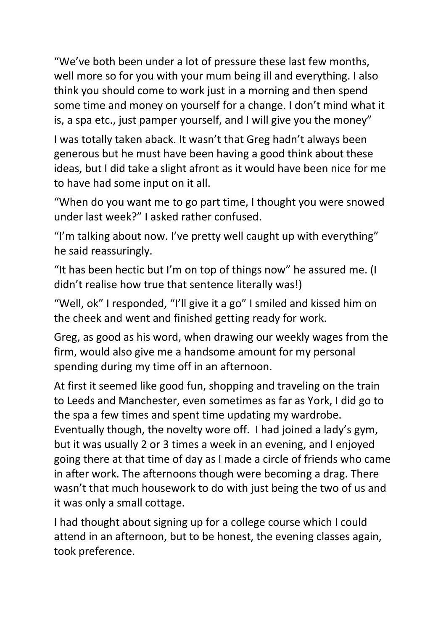"We've both been under a lot of pressure these last few months, well more so for you with your mum being ill and everything. I also think you should come to work just in a morning and then spend some time and money on yourself for a change. I don't mind what it is, a spa etc., just pamper yourself, and I will give you the money"

I was totally taken aback. It wasn't that Greg hadn't always been generous but he must have been having a good think about these ideas, but I did take a slight afront as it would have been nice for me to have had some input on it all.

"When do you want me to go part time, I thought you were snowed under last week?" I asked rather confused.

"I'm talking about now. I've pretty well caught up with everything" he said reassuringly.

"It has been hectic but I'm on top of things now" he assured me. (I didn't realise how true that sentence literally was!)

"Well, ok" I responded, "I'll give it a go" I smiled and kissed him on the cheek and went and finished getting ready for work.

Greg, as good as his word, when drawing our weekly wages from the firm, would also give me a handsome amount for my personal spending during my time off in an afternoon.

At first it seemed like good fun, shopping and traveling on the train to Leeds and Manchester, even sometimes as far as York, I did go to the spa a few times and spent time updating my wardrobe. Eventually though, the novelty wore off. I had joined a lady's gym, but it was usually 2 or 3 times a week in an evening, and I enjoyed going there at that time of day as I made a circle of friends who came in after work. The afternoons though were becoming a drag. There wasn't that much housework to do with just being the two of us and it was only a small cottage.

I had thought about signing up for a college course which I could attend in an afternoon, but to be honest, the evening classes again, took preference.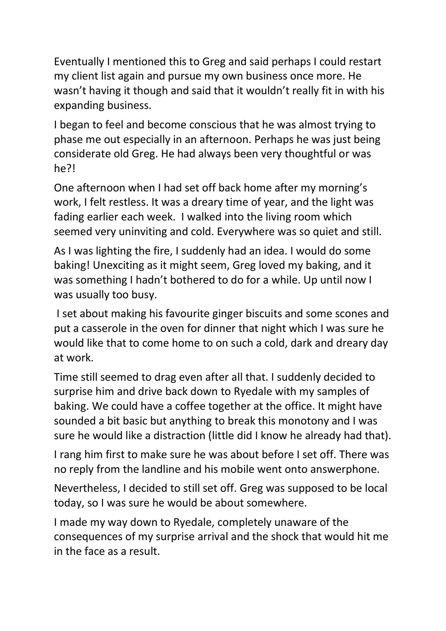Eventually I mentioned this to Greg and said perhaps I could restart my client list again and pursue my own business once more. He wasn't having it though and said that it wouldn't really fit in with his expanding business.

I began to feel and become conscious that he was almost trying to phase me out especially in an afternoon. Perhaps he was just being considerate old Greg. He had always been very thoughtful or was he?!

One afternoon when I had set off back home after my morning's work, I felt restless. It was a dreary time of year, and the light was fading earlier each week. I walked into the living room which seemed very uninviting and cold. Everywhere was so quiet and still.

As I was lighting the fire, I suddenly had an idea. I would do some baking! Unexciting as it might seem, Greg loved my baking, and it was something I hadn't bothered to do for a while. Up until now I was usually too busy.

I set about making his favourite ginger biscuits and some scones and put a casserole in the oven for dinner that night which I was sure he would like that to come home to on such a cold, dark and dreary day at work.

Time still seemed to drag even after all that. I suddenly decided to surprise him and drive back down to Ryedale with my samples of baking. We could have a coffee together at the office. It might have sounded a bit basic but anything to break this monotony and I was sure he would like a distraction (little did I know he already had that).

I rang him first to make sure he was about before I set off. There was no reply from the landline and his mobile went onto answerphone.

Nevertheless, I decided to still set off. Greg was supposed to be local today, so I was sure he would be about somewhere.

I made my way down to Ryedale, completely unaware of the consequences of my surprise arrival and the shock that would hit me in the face as a result.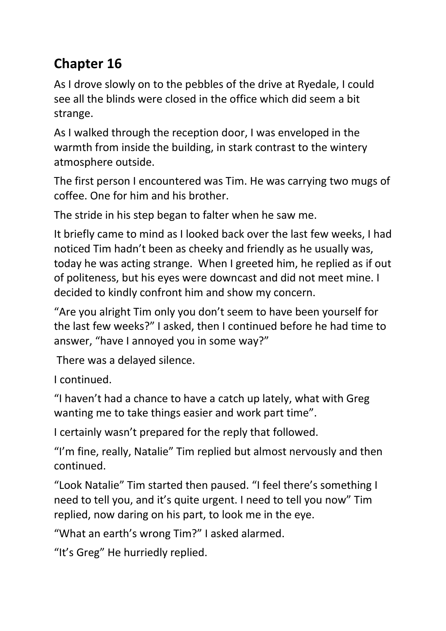# **Chapter 16**

As I drove slowly on to the pebbles of the drive at Ryedale, I could see all the blinds were closed in the office which did seem a bit strange.

As I walked through the reception door, I was enveloped in the warmth from inside the building, in stark contrast to the wintery atmosphere outside.

The first person I encountered was Tim. He was carrying two mugs of coffee. One for him and his brother.

The stride in his step began to falter when he saw me.

It briefly came to mind as I looked back over the last few weeks, I had noticed Tim hadn't been as cheeky and friendly as he usually was, today he was acting strange. When I greeted him, he replied as if out of politeness, but his eyes were downcast and did not meet mine. I decided to kindly confront him and show my concern.

"Are you alright Tim only you don't seem to have been yourself for the last few weeks?" I asked, then I continued before he had time to answer, "have I annoyed you in some way?"

There was a delayed silence.

I continued.

"I haven't had a chance to have a catch up lately, what with Greg wanting me to take things easier and work part time".

I certainly wasn't prepared for the reply that followed.

"I'm fine, really, Natalie" Tim replied but almost nervously and then continued.

"Look Natalie" Tim started then paused. "I feel there's something I need to tell you, and it's quite urgent. I need to tell you now" Tim replied, now daring on his part, to look me in the eye.

"What an earth's wrong Tim?" I asked alarmed.

"It's Greg" He hurriedly replied.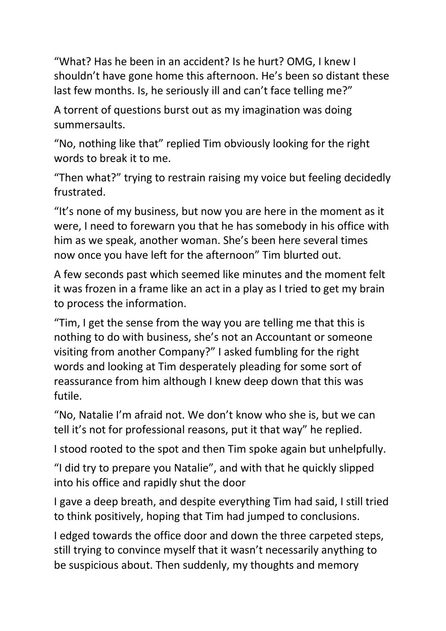"What? Has he been in an accident? Is he hurt? OMG, I knew I shouldn't have gone home this afternoon. He's been so distant these last few months. Is, he seriously ill and can't face telling me?"

A torrent of questions burst out as my imagination was doing summersaults.

"No, nothing like that" replied Tim obviously looking for the right words to break it to me.

"Then what?" trying to restrain raising my voice but feeling decidedly frustrated.

"It's none of my business, but now you are here in the moment as it were, I need to forewarn you that he has somebody in his office with him as we speak, another woman. She's been here several times now once you have left for the afternoon" Tim blurted out.

A few seconds past which seemed like minutes and the moment felt it was frozen in a frame like an act in a play as I tried to get my brain to process the information.

"Tim, I get the sense from the way you are telling me that this is nothing to do with business, she's not an Accountant or someone visiting from another Company?" I asked fumbling for the right words and looking at Tim desperately pleading for some sort of reassurance from him although I knew deep down that this was futile.

"No, Natalie I'm afraid not. We don't know who she is, but we can tell it's not for professional reasons, put it that way" he replied.

I stood rooted to the spot and then Tim spoke again but unhelpfully.

"I did try to prepare you Natalie", and with that he quickly slipped into his office and rapidly shut the door

I gave a deep breath, and despite everything Tim had said, I still tried to think positively, hoping that Tim had jumped to conclusions.

I edged towards the office door and down the three carpeted steps, still trying to convince myself that it wasn't necessarily anything to be suspicious about. Then suddenly, my thoughts and memory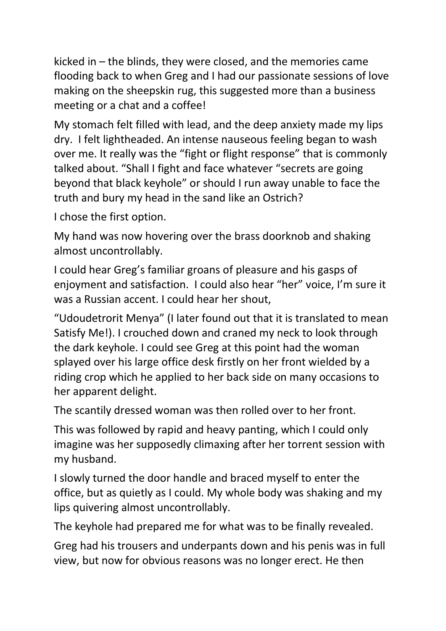kicked in – the blinds, they were closed, and the memories came flooding back to when Greg and I had our passionate sessions of love making on the sheepskin rug, this suggested more than a business meeting or a chat and a coffee!

My stomach felt filled with lead, and the deep anxiety made my lips dry. I felt lightheaded. An intense nauseous feeling began to wash over me. It really was the "fight or flight response" that is commonly talked about. "Shall I fight and face whatever "secrets are going beyond that black keyhole" or should I run away unable to face the truth and bury my head in the sand like an Ostrich?

I chose the first option.

My hand was now hovering over the brass doorknob and shaking almost uncontrollably.

I could hear Greg's familiar groans of pleasure and his gasps of enjoyment and satisfaction. I could also hear "her" voice, I'm sure it was a Russian accent. I could hear her shout,

"Udoudetrorit Menya" (I later found out that it is translated to mean Satisfy Me!). I crouched down and craned my neck to look through the dark keyhole. I could see Greg at this point had the woman splayed over his large office desk firstly on her front wielded by a riding crop which he applied to her back side on many occasions to her apparent delight.

The scantily dressed woman was then rolled over to her front.

This was followed by rapid and heavy panting, which I could only imagine was her supposedly climaxing after her torrent session with my husband.

I slowly turned the door handle and braced myself to enter the office, but as quietly as I could. My whole body was shaking and my lips quivering almost uncontrollably.

The keyhole had prepared me for what was to be finally revealed.

Greg had his trousers and underpants down and his penis was in full view, but now for obvious reasons was no longer erect. He then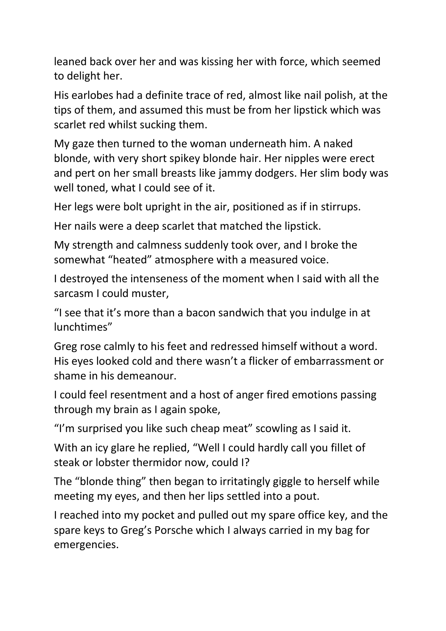leaned back over her and was kissing her with force, which seemed to delight her.

His earlobes had a definite trace of red, almost like nail polish, at the tips of them, and assumed this must be from her lipstick which was scarlet red whilst sucking them.

My gaze then turned to the woman underneath him. A naked blonde, with very short spikey blonde hair. Her nipples were erect and pert on her small breasts like jammy dodgers. Her slim body was well toned, what I could see of it.

Her legs were bolt upright in the air, positioned as if in stirrups.

Her nails were a deep scarlet that matched the lipstick.

My strength and calmness suddenly took over, and I broke the somewhat "heated" atmosphere with a measured voice.

I destroyed the intenseness of the moment when I said with all the sarcasm I could muster,

"I see that it's more than a bacon sandwich that you indulge in at lunchtimes"

Greg rose calmly to his feet and redressed himself without a word. His eyes looked cold and there wasn't a flicker of embarrassment or shame in his demeanour.

I could feel resentment and a host of anger fired emotions passing through my brain as I again spoke,

"I'm surprised you like such cheap meat" scowling as I said it.

With an icy glare he replied, "Well I could hardly call you fillet of steak or lobster thermidor now, could I?

The "blonde thing" then began to irritatingly giggle to herself while meeting my eyes, and then her lips settled into a pout.

I reached into my pocket and pulled out my spare office key, and the spare keys to Greg's Porsche which I always carried in my bag for emergencies.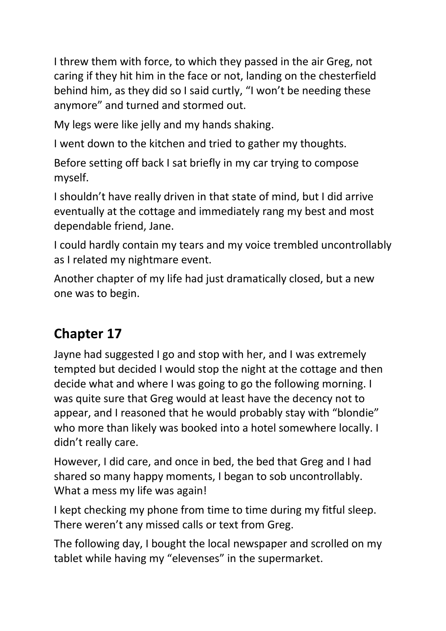I threw them with force, to which they passed in the air Greg, not caring if they hit him in the face or not, landing on the chesterfield behind him, as they did so I said curtly, "I won't be needing these anymore" and turned and stormed out.

My legs were like jelly and my hands shaking.

I went down to the kitchen and tried to gather my thoughts.

Before setting off back I sat briefly in my car trying to compose myself.

I shouldn't have really driven in that state of mind, but I did arrive eventually at the cottage and immediately rang my best and most dependable friend, Jane.

I could hardly contain my tears and my voice trembled uncontrollably as I related my nightmare event.

Another chapter of my life had just dramatically closed, but a new one was to begin.

## **Chapter 17**

Jayne had suggested I go and stop with her, and I was extremely tempted but decided I would stop the night at the cottage and then decide what and where I was going to go the following morning. I was quite sure that Greg would at least have the decency not to appear, and I reasoned that he would probably stay with "blondie" who more than likely was booked into a hotel somewhere locally. I didn't really care.

However, I did care, and once in bed, the bed that Greg and I had shared so many happy moments, I began to sob uncontrollably. What a mess my life was again!

I kept checking my phone from time to time during my fitful sleep. There weren't any missed calls or text from Greg.

The following day, I bought the local newspaper and scrolled on my tablet while having my "elevenses" in the supermarket.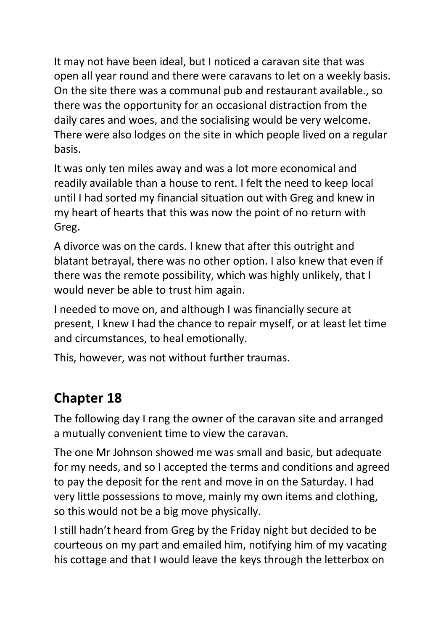It may not have been ideal, but I noticed a caravan site that was open all year round and there were caravans to let on a weekly basis. On the site there was a communal pub and restaurant available., so there was the opportunity for an occasional distraction from the daily cares and woes, and the socialising would be very welcome. There were also lodges on the site in which people lived on a regular basis.

It was only ten miles away and was a lot more economical and readily available than a house to rent. I felt the need to keep local until I had sorted my financial situation out with Greg and knew in my heart of hearts that this was now the point of no return with Greg.

A divorce was on the cards. I knew that after this outright and blatant betrayal, there was no other option. I also knew that even if there was the remote possibility, which was highly unlikely, that I would never be able to trust him again.

I needed to move on, and although I was financially secure at present, I knew I had the chance to repair myself, or at least let time and circumstances, to heal emotionally.

This, however, was not without further traumas.

### **Chapter 18**

The following day I rang the owner of the caravan site and arranged a mutually convenient time to view the caravan.

The one Mr Johnson showed me was small and basic, but adequate for my needs, and so I accepted the terms and conditions and agreed to pay the deposit for the rent and move in on the Saturday. I had very little possessions to move, mainly my own items and clothing, so this would not be a big move physically.

I still hadn't heard from Greg by the Friday night but decided to be courteous on my part and emailed him, notifying him of my vacating his cottage and that I would leave the keys through the letterbox on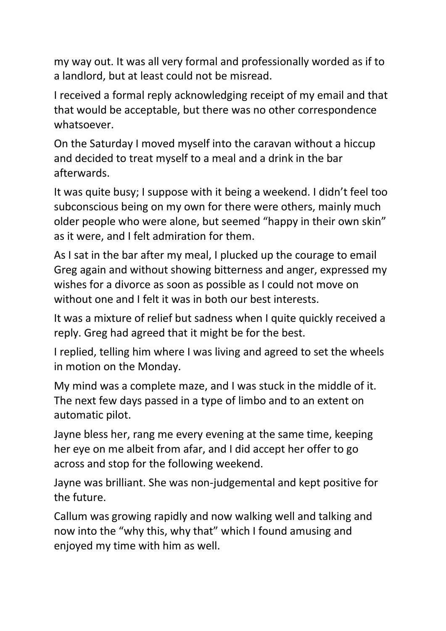my way out. It was all very formal and professionally worded as if to a landlord, but at least could not be misread.

I received a formal reply acknowledging receipt of my email and that that would be acceptable, but there was no other correspondence whatsoever.

On the Saturday I moved myself into the caravan without a hiccup and decided to treat myself to a meal and a drink in the bar afterwards.

It was quite busy; I suppose with it being a weekend. I didn't feel too subconscious being on my own for there were others, mainly much older people who were alone, but seemed "happy in their own skin" as it were, and I felt admiration for them.

As I sat in the bar after my meal, I plucked up the courage to email Greg again and without showing bitterness and anger, expressed my wishes for a divorce as soon as possible as I could not move on without one and I felt it was in both our best interests.

It was a mixture of relief but sadness when I quite quickly received a reply. Greg had agreed that it might be for the best.

I replied, telling him where I was living and agreed to set the wheels in motion on the Monday.

My mind was a complete maze, and I was stuck in the middle of it. The next few days passed in a type of limbo and to an extent on automatic pilot.

Jayne bless her, rang me every evening at the same time, keeping her eye on me albeit from afar, and I did accept her offer to go across and stop for the following weekend.

Jayne was brilliant. She was non-judgemental and kept positive for the future.

Callum was growing rapidly and now walking well and talking and now into the "why this, why that" which I found amusing and enjoyed my time with him as well.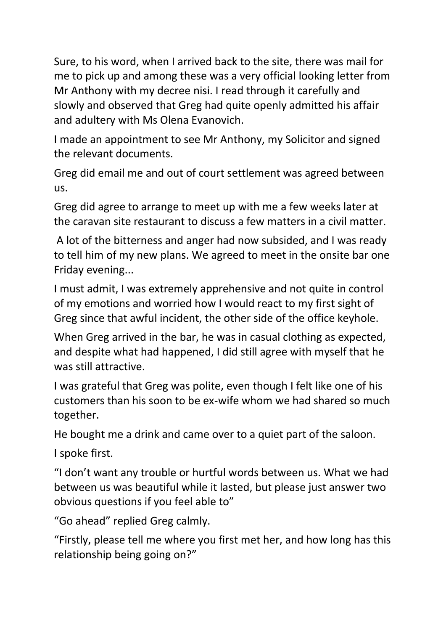Sure, to his word, when I arrived back to the site, there was mail for me to pick up and among these was a very official looking letter from Mr Anthony with my decree nisi. I read through it carefully and slowly and observed that Greg had quite openly admitted his affair and adultery with Ms Olena Evanovich.

I made an appointment to see Mr Anthony, my Solicitor and signed the relevant documents.

Greg did email me and out of court settlement was agreed between us.

Greg did agree to arrange to meet up with me a few weeks later at the caravan site restaurant to discuss a few matters in a civil matter.

A lot of the bitterness and anger had now subsided, and I was ready to tell him of my new plans. We agreed to meet in the onsite bar one Friday evening...

I must admit, I was extremely apprehensive and not quite in control of my emotions and worried how I would react to my first sight of Greg since that awful incident, the other side of the office keyhole.

When Greg arrived in the bar, he was in casual clothing as expected, and despite what had happened, I did still agree with myself that he was still attractive.

I was grateful that Greg was polite, even though I felt like one of his customers than his soon to be ex-wife whom we had shared so much together.

He bought me a drink and came over to a quiet part of the saloon.

I spoke first.

"I don't want any trouble or hurtful words between us. What we had between us was beautiful while it lasted, but please just answer two obvious questions if you feel able to"

"Go ahead" replied Greg calmly.

"Firstly, please tell me where you first met her, and how long has this relationship being going on?"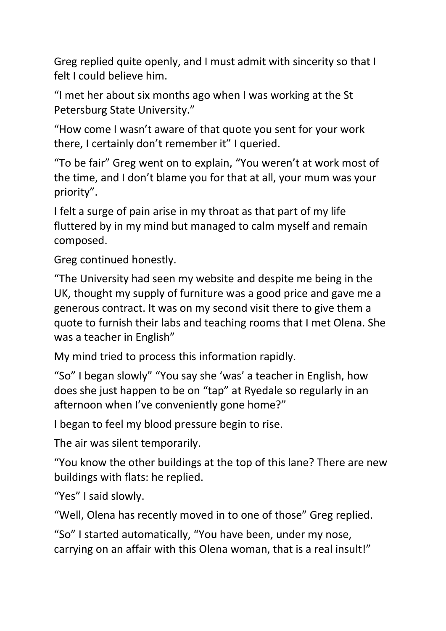Greg replied quite openly, and I must admit with sincerity so that I felt I could believe him.

"I met her about six months ago when I was working at the St Petersburg State University."

"How come I wasn't aware of that quote you sent for your work there, I certainly don't remember it" I queried.

"To be fair" Greg went on to explain, "You weren't at work most of the time, and I don't blame you for that at all, your mum was your priority".

I felt a surge of pain arise in my throat as that part of my life fluttered by in my mind but managed to calm myself and remain composed.

Greg continued honestly.

"The University had seen my website and despite me being in the UK, thought my supply of furniture was a good price and gave me a generous contract. It was on my second visit there to give them a quote to furnish their labs and teaching rooms that I met Olena. She was a teacher in English"

My mind tried to process this information rapidly.

"So" I began slowly" "You say she 'was' a teacher in English, how does she just happen to be on "tap" at Ryedale so regularly in an afternoon when I've conveniently gone home?"

I began to feel my blood pressure begin to rise.

The air was silent temporarily.

"You know the other buildings at the top of this lane? There are new buildings with flats: he replied.

"Yes" I said slowly.

"Well, Olena has recently moved in to one of those" Greg replied.

"So" I started automatically, "You have been, under my nose, carrying on an affair with this Olena woman, that is a real insult!"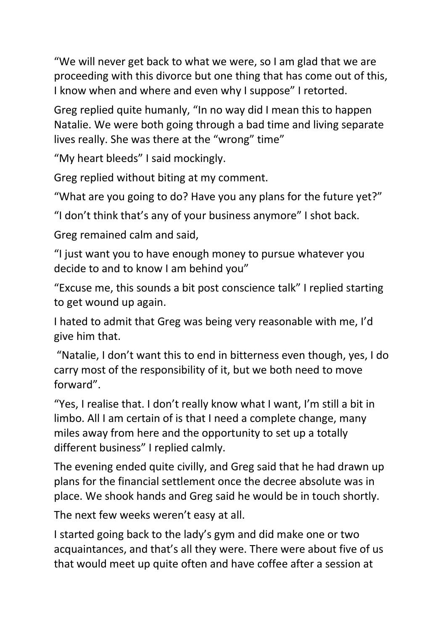"We will never get back to what we were, so I am glad that we are proceeding with this divorce but one thing that has come out of this, I know when and where and even why I suppose" I retorted.

Greg replied quite humanly, "In no way did I mean this to happen Natalie. We were both going through a bad time and living separate lives really. She was there at the "wrong" time"

"My heart bleeds" I said mockingly.

Greg replied without biting at my comment.

"What are you going to do? Have you any plans for the future yet?"

"I don't think that's any of your business anymore" I shot back.

Greg remained calm and said,

"I just want you to have enough money to pursue whatever you decide to and to know I am behind you"

"Excuse me, this sounds a bit post conscience talk" I replied starting to get wound up again.

I hated to admit that Greg was being very reasonable with me, I'd give him that.

"Natalie, I don't want this to end in bitterness even though, yes, I do carry most of the responsibility of it, but we both need to move forward".

"Yes, I realise that. I don't really know what I want, I'm still a bit in limbo. All I am certain of is that I need a complete change, many miles away from here and the opportunity to set up a totally different business" I replied calmly.

The evening ended quite civilly, and Greg said that he had drawn up plans for the financial settlement once the decree absolute was in place. We shook hands and Greg said he would be in touch shortly.

The next few weeks weren't easy at all.

I started going back to the lady's gym and did make one or two acquaintances, and that's all they were. There were about five of us that would meet up quite often and have coffee after a session at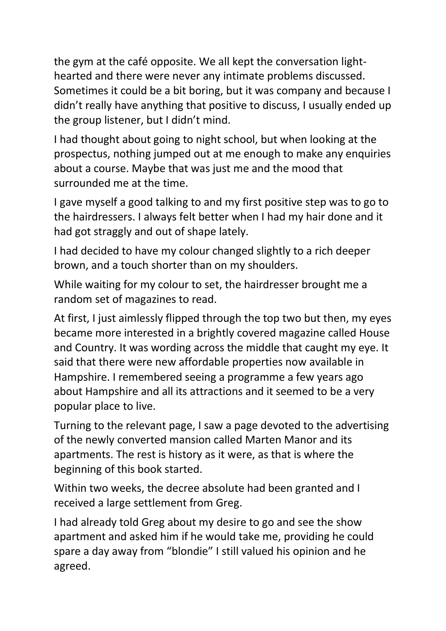the gym at the café opposite. We all kept the conversation lighthearted and there were never any intimate problems discussed. Sometimes it could be a bit boring, but it was company and because I didn't really have anything that positive to discuss, I usually ended up the group listener, but I didn't mind.

I had thought about going to night school, but when looking at the prospectus, nothing jumped out at me enough to make any enquiries about a course. Maybe that was just me and the mood that surrounded me at the time.

I gave myself a good talking to and my first positive step was to go to the hairdressers. I always felt better when I had my hair done and it had got straggly and out of shape lately.

I had decided to have my colour changed slightly to a rich deeper brown, and a touch shorter than on my shoulders.

While waiting for my colour to set, the hairdresser brought me a random set of magazines to read.

At first, I just aimlessly flipped through the top two but then, my eyes became more interested in a brightly covered magazine called House and Country. It was wording across the middle that caught my eye. It said that there were new affordable properties now available in Hampshire. I remembered seeing a programme a few years ago about Hampshire and all its attractions and it seemed to be a very popular place to live.

Turning to the relevant page, I saw a page devoted to the advertising of the newly converted mansion called Marten Manor and its apartments. The rest is history as it were, as that is where the beginning of this book started.

Within two weeks, the decree absolute had been granted and I received a large settlement from Greg.

I had already told Greg about my desire to go and see the show apartment and asked him if he would take me, providing he could spare a day away from "blondie" I still valued his opinion and he agreed.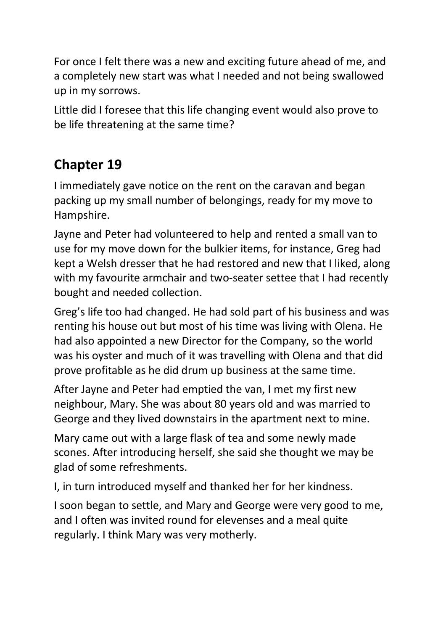For once I felt there was a new and exciting future ahead of me, and a completely new start was what I needed and not being swallowed up in my sorrows.

Little did I foresee that this life changing event would also prove to be life threatening at the same time?

## **Chapter 19**

I immediately gave notice on the rent on the caravan and began packing up my small number of belongings, ready for my move to Hampshire.

Jayne and Peter had volunteered to help and rented a small van to use for my move down for the bulkier items, for instance, Greg had kept a Welsh dresser that he had restored and new that I liked, along with my favourite armchair and two-seater settee that I had recently bought and needed collection.

Greg's life too had changed. He had sold part of his business and was renting his house out but most of his time was living with Olena. He had also appointed a new Director for the Company, so the world was his oyster and much of it was travelling with Olena and that did prove profitable as he did drum up business at the same time.

After Jayne and Peter had emptied the van, I met my first new neighbour, Mary. She was about 80 years old and was married to George and they lived downstairs in the apartment next to mine.

Mary came out with a large flask of tea and some newly made scones. After introducing herself, she said she thought we may be glad of some refreshments.

I, in turn introduced myself and thanked her for her kindness.

I soon began to settle, and Mary and George were very good to me, and I often was invited round for elevenses and a meal quite regularly. I think Mary was very motherly.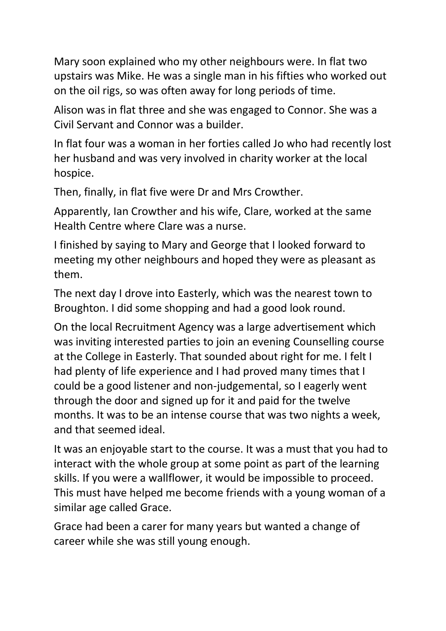Mary soon explained who my other neighbours were. In flat two upstairs was Mike. He was a single man in his fifties who worked out on the oil rigs, so was often away for long periods of time.

Alison was in flat three and she was engaged to Connor. She was a Civil Servant and Connor was a builder.

In flat four was a woman in her forties called Jo who had recently lost her husband and was very involved in charity worker at the local hospice.

Then, finally, in flat five were Dr and Mrs Crowther.

Apparently, Ian Crowther and his wife, Clare, worked at the same Health Centre where Clare was a nurse.

I finished by saying to Mary and George that I looked forward to meeting my other neighbours and hoped they were as pleasant as them.

The next day I drove into Easterly, which was the nearest town to Broughton. I did some shopping and had a good look round.

On the local Recruitment Agency was a large advertisement which was inviting interested parties to join an evening Counselling course at the College in Easterly. That sounded about right for me. I felt I had plenty of life experience and I had proved many times that I could be a good listener and non-judgemental, so I eagerly went through the door and signed up for it and paid for the twelve months. It was to be an intense course that was two nights a week, and that seemed ideal.

It was an enjoyable start to the course. It was a must that you had to interact with the whole group at some point as part of the learning skills. If you were a wallflower, it would be impossible to proceed. This must have helped me become friends with a young woman of a similar age called Grace.

Grace had been a carer for many years but wanted a change of career while she was still young enough.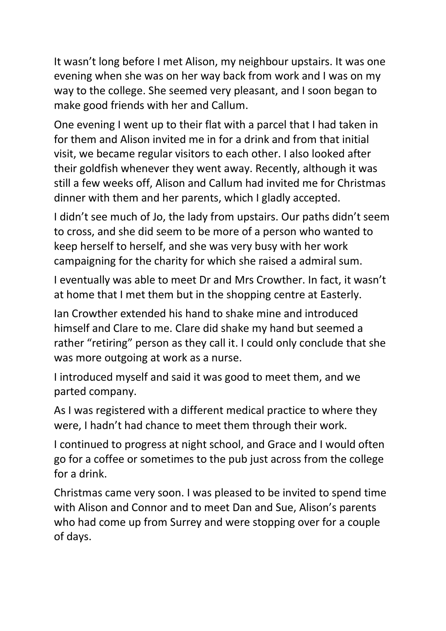It wasn't long before I met Alison, my neighbour upstairs. It was one evening when she was on her way back from work and I was on my way to the college. She seemed very pleasant, and I soon began to make good friends with her and Callum.

One evening I went up to their flat with a parcel that I had taken in for them and Alison invited me in for a drink and from that initial visit, we became regular visitors to each other. I also looked after their goldfish whenever they went away. Recently, although it was still a few weeks off, Alison and Callum had invited me for Christmas dinner with them and her parents, which I gladly accepted.

I didn't see much of Jo, the lady from upstairs. Our paths didn't seem to cross, and she did seem to be more of a person who wanted to keep herself to herself, and she was very busy with her work campaigning for the charity for which she raised a admiral sum.

I eventually was able to meet Dr and Mrs Crowther. In fact, it wasn't at home that I met them but in the shopping centre at Easterly.

Ian Crowther extended his hand to shake mine and introduced himself and Clare to me. Clare did shake my hand but seemed a rather "retiring" person as they call it. I could only conclude that she was more outgoing at work as a nurse.

I introduced myself and said it was good to meet them, and we parted company.

As I was registered with a different medical practice to where they were, I hadn't had chance to meet them through their work.

I continued to progress at night school, and Grace and I would often go for a coffee or sometimes to the pub just across from the college for a drink.

Christmas came very soon. I was pleased to be invited to spend time with Alison and Connor and to meet Dan and Sue, Alison's parents who had come up from Surrey and were stopping over for a couple of days.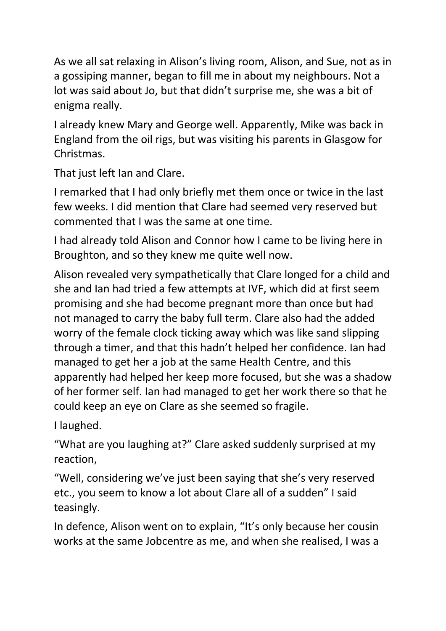As we all sat relaxing in Alison's living room, Alison, and Sue, not as in a gossiping manner, began to fill me in about my neighbours. Not a lot was said about Jo, but that didn't surprise me, she was a bit of enigma really.

I already knew Mary and George well. Apparently, Mike was back in England from the oil rigs, but was visiting his parents in Glasgow for Christmas.

That just left Ian and Clare.

I remarked that I had only briefly met them once or twice in the last few weeks. I did mention that Clare had seemed very reserved but commented that I was the same at one time.

I had already told Alison and Connor how I came to be living here in Broughton, and so they knew me quite well now.

Alison revealed very sympathetically that Clare longed for a child and she and Ian had tried a few attempts at IVF, which did at first seem promising and she had become pregnant more than once but had not managed to carry the baby full term. Clare also had the added worry of the female clock ticking away which was like sand slipping through a timer, and that this hadn't helped her confidence. Ian had managed to get her a job at the same Health Centre, and this apparently had helped her keep more focused, but she was a shadow of her former self. Ian had managed to get her work there so that he could keep an eye on Clare as she seemed so fragile.

I laughed.

"What are you laughing at?" Clare asked suddenly surprised at my reaction,

"Well, considering we've just been saying that she's very reserved etc., you seem to know a lot about Clare all of a sudden" I said teasingly.

In defence, Alison went on to explain, "It's only because her cousin works at the same Jobcentre as me, and when she realised, I was a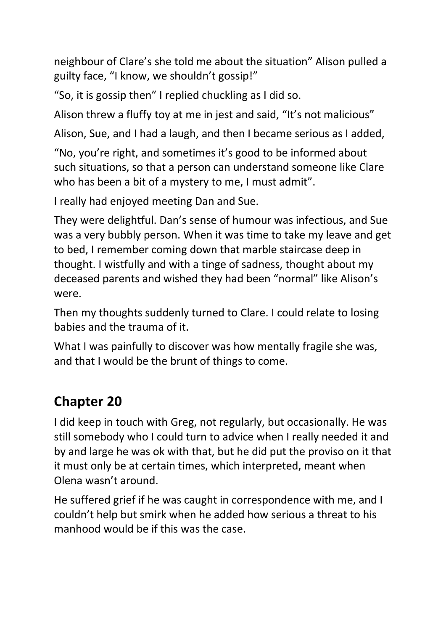neighbour of Clare's she told me about the situation" Alison pulled a guilty face, "I know, we shouldn't gossip!"

"So, it is gossip then" I replied chuckling as I did so.

Alison threw a fluffy toy at me in jest and said, "It's not malicious"

Alison, Sue, and I had a laugh, and then I became serious as I added,

"No, you're right, and sometimes it's good to be informed about such situations, so that a person can understand someone like Clare who has been a bit of a mystery to me, I must admit".

I really had enjoyed meeting Dan and Sue.

They were delightful. Dan's sense of humour was infectious, and Sue was a very bubbly person. When it was time to take my leave and get to bed, I remember coming down that marble staircase deep in thought. I wistfully and with a tinge of sadness, thought about my deceased parents and wished they had been "normal" like Alison's were.

Then my thoughts suddenly turned to Clare. I could relate to losing babies and the trauma of it.

What I was painfully to discover was how mentally fragile she was, and that I would be the brunt of things to come.

#### **Chapter 20**

I did keep in touch with Greg, not regularly, but occasionally. He was still somebody who I could turn to advice when I really needed it and by and large he was ok with that, but he did put the proviso on it that it must only be at certain times, which interpreted, meant when Olena wasn't around.

He suffered grief if he was caught in correspondence with me, and I couldn't help but smirk when he added how serious a threat to his manhood would be if this was the case.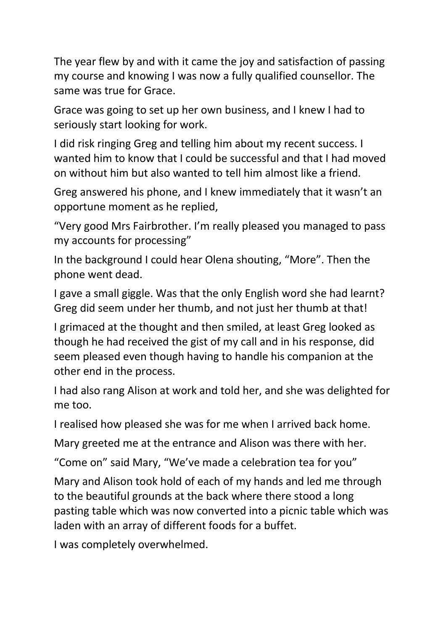The year flew by and with it came the joy and satisfaction of passing my course and knowing I was now a fully qualified counsellor. The same was true for Grace.

Grace was going to set up her own business, and I knew I had to seriously start looking for work.

I did risk ringing Greg and telling him about my recent success. I wanted him to know that I could be successful and that I had moved on without him but also wanted to tell him almost like a friend.

Greg answered his phone, and I knew immediately that it wasn't an opportune moment as he replied,

"Very good Mrs Fairbrother. I'm really pleased you managed to pass my accounts for processing"

In the background I could hear Olena shouting, "More". Then the phone went dead.

I gave a small giggle. Was that the only English word she had learnt? Greg did seem under her thumb, and not just her thumb at that!

I grimaced at the thought and then smiled, at least Greg looked as though he had received the gist of my call and in his response, did seem pleased even though having to handle his companion at the other end in the process.

I had also rang Alison at work and told her, and she was delighted for me too.

I realised how pleased she was for me when I arrived back home.

Mary greeted me at the entrance and Alison was there with her.

"Come on" said Mary, "We've made a celebration tea for you"

Mary and Alison took hold of each of my hands and led me through to the beautiful grounds at the back where there stood a long pasting table which was now converted into a picnic table which was laden with an array of different foods for a buffet.

I was completely overwhelmed.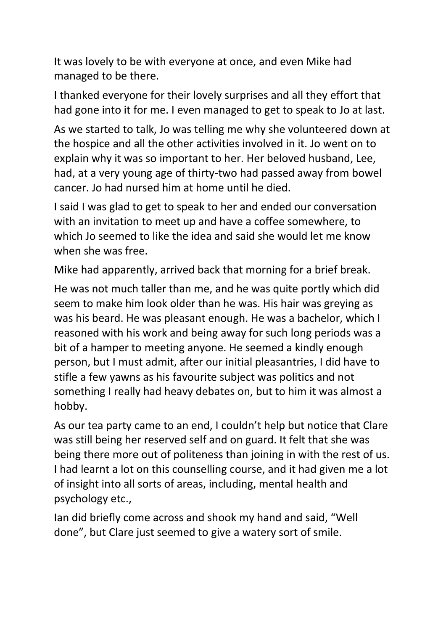It was lovely to be with everyone at once, and even Mike had managed to be there.

I thanked everyone for their lovely surprises and all they effort that had gone into it for me. I even managed to get to speak to Jo at last.

As we started to talk, Jo was telling me why she volunteered down at the hospice and all the other activities involved in it. Jo went on to explain why it was so important to her. Her beloved husband, Lee, had, at a very young age of thirty-two had passed away from bowel cancer. Jo had nursed him at home until he died.

I said I was glad to get to speak to her and ended our conversation with an invitation to meet up and have a coffee somewhere, to which Jo seemed to like the idea and said she would let me know when she was free.

Mike had apparently, arrived back that morning for a brief break.

He was not much taller than me, and he was quite portly which did seem to make him look older than he was. His hair was greying as was his beard. He was pleasant enough. He was a bachelor, which I reasoned with his work and being away for such long periods was a bit of a hamper to meeting anyone. He seemed a kindly enough person, but I must admit, after our initial pleasantries, I did have to stifle a few yawns as his favourite subject was politics and not something I really had heavy debates on, but to him it was almost a hobby.

As our tea party came to an end, I couldn't help but notice that Clare was still being her reserved self and on guard. It felt that she was being there more out of politeness than joining in with the rest of us. I had learnt a lot on this counselling course, and it had given me a lot of insight into all sorts of areas, including, mental health and psychology etc.,

Ian did briefly come across and shook my hand and said, "Well done", but Clare just seemed to give a watery sort of smile.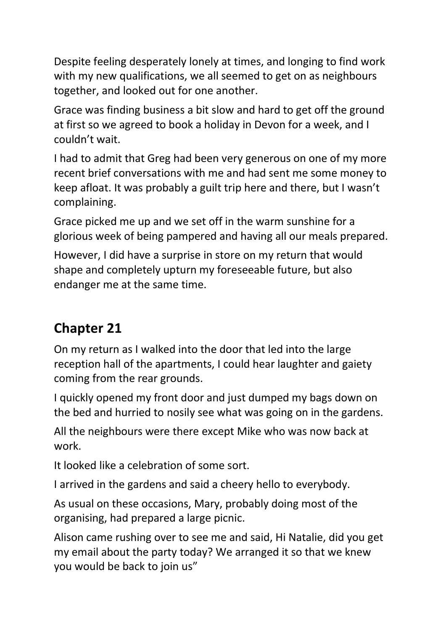Despite feeling desperately lonely at times, and longing to find work with my new qualifications, we all seemed to get on as neighbours together, and looked out for one another.

Grace was finding business a bit slow and hard to get off the ground at first so we agreed to book a holiday in Devon for a week, and I couldn't wait.

I had to admit that Greg had been very generous on one of my more recent brief conversations with me and had sent me some money to keep afloat. It was probably a guilt trip here and there, but I wasn't complaining.

Grace picked me up and we set off in the warm sunshine for a glorious week of being pampered and having all our meals prepared.

However, I did have a surprise in store on my return that would shape and completely upturn my foreseeable future, but also endanger me at the same time.

### **Chapter 21**

On my return as I walked into the door that led into the large reception hall of the apartments, I could hear laughter and gaiety coming from the rear grounds.

I quickly opened my front door and just dumped my bags down on the bed and hurried to nosily see what was going on in the gardens.

All the neighbours were there except Mike who was now back at work.

It looked like a celebration of some sort.

I arrived in the gardens and said a cheery hello to everybody.

As usual on these occasions, Mary, probably doing most of the organising, had prepared a large picnic.

Alison came rushing over to see me and said, Hi Natalie, did you get my email about the party today? We arranged it so that we knew you would be back to join us"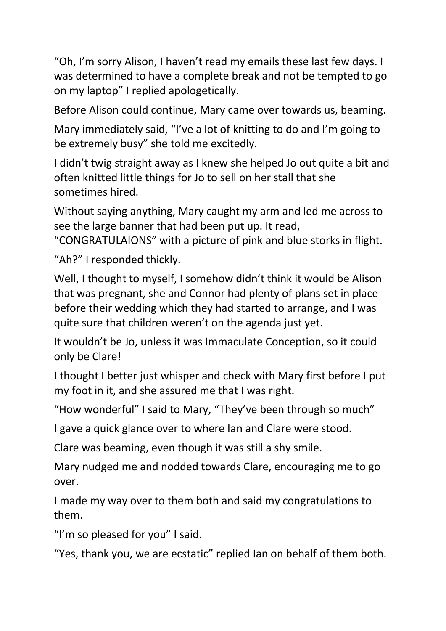"Oh, I'm sorry Alison, I haven't read my emails these last few days. I was determined to have a complete break and not be tempted to go on my laptop" I replied apologetically.

Before Alison could continue, Mary came over towards us, beaming.

Mary immediately said, "I've a lot of knitting to do and I'm going to be extremely busy" she told me excitedly.

I didn't twig straight away as I knew she helped Jo out quite a bit and often knitted little things for Jo to sell on her stall that she sometimes hired.

Without saying anything, Mary caught my arm and led me across to see the large banner that had been put up. It read,

"CONGRATULAIONS" with a picture of pink and blue storks in flight.

"Ah?" I responded thickly.

Well, I thought to myself, I somehow didn't think it would be Alison that was pregnant, she and Connor had plenty of plans set in place before their wedding which they had started to arrange, and I was quite sure that children weren't on the agenda just yet.

It wouldn't be Jo, unless it was Immaculate Conception, so it could only be Clare!

I thought I better just whisper and check with Mary first before I put my foot in it, and she assured me that I was right.

"How wonderful" I said to Mary, "They've been through so much"

I gave a quick glance over to where Ian and Clare were stood.

Clare was beaming, even though it was still a shy smile.

Mary nudged me and nodded towards Clare, encouraging me to go over.

I made my way over to them both and said my congratulations to them.

"I'm so pleased for you" I said.

"Yes, thank you, we are ecstatic" replied Ian on behalf of them both.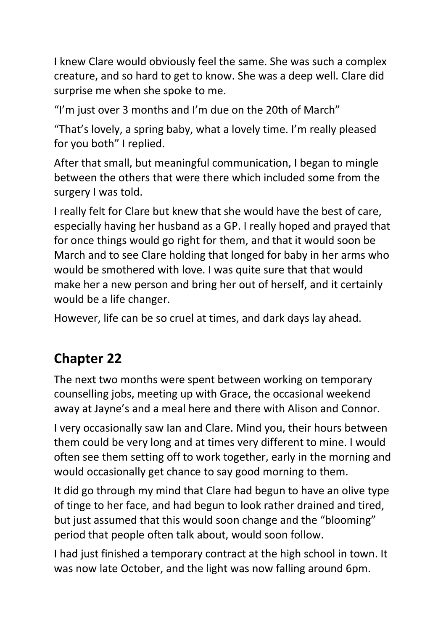I knew Clare would obviously feel the same. She was such a complex creature, and so hard to get to know. She was a deep well. Clare did surprise me when she spoke to me.

"I'm just over 3 months and I'm due on the 20th of March"

"That's lovely, a spring baby, what a lovely time. I'm really pleased for you both" I replied.

After that small, but meaningful communication, I began to mingle between the others that were there which included some from the surgery I was told.

I really felt for Clare but knew that she would have the best of care, especially having her husband as a GP. I really hoped and prayed that for once things would go right for them, and that it would soon be March and to see Clare holding that longed for baby in her arms who would be smothered with love. I was quite sure that that would make her a new person and bring her out of herself, and it certainly would be a life changer.

However, life can be so cruel at times, and dark days lay ahead.

## **Chapter 22**

The next two months were spent between working on temporary counselling jobs, meeting up with Grace, the occasional weekend away at Jayne's and a meal here and there with Alison and Connor.

I very occasionally saw Ian and Clare. Mind you, their hours between them could be very long and at times very different to mine. I would often see them setting off to work together, early in the morning and would occasionally get chance to say good morning to them.

It did go through my mind that Clare had begun to have an olive type of tinge to her face, and had begun to look rather drained and tired, but just assumed that this would soon change and the "blooming" period that people often talk about, would soon follow.

I had just finished a temporary contract at the high school in town. It was now late October, and the light was now falling around 6pm.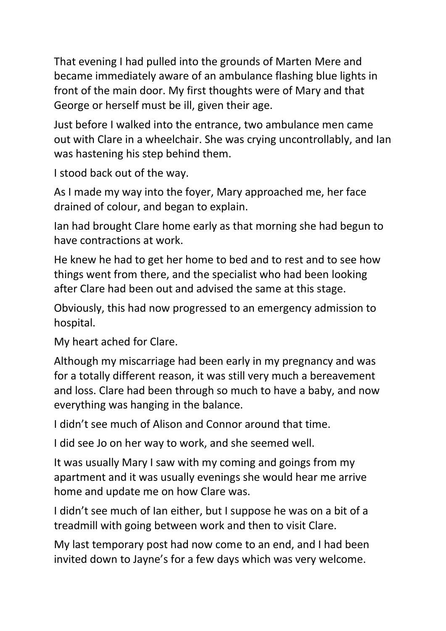That evening I had pulled into the grounds of Marten Mere and became immediately aware of an ambulance flashing blue lights in front of the main door. My first thoughts were of Mary and that George or herself must be ill, given their age.

Just before I walked into the entrance, two ambulance men came out with Clare in a wheelchair. She was crying uncontrollably, and Ian was hastening his step behind them.

I stood back out of the way.

As I made my way into the foyer, Mary approached me, her face drained of colour, and began to explain.

Ian had brought Clare home early as that morning she had begun to have contractions at work.

He knew he had to get her home to bed and to rest and to see how things went from there, and the specialist who had been looking after Clare had been out and advised the same at this stage.

Obviously, this had now progressed to an emergency admission to hospital.

My heart ached for Clare.

Although my miscarriage had been early in my pregnancy and was for a totally different reason, it was still very much a bereavement and loss. Clare had been through so much to have a baby, and now everything was hanging in the balance.

I didn't see much of Alison and Connor around that time.

I did see Jo on her way to work, and she seemed well.

It was usually Mary I saw with my coming and goings from my apartment and it was usually evenings she would hear me arrive home and update me on how Clare was.

I didn't see much of Ian either, but I suppose he was on a bit of a treadmill with going between work and then to visit Clare.

My last temporary post had now come to an end, and I had been invited down to Jayne's for a few days which was very welcome.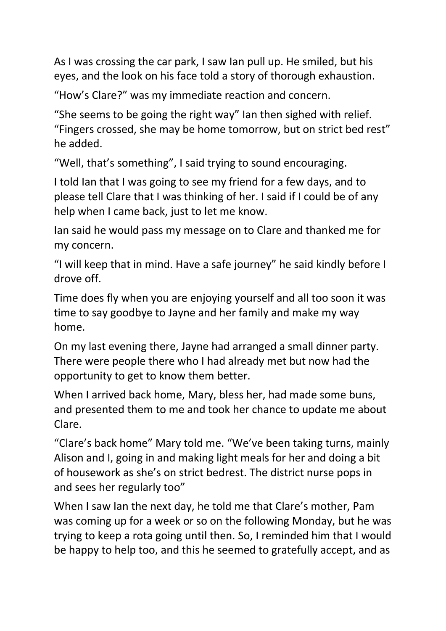As I was crossing the car park, I saw Ian pull up. He smiled, but his eyes, and the look on his face told a story of thorough exhaustion.

"How's Clare?" was my immediate reaction and concern.

"She seems to be going the right way" Ian then sighed with relief. "Fingers crossed, she may be home tomorrow, but on strict bed rest" he added.

"Well, that's something", I said trying to sound encouraging.

I told Ian that I was going to see my friend for a few days, and to please tell Clare that I was thinking of her. I said if I could be of any help when I came back, just to let me know.

Ian said he would pass my message on to Clare and thanked me for my concern.

"I will keep that in mind. Have a safe journey" he said kindly before I drove off.

Time does fly when you are enjoying yourself and all too soon it was time to say goodbye to Jayne and her family and make my way home.

On my last evening there, Jayne had arranged a small dinner party. There were people there who I had already met but now had the opportunity to get to know them better.

When I arrived back home, Mary, bless her, had made some buns, and presented them to me and took her chance to update me about Clare.

"Clare's back home" Mary told me. "We've been taking turns, mainly Alison and I, going in and making light meals for her and doing a bit of housework as she's on strict bedrest. The district nurse pops in and sees her regularly too"

When I saw Ian the next day, he told me that Clare's mother, Pam was coming up for a week or so on the following Monday, but he was trying to keep a rota going until then. So, I reminded him that I would be happy to help too, and this he seemed to gratefully accept, and as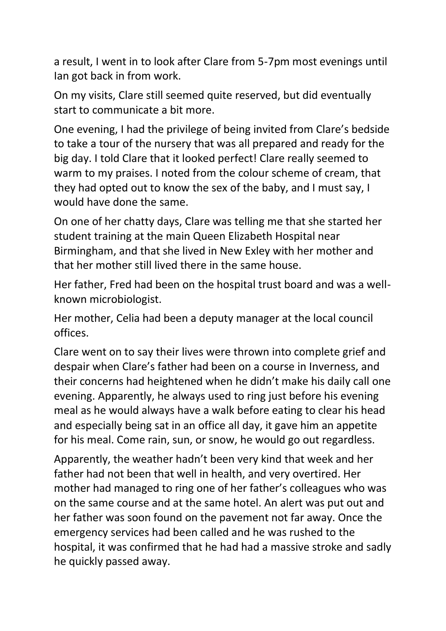a result, I went in to look after Clare from 5-7pm most evenings until Ian got back in from work.

On my visits, Clare still seemed quite reserved, but did eventually start to communicate a bit more.

One evening, I had the privilege of being invited from Clare's bedside to take a tour of the nursery that was all prepared and ready for the big day. I told Clare that it looked perfect! Clare really seemed to warm to my praises. I noted from the colour scheme of cream, that they had opted out to know the sex of the baby, and I must say, I would have done the same.

On one of her chatty days, Clare was telling me that she started her student training at the main Queen Elizabeth Hospital near Birmingham, and that she lived in New Exley with her mother and that her mother still lived there in the same house.

Her father, Fred had been on the hospital trust board and was a wellknown microbiologist.

Her mother, Celia had been a deputy manager at the local council offices.

Clare went on to say their lives were thrown into complete grief and despair when Clare's father had been on a course in Inverness, and their concerns had heightened when he didn't make his daily call one evening. Apparently, he always used to ring just before his evening meal as he would always have a walk before eating to clear his head and especially being sat in an office all day, it gave him an appetite for his meal. Come rain, sun, or snow, he would go out regardless.

Apparently, the weather hadn't been very kind that week and her father had not been that well in health, and very overtired. Her mother had managed to ring one of her father's colleagues who was on the same course and at the same hotel. An alert was put out and her father was soon found on the pavement not far away. Once the emergency services had been called and he was rushed to the hospital, it was confirmed that he had had a massive stroke and sadly he quickly passed away.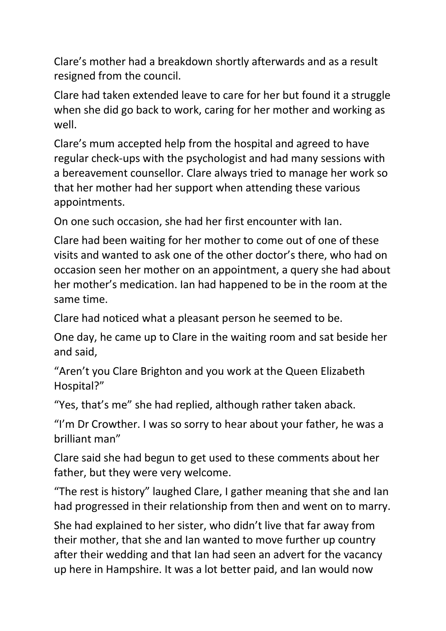Clare's mother had a breakdown shortly afterwards and as a result resigned from the council.

Clare had taken extended leave to care for her but found it a struggle when she did go back to work, caring for her mother and working as well.

Clare's mum accepted help from the hospital and agreed to have regular check-ups with the psychologist and had many sessions with a bereavement counsellor. Clare always tried to manage her work so that her mother had her support when attending these various appointments.

On one such occasion, she had her first encounter with Ian.

Clare had been waiting for her mother to come out of one of these visits and wanted to ask one of the other doctor's there, who had on occasion seen her mother on an appointment, a query she had about her mother's medication. Ian had happened to be in the room at the same time.

Clare had noticed what a pleasant person he seemed to be.

One day, he came up to Clare in the waiting room and sat beside her and said,

"Aren't you Clare Brighton and you work at the Queen Elizabeth Hospital?"

"Yes, that's me" she had replied, although rather taken aback.

"I'm Dr Crowther. I was so sorry to hear about your father, he was a brilliant man"

Clare said she had begun to get used to these comments about her father, but they were very welcome.

"The rest is history" laughed Clare, I gather meaning that she and Ian had progressed in their relationship from then and went on to marry.

She had explained to her sister, who didn't live that far away from their mother, that she and Ian wanted to move further up country after their wedding and that Ian had seen an advert for the vacancy up here in Hampshire. It was a lot better paid, and Ian would now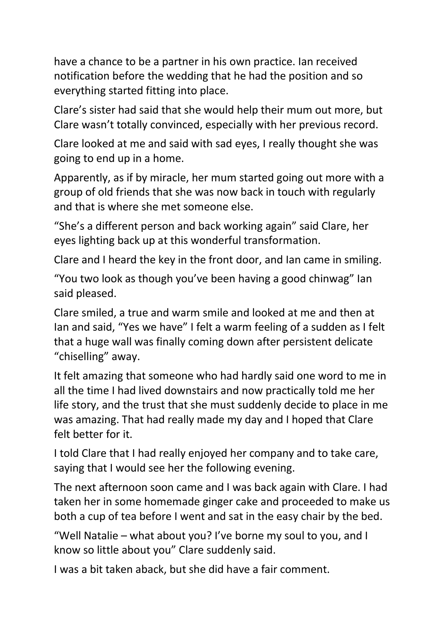have a chance to be a partner in his own practice. Ian received notification before the wedding that he had the position and so everything started fitting into place.

Clare's sister had said that she would help their mum out more, but Clare wasn't totally convinced, especially with her previous record.

Clare looked at me and said with sad eyes, I really thought she was going to end up in a home.

Apparently, as if by miracle, her mum started going out more with a group of old friends that she was now back in touch with regularly and that is where she met someone else.

"She's a different person and back working again" said Clare, her eyes lighting back up at this wonderful transformation.

Clare and I heard the key in the front door, and Ian came in smiling.

"You two look as though you've been having a good chinwag" Ian said pleased.

Clare smiled, a true and warm smile and looked at me and then at Ian and said, "Yes we have" I felt a warm feeling of a sudden as I felt that a huge wall was finally coming down after persistent delicate "chiselling" away.

It felt amazing that someone who had hardly said one word to me in all the time I had lived downstairs and now practically told me her life story, and the trust that she must suddenly decide to place in me was amazing. That had really made my day and I hoped that Clare felt better for it.

I told Clare that I had really enjoyed her company and to take care, saying that I would see her the following evening.

The next afternoon soon came and I was back again with Clare. I had taken her in some homemade ginger cake and proceeded to make us both a cup of tea before I went and sat in the easy chair by the bed.

"Well Natalie – what about you? I've borne my soul to you, and I know so little about you" Clare suddenly said.

I was a bit taken aback, but she did have a fair comment.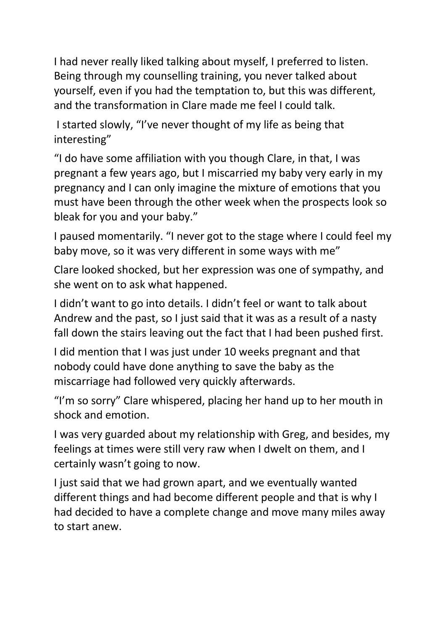I had never really liked talking about myself, I preferred to listen. Being through my counselling training, you never talked about yourself, even if you had the temptation to, but this was different, and the transformation in Clare made me feel I could talk.

I started slowly, "I've never thought of my life as being that interesting"

"I do have some affiliation with you though Clare, in that, I was pregnant a few years ago, but I miscarried my baby very early in my pregnancy and I can only imagine the mixture of emotions that you must have been through the other week when the prospects look so bleak for you and your baby."

I paused momentarily. "I never got to the stage where I could feel my baby move, so it was very different in some ways with me"

Clare looked shocked, but her expression was one of sympathy, and she went on to ask what happened.

I didn't want to go into details. I didn't feel or want to talk about Andrew and the past, so I just said that it was as a result of a nasty fall down the stairs leaving out the fact that I had been pushed first.

I did mention that I was just under 10 weeks pregnant and that nobody could have done anything to save the baby as the miscarriage had followed very quickly afterwards.

"I'm so sorry" Clare whispered, placing her hand up to her mouth in shock and emotion.

I was very guarded about my relationship with Greg, and besides, my feelings at times were still very raw when I dwelt on them, and I certainly wasn't going to now.

I just said that we had grown apart, and we eventually wanted different things and had become different people and that is why I had decided to have a complete change and move many miles away to start anew.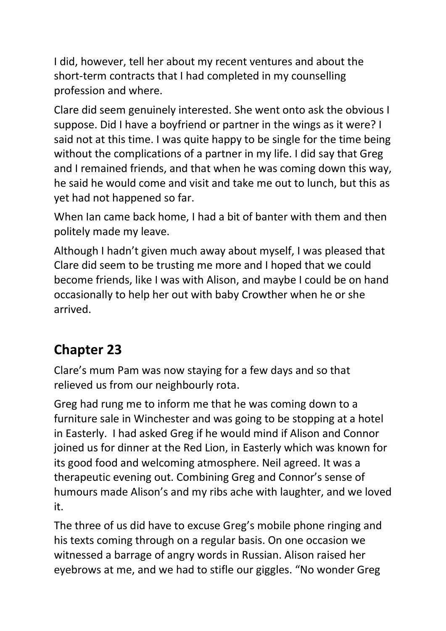I did, however, tell her about my recent ventures and about the short-term contracts that I had completed in my counselling profession and where.

Clare did seem genuinely interested. She went onto ask the obvious I suppose. Did I have a boyfriend or partner in the wings as it were? I said not at this time. I was quite happy to be single for the time being without the complications of a partner in my life. I did say that Greg and I remained friends, and that when he was coming down this way, he said he would come and visit and take me out to lunch, but this as yet had not happened so far.

When Ian came back home, I had a bit of banter with them and then politely made my leave.

Although I hadn't given much away about myself, I was pleased that Clare did seem to be trusting me more and I hoped that we could become friends, like I was with Alison, and maybe I could be on hand occasionally to help her out with baby Crowther when he or she arrived.

### **Chapter 23**

Clare's mum Pam was now staying for a few days and so that relieved us from our neighbourly rota.

Greg had rung me to inform me that he was coming down to a furniture sale in Winchester and was going to be stopping at a hotel in Easterly. I had asked Greg if he would mind if Alison and Connor joined us for dinner at the Red Lion, in Easterly which was known for its good food and welcoming atmosphere. Neil agreed. It was a therapeutic evening out. Combining Greg and Connor's sense of humours made Alison's and my ribs ache with laughter, and we loved it.

The three of us did have to excuse Greg's mobile phone ringing and his texts coming through on a regular basis. On one occasion we witnessed a barrage of angry words in Russian. Alison raised her eyebrows at me, and we had to stifle our giggles. "No wonder Greg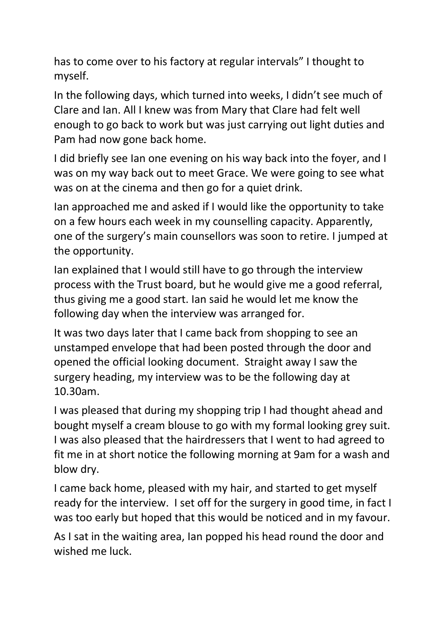has to come over to his factory at regular intervals" I thought to myself.

In the following days, which turned into weeks, I didn't see much of Clare and Ian. All I knew was from Mary that Clare had felt well enough to go back to work but was just carrying out light duties and Pam had now gone back home.

I did briefly see Ian one evening on his way back into the foyer, and I was on my way back out to meet Grace. We were going to see what was on at the cinema and then go for a quiet drink.

Ian approached me and asked if I would like the opportunity to take on a few hours each week in my counselling capacity. Apparently, one of the surgery's main counsellors was soon to retire. I jumped at the opportunity.

Ian explained that I would still have to go through the interview process with the Trust board, but he would give me a good referral, thus giving me a good start. Ian said he would let me know the following day when the interview was arranged for.

It was two days later that I came back from shopping to see an unstamped envelope that had been posted through the door and opened the official looking document. Straight away I saw the surgery heading, my interview was to be the following day at 10.30am.

I was pleased that during my shopping trip I had thought ahead and bought myself a cream blouse to go with my formal looking grey suit. I was also pleased that the hairdressers that I went to had agreed to fit me in at short notice the following morning at 9am for a wash and blow dry.

I came back home, pleased with my hair, and started to get myself ready for the interview. I set off for the surgery in good time, in fact I was too early but hoped that this would be noticed and in my favour.

As I sat in the waiting area, Ian popped his head round the door and wished me luck.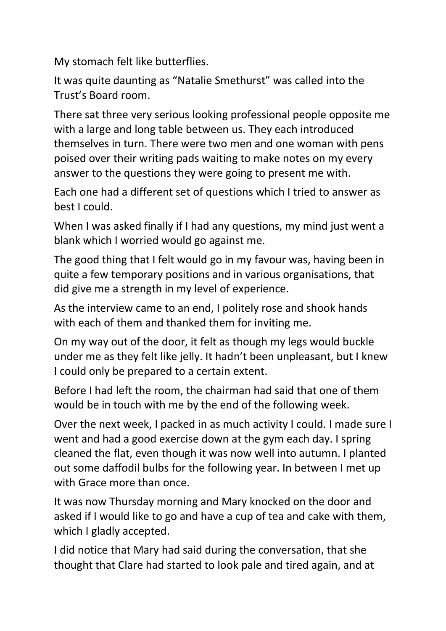My stomach felt like butterflies.

It was quite daunting as "Natalie Smethurst" was called into the Trust's Board room.

There sat three very serious looking professional people opposite me with a large and long table between us. They each introduced themselves in turn. There were two men and one woman with pens poised over their writing pads waiting to make notes on my every answer to the questions they were going to present me with.

Each one had a different set of questions which I tried to answer as best I could.

When I was asked finally if I had any questions, my mind just went a blank which I worried would go against me.

The good thing that I felt would go in my favour was, having been in quite a few temporary positions and in various organisations, that did give me a strength in my level of experience.

As the interview came to an end, I politely rose and shook hands with each of them and thanked them for inviting me.

On my way out of the door, it felt as though my legs would buckle under me as they felt like jelly. It hadn't been unpleasant, but I knew I could only be prepared to a certain extent.

Before I had left the room, the chairman had said that one of them would be in touch with me by the end of the following week.

Over the next week, I packed in as much activity I could. I made sure I went and had a good exercise down at the gym each day. I spring cleaned the flat, even though it was now well into autumn. I planted out some daffodil bulbs for the following year. In between I met up with Grace more than once.

It was now Thursday morning and Mary knocked on the door and asked if I would like to go and have a cup of tea and cake with them, which I gladly accepted.

I did notice that Mary had said during the conversation, that she thought that Clare had started to look pale and tired again, and at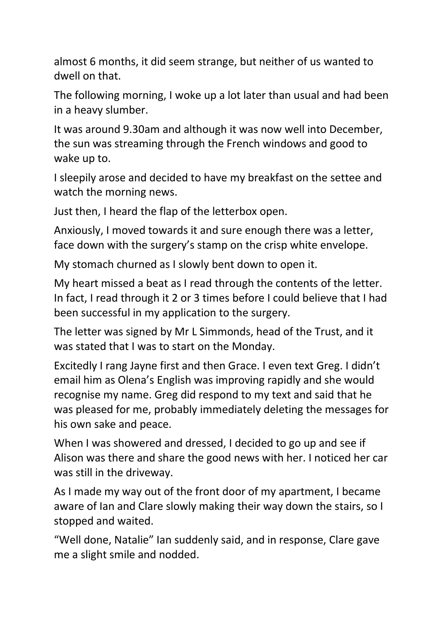almost 6 months, it did seem strange, but neither of us wanted to dwell on that.

The following morning, I woke up a lot later than usual and had been in a heavy slumber.

It was around 9.30am and although it was now well into December, the sun was streaming through the French windows and good to wake up to.

I sleepily arose and decided to have my breakfast on the settee and watch the morning news.

Just then, I heard the flap of the letterbox open.

Anxiously, I moved towards it and sure enough there was a letter, face down with the surgery's stamp on the crisp white envelope.

My stomach churned as I slowly bent down to open it.

My heart missed a beat as I read through the contents of the letter. In fact, I read through it 2 or 3 times before I could believe that I had been successful in my application to the surgery.

The letter was signed by Mr L Simmonds, head of the Trust, and it was stated that I was to start on the Monday.

Excitedly I rang Jayne first and then Grace. I even text Greg. I didn't email him as Olena's English was improving rapidly and she would recognise my name. Greg did respond to my text and said that he was pleased for me, probably immediately deleting the messages for his own sake and peace.

When I was showered and dressed, I decided to go up and see if Alison was there and share the good news with her. I noticed her car was still in the driveway.

As I made my way out of the front door of my apartment, I became aware of Ian and Clare slowly making their way down the stairs, so I stopped and waited.

"Well done, Natalie" Ian suddenly said, and in response, Clare gave me a slight smile and nodded.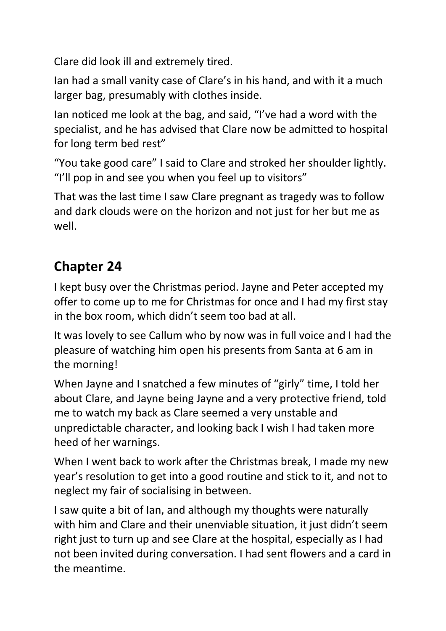Clare did look ill and extremely tired.

Ian had a small vanity case of Clare's in his hand, and with it a much larger bag, presumably with clothes inside.

Ian noticed me look at the bag, and said, "I've had a word with the specialist, and he has advised that Clare now be admitted to hospital for long term bed rest"

"You take good care" I said to Clare and stroked her shoulder lightly. "I'll pop in and see you when you feel up to visitors"

That was the last time I saw Clare pregnant as tragedy was to follow and dark clouds were on the horizon and not just for her but me as well.

## **Chapter 24**

I kept busy over the Christmas period. Jayne and Peter accepted my offer to come up to me for Christmas for once and I had my first stay in the box room, which didn't seem too bad at all.

It was lovely to see Callum who by now was in full voice and I had the pleasure of watching him open his presents from Santa at 6 am in the morning!

When Jayne and I snatched a few minutes of "girly" time, I told her about Clare, and Jayne being Jayne and a very protective friend, told me to watch my back as Clare seemed a very unstable and unpredictable character, and looking back I wish I had taken more heed of her warnings.

When I went back to work after the Christmas break, I made my new year's resolution to get into a good routine and stick to it, and not to neglect my fair of socialising in between.

I saw quite a bit of Ian, and although my thoughts were naturally with him and Clare and their unenviable situation, it just didn't seem right just to turn up and see Clare at the hospital, especially as I had not been invited during conversation. I had sent flowers and a card in the meantime.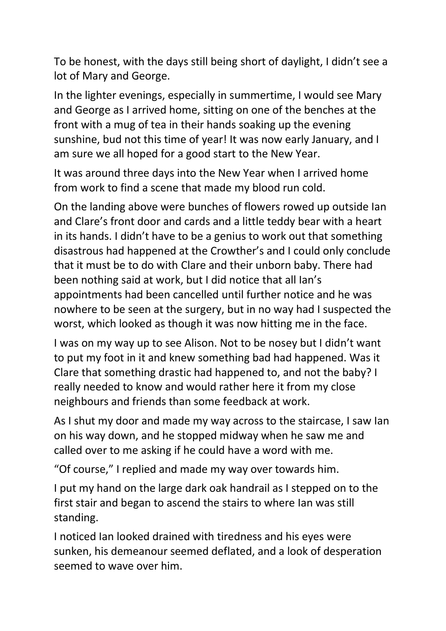To be honest, with the days still being short of daylight, I didn't see a lot of Mary and George.

In the lighter evenings, especially in summertime, I would see Mary and George as I arrived home, sitting on one of the benches at the front with a mug of tea in their hands soaking up the evening sunshine, bud not this time of year! It was now early January, and I am sure we all hoped for a good start to the New Year.

It was around three days into the New Year when I arrived home from work to find a scene that made my blood run cold.

On the landing above were bunches of flowers rowed up outside Ian and Clare's front door and cards and a little teddy bear with a heart in its hands. I didn't have to be a genius to work out that something disastrous had happened at the Crowther's and I could only conclude that it must be to do with Clare and their unborn baby. There had been nothing said at work, but I did notice that all Ian's appointments had been cancelled until further notice and he was nowhere to be seen at the surgery, but in no way had I suspected the worst, which looked as though it was now hitting me in the face.

I was on my way up to see Alison. Not to be nosey but I didn't want to put my foot in it and knew something bad had happened. Was it Clare that something drastic had happened to, and not the baby? I really needed to know and would rather here it from my close neighbours and friends than some feedback at work.

As I shut my door and made my way across to the staircase, I saw Ian on his way down, and he stopped midway when he saw me and called over to me asking if he could have a word with me.

"Of course," I replied and made my way over towards him.

I put my hand on the large dark oak handrail as I stepped on to the first stair and began to ascend the stairs to where Ian was still standing.

I noticed Ian looked drained with tiredness and his eyes were sunken, his demeanour seemed deflated, and a look of desperation seemed to wave over him.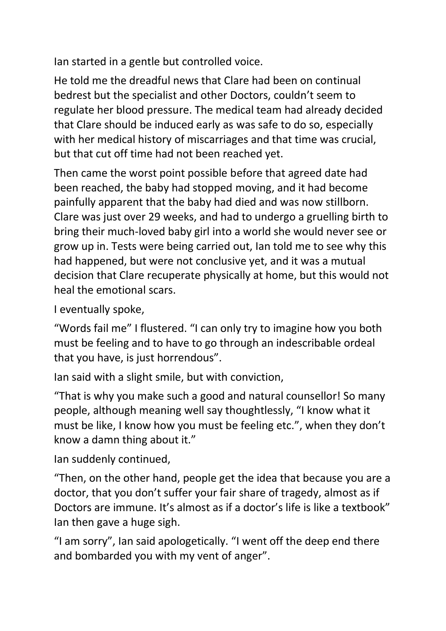Ian started in a gentle but controlled voice.

He told me the dreadful news that Clare had been on continual bedrest but the specialist and other Doctors, couldn't seem to regulate her blood pressure. The medical team had already decided that Clare should be induced early as was safe to do so, especially with her medical history of miscarriages and that time was crucial, but that cut off time had not been reached yet.

Then came the worst point possible before that agreed date had been reached, the baby had stopped moving, and it had become painfully apparent that the baby had died and was now stillborn. Clare was just over 29 weeks, and had to undergo a gruelling birth to bring their much-loved baby girl into a world she would never see or grow up in. Tests were being carried out, Ian told me to see why this had happened, but were not conclusive yet, and it was a mutual decision that Clare recuperate physically at home, but this would not heal the emotional scars.

I eventually spoke,

"Words fail me" I flustered. "I can only try to imagine how you both must be feeling and to have to go through an indescribable ordeal that you have, is just horrendous".

Ian said with a slight smile, but with conviction,

"That is why you make such a good and natural counsellor! So many people, although meaning well say thoughtlessly, "I know what it must be like, I know how you must be feeling etc.", when they don't know a damn thing about it."

Ian suddenly continued,

"Then, on the other hand, people get the idea that because you are a doctor, that you don't suffer your fair share of tragedy, almost as if Doctors are immune. It's almost as if a doctor's life is like a textbook" Ian then gave a huge sigh.

"I am sorry", Ian said apologetically. "I went off the deep end there and bombarded you with my vent of anger".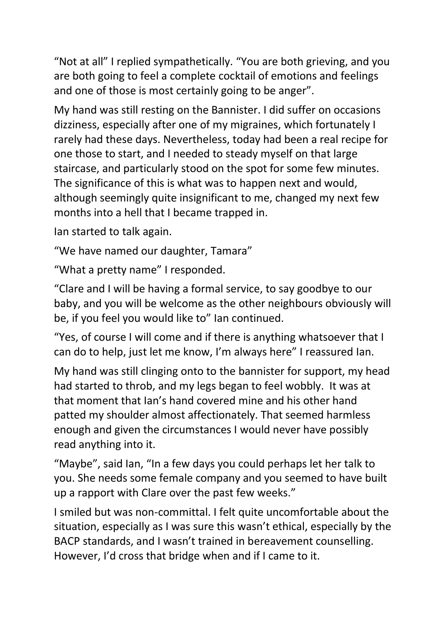"Not at all" I replied sympathetically. "You are both grieving, and you are both going to feel a complete cocktail of emotions and feelings and one of those is most certainly going to be anger".

My hand was still resting on the Bannister. I did suffer on occasions dizziness, especially after one of my migraines, which fortunately I rarely had these days. Nevertheless, today had been a real recipe for one those to start, and I needed to steady myself on that large staircase, and particularly stood on the spot for some few minutes. The significance of this is what was to happen next and would, although seemingly quite insignificant to me, changed my next few months into a hell that I became trapped in.

Ian started to talk again.

"We have named our daughter, Tamara"

"What a pretty name" I responded.

"Clare and I will be having a formal service, to say goodbye to our baby, and you will be welcome as the other neighbours obviously will be, if you feel you would like to" Ian continued.

"Yes, of course I will come and if there is anything whatsoever that I can do to help, just let me know, I'm always here" I reassured Ian.

My hand was still clinging onto to the bannister for support, my head had started to throb, and my legs began to feel wobbly. It was at that moment that Ian's hand covered mine and his other hand patted my shoulder almost affectionately. That seemed harmless enough and given the circumstances I would never have possibly read anything into it.

"Maybe", said Ian, "In a few days you could perhaps let her talk to you. She needs some female company and you seemed to have built up a rapport with Clare over the past few weeks."

I smiled but was non-committal. I felt quite uncomfortable about the situation, especially as I was sure this wasn't ethical, especially by the BACP standards, and I wasn't trained in bereavement counselling. However, I'd cross that bridge when and if I came to it.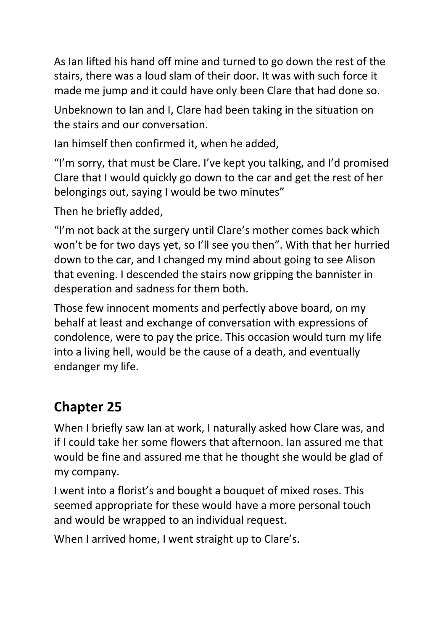As Ian lifted his hand off mine and turned to go down the rest of the stairs, there was a loud slam of their door. It was with such force it made me jump and it could have only been Clare that had done so.

Unbeknown to Ian and I, Clare had been taking in the situation on the stairs and our conversation.

Ian himself then confirmed it, when he added,

"I'm sorry, that must be Clare. I've kept you talking, and I'd promised Clare that I would quickly go down to the car and get the rest of her belongings out, saying I would be two minutes"

Then he briefly added,

"I'm not back at the surgery until Clare's mother comes back which won't be for two days yet, so I'll see you then". With that her hurried down to the car, and I changed my mind about going to see Alison that evening. I descended the stairs now gripping the bannister in desperation and sadness for them both.

Those few innocent moments and perfectly above board, on my behalf at least and exchange of conversation with expressions of condolence, were to pay the price. This occasion would turn my life into a living hell, would be the cause of a death, and eventually endanger my life.

# **Chapter 25**

When I briefly saw Ian at work, I naturally asked how Clare was, and if I could take her some flowers that afternoon. Ian assured me that would be fine and assured me that he thought she would be glad of my company.

I went into a florist's and bought a bouquet of mixed roses. This seemed appropriate for these would have a more personal touch and would be wrapped to an individual request.

When I arrived home, I went straight up to Clare's.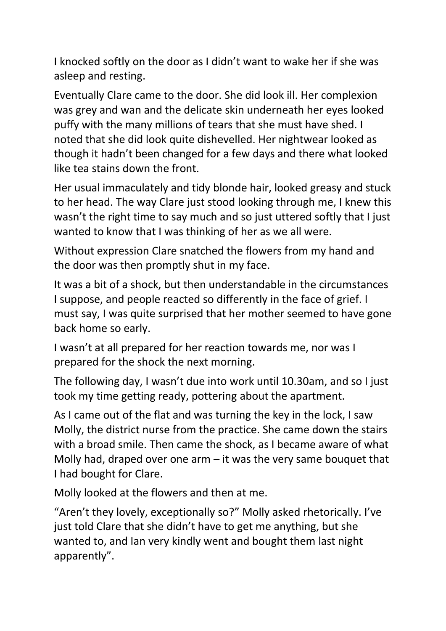I knocked softly on the door as I didn't want to wake her if she was asleep and resting.

Eventually Clare came to the door. She did look ill. Her complexion was grey and wan and the delicate skin underneath her eyes looked puffy with the many millions of tears that she must have shed. I noted that she did look quite dishevelled. Her nightwear looked as though it hadn't been changed for a few days and there what looked like tea stains down the front.

Her usual immaculately and tidy blonde hair, looked greasy and stuck to her head. The way Clare just stood looking through me, I knew this wasn't the right time to say much and so just uttered softly that I just wanted to know that I was thinking of her as we all were.

Without expression Clare snatched the flowers from my hand and the door was then promptly shut in my face.

It was a bit of a shock, but then understandable in the circumstances I suppose, and people reacted so differently in the face of grief. I must say, I was quite surprised that her mother seemed to have gone back home so early.

I wasn't at all prepared for her reaction towards me, nor was I prepared for the shock the next morning.

The following day, I wasn't due into work until 10.30am, and so I just took my time getting ready, pottering about the apartment.

As I came out of the flat and was turning the key in the lock, I saw Molly, the district nurse from the practice. She came down the stairs with a broad smile. Then came the shock, as I became aware of what Molly had, draped over one arm  $-$  it was the very same bouquet that I had bought for Clare.

Molly looked at the flowers and then at me.

"Aren't they lovely, exceptionally so?" Molly asked rhetorically. I've just told Clare that she didn't have to get me anything, but she wanted to, and Ian very kindly went and bought them last night apparently".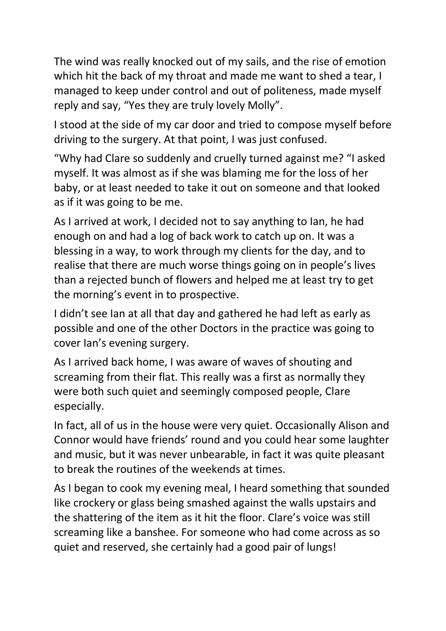The wind was really knocked out of my sails, and the rise of emotion which hit the back of my throat and made me want to shed a tear, I managed to keep under control and out of politeness, made myself reply and say, "Yes they are truly lovely Molly".

I stood at the side of my car door and tried to compose myself before driving to the surgery. At that point, I was just confused.

"Why had Clare so suddenly and cruelly turned against me? "I asked myself. It was almost as if she was blaming me for the loss of her baby, or at least needed to take it out on someone and that looked as if it was going to be me.

As I arrived at work, I decided not to say anything to Ian, he had enough on and had a log of back work to catch up on. It was a blessing in a way, to work through my clients for the day, and to realise that there are much worse things going on in people's lives than a rejected bunch of flowers and helped me at least try to get the morning's event in to prospective.

I didn't see Ian at all that day and gathered he had left as early as possible and one of the other Doctors in the practice was going to cover Ian's evening surgery.

As I arrived back home, I was aware of waves of shouting and screaming from their flat. This really was a first as normally they were both such quiet and seemingly composed people, Clare especially.

In fact, all of us in the house were very quiet. Occasionally Alison and Connor would have friends' round and you could hear some laughter and music, but it was never unbearable, in fact it was quite pleasant to break the routines of the weekends at times.

As I began to cook my evening meal, I heard something that sounded like crockery or glass being smashed against the walls upstairs and the shattering of the item as it hit the floor. Clare's voice was still screaming like a banshee. For someone who had come across as so quiet and reserved, she certainly had a good pair of lungs!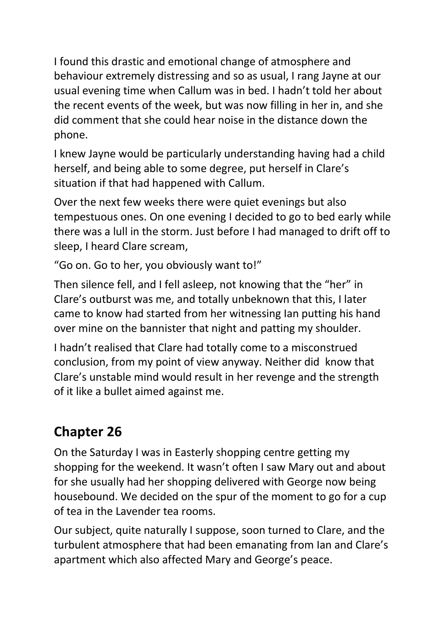I found this drastic and emotional change of atmosphere and behaviour extremely distressing and so as usual, I rang Jayne at our usual evening time when Callum was in bed. I hadn't told her about the recent events of the week, but was now filling in her in, and she did comment that she could hear noise in the distance down the phone.

I knew Jayne would be particularly understanding having had a child herself, and being able to some degree, put herself in Clare's situation if that had happened with Callum.

Over the next few weeks there were quiet evenings but also tempestuous ones. On one evening I decided to go to bed early while there was a lull in the storm. Just before I had managed to drift off to sleep, I heard Clare scream,

"Go on. Go to her, you obviously want to!"

Then silence fell, and I fell asleep, not knowing that the "her" in Clare's outburst was me, and totally unbeknown that this, I later came to know had started from her witnessing Ian putting his hand over mine on the bannister that night and patting my shoulder.

I hadn't realised that Clare had totally come to a misconstrued conclusion, from my point of view anyway. Neither did know that Clare's unstable mind would result in her revenge and the strength of it like a bullet aimed against me.

# **Chapter 26**

On the Saturday I was in Easterly shopping centre getting my shopping for the weekend. It wasn't often I saw Mary out and about for she usually had her shopping delivered with George now being housebound. We decided on the spur of the moment to go for a cup of tea in the Lavender tea rooms.

Our subject, quite naturally I suppose, soon turned to Clare, and the turbulent atmosphere that had been emanating from Ian and Clare's apartment which also affected Mary and George's peace.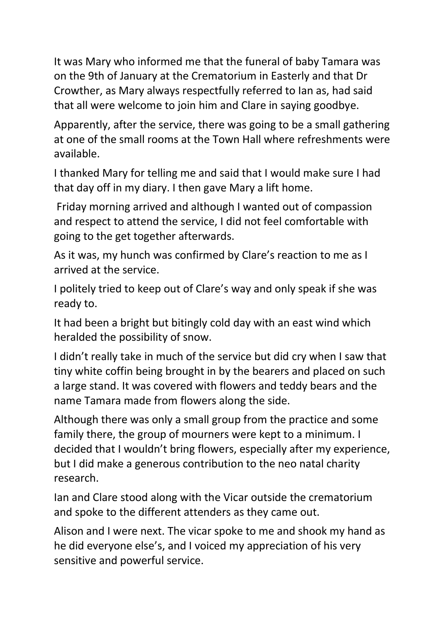It was Mary who informed me that the funeral of baby Tamara was on the 9th of January at the Crematorium in Easterly and that Dr Crowther, as Mary always respectfully referred to Ian as, had said that all were welcome to join him and Clare in saying goodbye.

Apparently, after the service, there was going to be a small gathering at one of the small rooms at the Town Hall where refreshments were available.

I thanked Mary for telling me and said that I would make sure I had that day off in my diary. I then gave Mary a lift home.

Friday morning arrived and although I wanted out of compassion and respect to attend the service, I did not feel comfortable with going to the get together afterwards.

As it was, my hunch was confirmed by Clare's reaction to me as I arrived at the service.

I politely tried to keep out of Clare's way and only speak if she was ready to.

It had been a bright but bitingly cold day with an east wind which heralded the possibility of snow.

I didn't really take in much of the service but did cry when I saw that tiny white coffin being brought in by the bearers and placed on such a large stand. It was covered with flowers and teddy bears and the name Tamara made from flowers along the side.

Although there was only a small group from the practice and some family there, the group of mourners were kept to a minimum. I decided that I wouldn't bring flowers, especially after my experience, but I did make a generous contribution to the neo natal charity research.

Ian and Clare stood along with the Vicar outside the crematorium and spoke to the different attenders as they came out.

Alison and I were next. The vicar spoke to me and shook my hand as he did everyone else's, and I voiced my appreciation of his very sensitive and powerful service.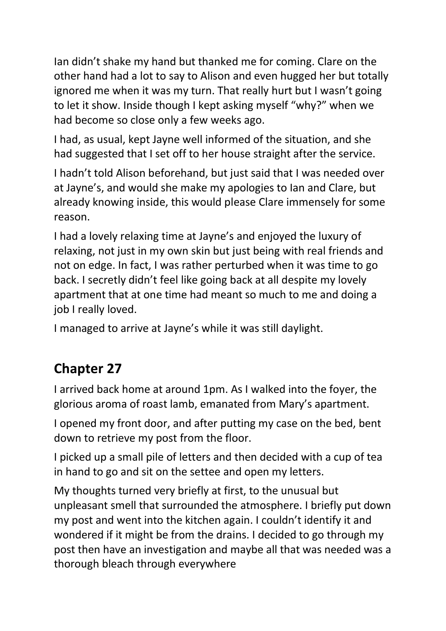Ian didn't shake my hand but thanked me for coming. Clare on the other hand had a lot to say to Alison and even hugged her but totally ignored me when it was my turn. That really hurt but I wasn't going to let it show. Inside though I kept asking myself "why?" when we had become so close only a few weeks ago.

I had, as usual, kept Jayne well informed of the situation, and she had suggested that I set off to her house straight after the service.

I hadn't told Alison beforehand, but just said that I was needed over at Jayne's, and would she make my apologies to Ian and Clare, but already knowing inside, this would please Clare immensely for some reason.

I had a lovely relaxing time at Jayne's and enjoyed the luxury of relaxing, not just in my own skin but just being with real friends and not on edge. In fact, I was rather perturbed when it was time to go back. I secretly didn't feel like going back at all despite my lovely apartment that at one time had meant so much to me and doing a job I really loved.

I managed to arrive at Jayne's while it was still daylight.

# **Chapter 27**

I arrived back home at around 1pm. As I walked into the foyer, the glorious aroma of roast lamb, emanated from Mary's apartment.

I opened my front door, and after putting my case on the bed, bent down to retrieve my post from the floor.

I picked up a small pile of letters and then decided with a cup of tea in hand to go and sit on the settee and open my letters.

My thoughts turned very briefly at first, to the unusual but unpleasant smell that surrounded the atmosphere. I briefly put down my post and went into the kitchen again. I couldn't identify it and wondered if it might be from the drains. I decided to go through my post then have an investigation and maybe all that was needed was a thorough bleach through everywhere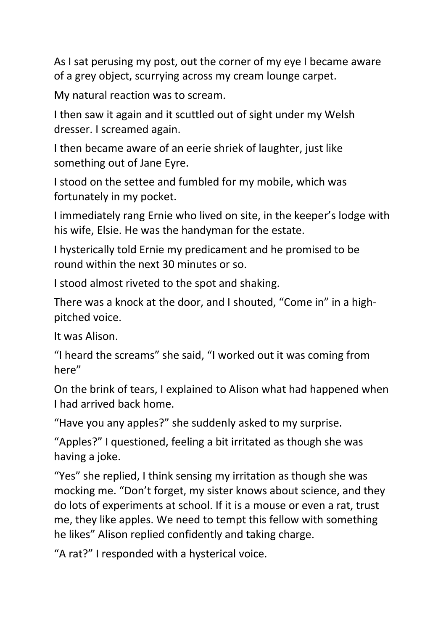As I sat perusing my post, out the corner of my eye I became aware of a grey object, scurrying across my cream lounge carpet.

My natural reaction was to scream.

I then saw it again and it scuttled out of sight under my Welsh dresser. I screamed again.

I then became aware of an eerie shriek of laughter, just like something out of Jane Eyre.

I stood on the settee and fumbled for my mobile, which was fortunately in my pocket.

I immediately rang Ernie who lived on site, in the keeper's lodge with his wife, Elsie. He was the handyman for the estate.

I hysterically told Ernie my predicament and he promised to be round within the next 30 minutes or so.

I stood almost riveted to the spot and shaking.

There was a knock at the door, and I shouted, "Come in" in a highpitched voice.

It was Alison.

"I heard the screams" she said, "I worked out it was coming from here"

On the brink of tears, I explained to Alison what had happened when I had arrived back home.

"Have you any apples?" she suddenly asked to my surprise.

"Apples?" I questioned, feeling a bit irritated as though she was having a joke.

"Yes" she replied, I think sensing my irritation as though she was mocking me. "Don't forget, my sister knows about science, and they do lots of experiments at school. If it is a mouse or even a rat, trust me, they like apples. We need to tempt this fellow with something he likes" Alison replied confidently and taking charge.

"A rat?" I responded with a hysterical voice.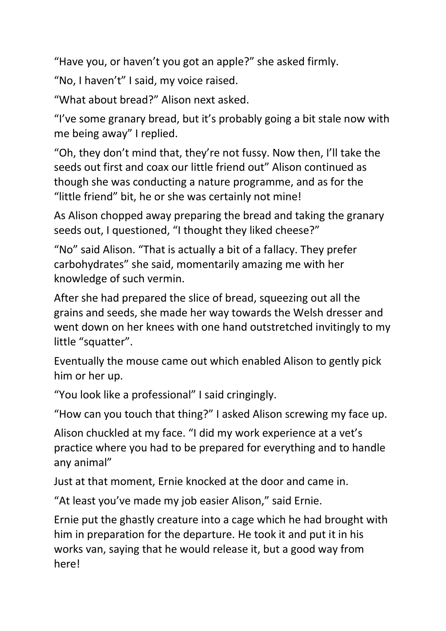"Have you, or haven't you got an apple?" she asked firmly.

"No, I haven't" I said, my voice raised.

"What about bread?" Alison next asked.

"I've some granary bread, but it's probably going a bit stale now with me being away" I replied.

"Oh, they don't mind that, they're not fussy. Now then, I'll take the seeds out first and coax our little friend out" Alison continued as though she was conducting a nature programme, and as for the "little friend" bit, he or she was certainly not mine!

As Alison chopped away preparing the bread and taking the granary seeds out, I questioned, "I thought they liked cheese?"

"No" said Alison. "That is actually a bit of a fallacy. They prefer carbohydrates" she said, momentarily amazing me with her knowledge of such vermin.

After she had prepared the slice of bread, squeezing out all the grains and seeds, she made her way towards the Welsh dresser and went down on her knees with one hand outstretched invitingly to my little "squatter".

Eventually the mouse came out which enabled Alison to gently pick him or her up.

"You look like a professional" I said cringingly.

"How can you touch that thing?" I asked Alison screwing my face up.

Alison chuckled at my face. "I did my work experience at a vet's practice where you had to be prepared for everything and to handle any animal"

Just at that moment, Ernie knocked at the door and came in.

"At least you've made my job easier Alison," said Ernie.

Ernie put the ghastly creature into a cage which he had brought with him in preparation for the departure. He took it and put it in his works van, saying that he would release it, but a good way from here!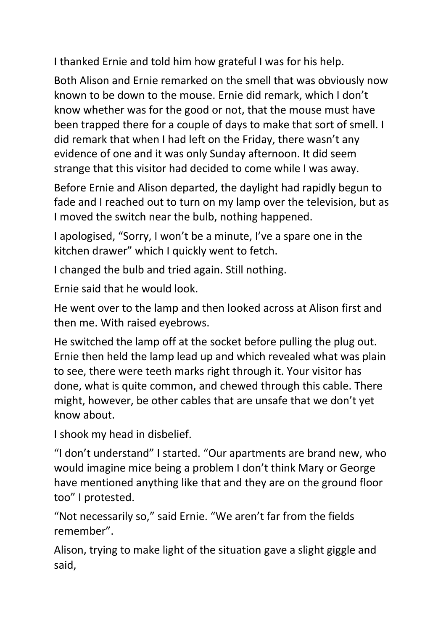I thanked Ernie and told him how grateful I was for his help.

Both Alison and Ernie remarked on the smell that was obviously now known to be down to the mouse. Ernie did remark, which I don't know whether was for the good or not, that the mouse must have been trapped there for a couple of days to make that sort of smell. I did remark that when I had left on the Friday, there wasn't any evidence of one and it was only Sunday afternoon. It did seem strange that this visitor had decided to come while I was away.

Before Ernie and Alison departed, the daylight had rapidly begun to fade and I reached out to turn on my lamp over the television, but as I moved the switch near the bulb, nothing happened.

I apologised, "Sorry, I won't be a minute, I've a spare one in the kitchen drawer" which I quickly went to fetch.

I changed the bulb and tried again. Still nothing.

Ernie said that he would look.

He went over to the lamp and then looked across at Alison first and then me. With raised eyebrows.

He switched the lamp off at the socket before pulling the plug out. Ernie then held the lamp lead up and which revealed what was plain to see, there were teeth marks right through it. Your visitor has done, what is quite common, and chewed through this cable. There might, however, be other cables that are unsafe that we don't yet know about.

I shook my head in disbelief.

"I don't understand" I started. "Our apartments are brand new, who would imagine mice being a problem I don't think Mary or George have mentioned anything like that and they are on the ground floor too" I protested.

"Not necessarily so," said Ernie. "We aren't far from the fields remember".

Alison, trying to make light of the situation gave a slight giggle and said,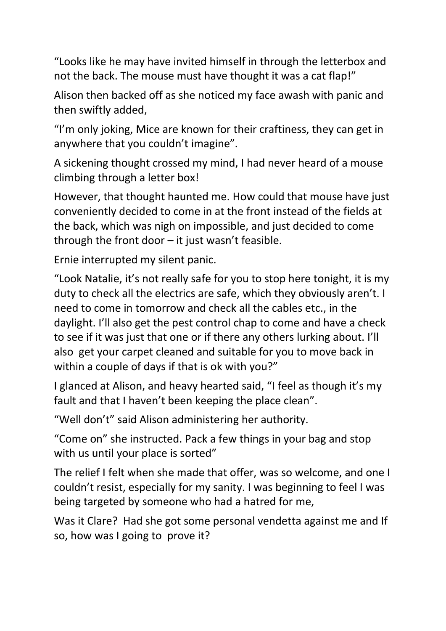"Looks like he may have invited himself in through the letterbox and not the back. The mouse must have thought it was a cat flap!"

Alison then backed off as she noticed my face awash with panic and then swiftly added,

"I'm only joking, Mice are known for their craftiness, they can get in anywhere that you couldn't imagine".

A sickening thought crossed my mind, I had never heard of a mouse climbing through a letter box!

However, that thought haunted me. How could that mouse have just conveniently decided to come in at the front instead of the fields at the back, which was nigh on impossible, and just decided to come through the front door – it just wasn't feasible.

Ernie interrupted my silent panic.

"Look Natalie, it's not really safe for you to stop here tonight, it is my duty to check all the electrics are safe, which they obviously aren't. I need to come in tomorrow and check all the cables etc., in the daylight. I'll also get the pest control chap to come and have a check to see if it was just that one or if there any others lurking about. I'll also get your carpet cleaned and suitable for you to move back in within a couple of days if that is ok with you?"

I glanced at Alison, and heavy hearted said, "I feel as though it's my fault and that I haven't been keeping the place clean".

"Well don't" said Alison administering her authority.

"Come on" she instructed. Pack a few things in your bag and stop with us until your place is sorted"

The relief I felt when she made that offer, was so welcome, and one I couldn't resist, especially for my sanity. I was beginning to feel I was being targeted by someone who had a hatred for me,

Was it Clare? Had she got some personal vendetta against me and If so, how was I going to prove it?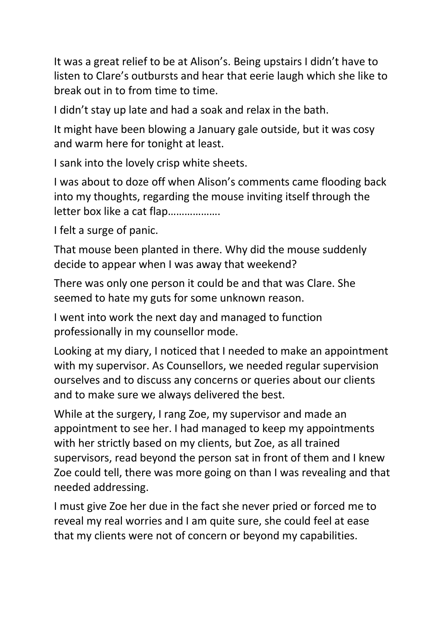It was a great relief to be at Alison's. Being upstairs I didn't have to listen to Clare's outbursts and hear that eerie laugh which she like to break out in to from time to time.

I didn't stay up late and had a soak and relax in the bath.

It might have been blowing a January gale outside, but it was cosy and warm here for tonight at least.

I sank into the lovely crisp white sheets.

I was about to doze off when Alison's comments came flooding back into my thoughts, regarding the mouse inviting itself through the letter box like a cat flap……………….

I felt a surge of panic.

That mouse been planted in there. Why did the mouse suddenly decide to appear when I was away that weekend?

There was only one person it could be and that was Clare. She seemed to hate my guts for some unknown reason.

I went into work the next day and managed to function professionally in my counsellor mode.

Looking at my diary, I noticed that I needed to make an appointment with my supervisor. As Counsellors, we needed regular supervision ourselves and to discuss any concerns or queries about our clients and to make sure we always delivered the best.

While at the surgery, I rang Zoe, my supervisor and made an appointment to see her. I had managed to keep my appointments with her strictly based on my clients, but Zoe, as all trained supervisors, read beyond the person sat in front of them and I knew Zoe could tell, there was more going on than I was revealing and that needed addressing.

I must give Zoe her due in the fact she never pried or forced me to reveal my real worries and I am quite sure, she could feel at ease that my clients were not of concern or beyond my capabilities.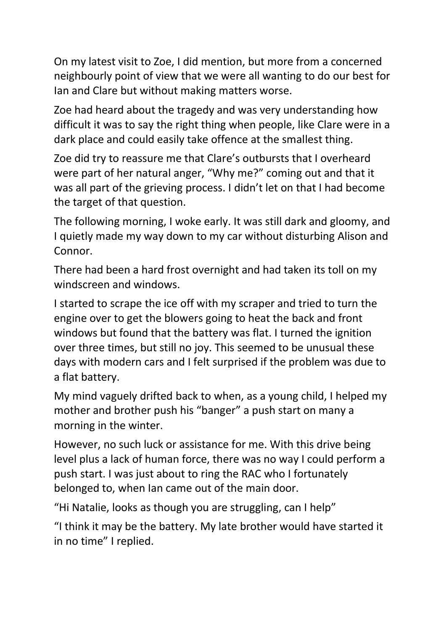On my latest visit to Zoe, I did mention, but more from a concerned neighbourly point of view that we were all wanting to do our best for Ian and Clare but without making matters worse.

Zoe had heard about the tragedy and was very understanding how difficult it was to say the right thing when people, like Clare were in a dark place and could easily take offence at the smallest thing.

Zoe did try to reassure me that Clare's outbursts that I overheard were part of her natural anger, "Why me?" coming out and that it was all part of the grieving process. I didn't let on that I had become the target of that question.

The following morning, I woke early. It was still dark and gloomy, and I quietly made my way down to my car without disturbing Alison and Connor.

There had been a hard frost overnight and had taken its toll on my windscreen and windows.

I started to scrape the ice off with my scraper and tried to turn the engine over to get the blowers going to heat the back and front windows but found that the battery was flat. I turned the ignition over three times, but still no joy. This seemed to be unusual these days with modern cars and I felt surprised if the problem was due to a flat battery.

My mind vaguely drifted back to when, as a young child, I helped my mother and brother push his "banger" a push start on many a morning in the winter.

However, no such luck or assistance for me. With this drive being level plus a lack of human force, there was no way I could perform a push start. I was just about to ring the RAC who I fortunately belonged to, when Ian came out of the main door.

"Hi Natalie, looks as though you are struggling, can I help"

"I think it may be the battery. My late brother would have started it in no time" I replied.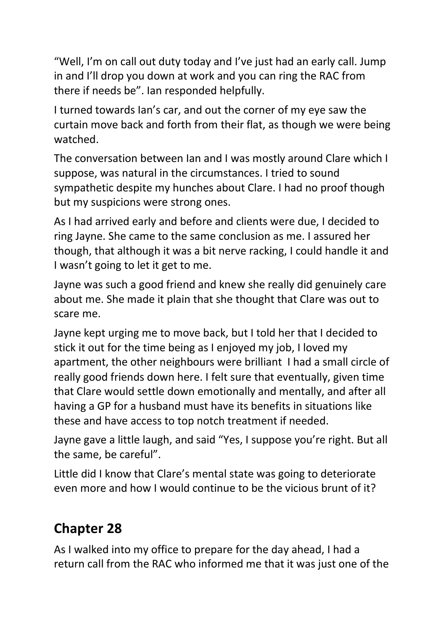"Well, I'm on call out duty today and I've just had an early call. Jump in and I'll drop you down at work and you can ring the RAC from there if needs be". Ian responded helpfully.

I turned towards Ian's car, and out the corner of my eye saw the curtain move back and forth from their flat, as though we were being watched.

The conversation between Ian and I was mostly around Clare which I suppose, was natural in the circumstances. I tried to sound sympathetic despite my hunches about Clare. I had no proof though but my suspicions were strong ones.

As I had arrived early and before and clients were due, I decided to ring Jayne. She came to the same conclusion as me. I assured her though, that although it was a bit nerve racking, I could handle it and I wasn't going to let it get to me.

Jayne was such a good friend and knew she really did genuinely care about me. She made it plain that she thought that Clare was out to scare me.

Jayne kept urging me to move back, but I told her that I decided to stick it out for the time being as I enjoyed my job, I loved my apartment, the other neighbours were brilliant I had a small circle of really good friends down here. I felt sure that eventually, given time that Clare would settle down emotionally and mentally, and after all having a GP for a husband must have its benefits in situations like these and have access to top notch treatment if needed.

Jayne gave a little laugh, and said "Yes, I suppose you're right. But all the same, be careful".

Little did I know that Clare's mental state was going to deteriorate even more and how I would continue to be the vicious brunt of it?

### **Chapter 28**

As I walked into my office to prepare for the day ahead, I had a return call from the RAC who informed me that it was just one of the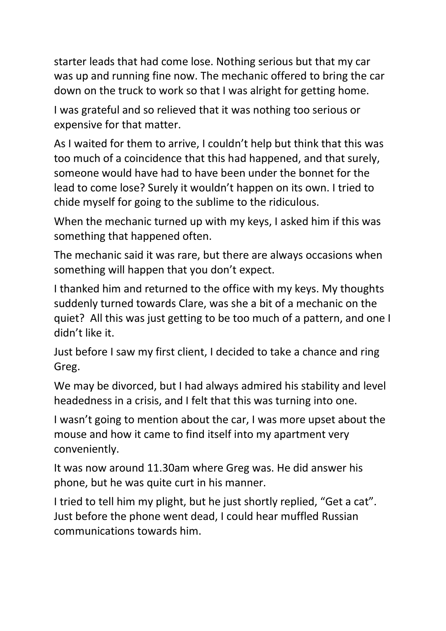starter leads that had come lose. Nothing serious but that my car was up and running fine now. The mechanic offered to bring the car down on the truck to work so that I was alright for getting home.

I was grateful and so relieved that it was nothing too serious or expensive for that matter.

As I waited for them to arrive, I couldn't help but think that this was too much of a coincidence that this had happened, and that surely, someone would have had to have been under the bonnet for the lead to come lose? Surely it wouldn't happen on its own. I tried to chide myself for going to the sublime to the ridiculous.

When the mechanic turned up with my keys, I asked him if this was something that happened often.

The mechanic said it was rare, but there are always occasions when something will happen that you don't expect.

I thanked him and returned to the office with my keys. My thoughts suddenly turned towards Clare, was she a bit of a mechanic on the quiet? All this was just getting to be too much of a pattern, and one I didn't like it.

Just before I saw my first client, I decided to take a chance and ring Greg.

We may be divorced, but I had always admired his stability and level headedness in a crisis, and I felt that this was turning into one.

I wasn't going to mention about the car, I was more upset about the mouse and how it came to find itself into my apartment very conveniently.

It was now around 11.30am where Greg was. He did answer his phone, but he was quite curt in his manner.

I tried to tell him my plight, but he just shortly replied, "Get a cat". Just before the phone went dead, I could hear muffled Russian communications towards him.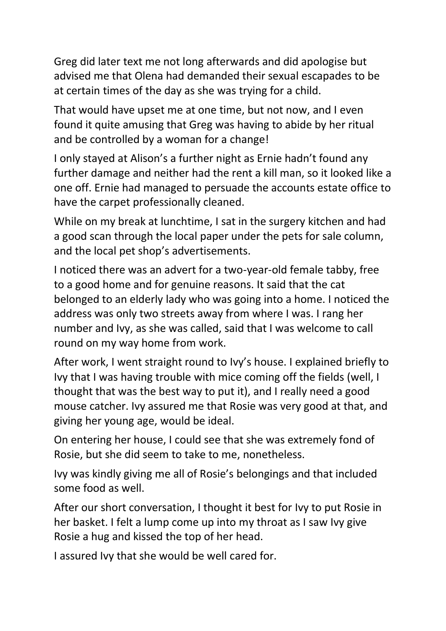Greg did later text me not long afterwards and did apologise but advised me that Olena had demanded their sexual escapades to be at certain times of the day as she was trying for a child.

That would have upset me at one time, but not now, and I even found it quite amusing that Greg was having to abide by her ritual and be controlled by a woman for a change!

I only stayed at Alison's a further night as Ernie hadn't found any further damage and neither had the rent a kill man, so it looked like a one off. Ernie had managed to persuade the accounts estate office to have the carpet professionally cleaned.

While on my break at lunchtime, I sat in the surgery kitchen and had a good scan through the local paper under the pets for sale column, and the local pet shop's advertisements.

I noticed there was an advert for a two-year-old female tabby, free to a good home and for genuine reasons. It said that the cat belonged to an elderly lady who was going into a home. I noticed the address was only two streets away from where I was. I rang her number and Ivy, as she was called, said that I was welcome to call round on my way home from work.

After work, I went straight round to Ivy's house. I explained briefly to Ivy that I was having trouble with mice coming off the fields (well, I thought that was the best way to put it), and I really need a good mouse catcher. Ivy assured me that Rosie was very good at that, and giving her young age, would be ideal.

On entering her house, I could see that she was extremely fond of Rosie, but she did seem to take to me, nonetheless.

Ivy was kindly giving me all of Rosie's belongings and that included some food as well.

After our short conversation, I thought it best for Ivy to put Rosie in her basket. I felt a lump come up into my throat as I saw Ivy give Rosie a hug and kissed the top of her head.

I assured Ivy that she would be well cared for.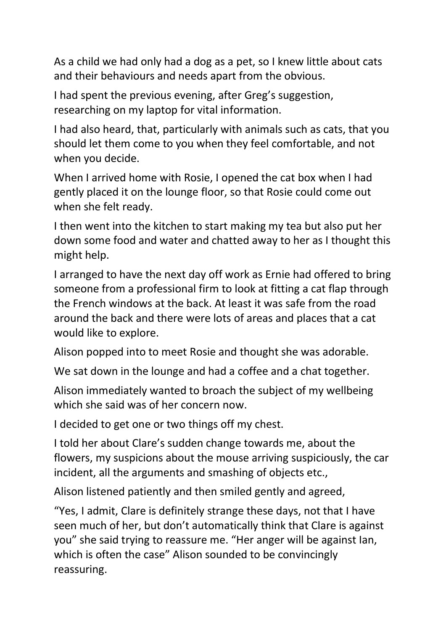As a child we had only had a dog as a pet, so I knew little about cats and their behaviours and needs apart from the obvious.

I had spent the previous evening, after Greg's suggestion, researching on my laptop for vital information.

I had also heard, that, particularly with animals such as cats, that you should let them come to you when they feel comfortable, and not when you decide.

When I arrived home with Rosie, I opened the cat box when I had gently placed it on the lounge floor, so that Rosie could come out when she felt ready.

I then went into the kitchen to start making my tea but also put her down some food and water and chatted away to her as I thought this might help.

I arranged to have the next day off work as Ernie had offered to bring someone from a professional firm to look at fitting a cat flap through the French windows at the back. At least it was safe from the road around the back and there were lots of areas and places that a cat would like to explore.

Alison popped into to meet Rosie and thought she was adorable.

We sat down in the lounge and had a coffee and a chat together.

Alison immediately wanted to broach the subject of my wellbeing which she said was of her concern now.

I decided to get one or two things off my chest.

I told her about Clare's sudden change towards me, about the flowers, my suspicions about the mouse arriving suspiciously, the car incident, all the arguments and smashing of objects etc.,

Alison listened patiently and then smiled gently and agreed,

"Yes, I admit, Clare is definitely strange these days, not that I have seen much of her, but don't automatically think that Clare is against you" she said trying to reassure me. "Her anger will be against Ian, which is often the case" Alison sounded to be convincingly reassuring.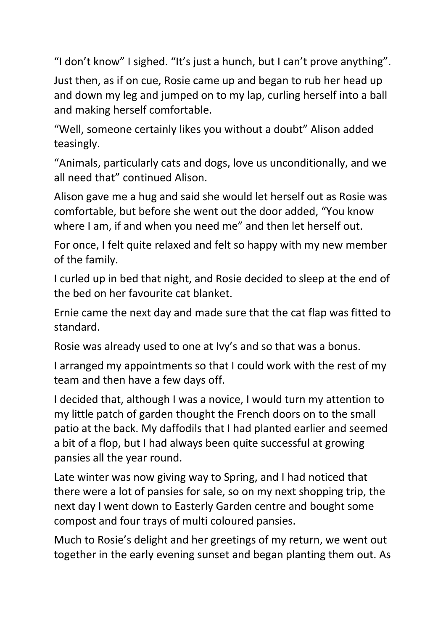"I don't know" I sighed. "It's just a hunch, but I can't prove anything".

Just then, as if on cue, Rosie came up and began to rub her head up and down my leg and jumped on to my lap, curling herself into a ball and making herself comfortable.

"Well, someone certainly likes you without a doubt" Alison added teasingly.

"Animals, particularly cats and dogs, love us unconditionally, and we all need that" continued Alison.

Alison gave me a hug and said she would let herself out as Rosie was comfortable, but before she went out the door added, "You know where I am, if and when you need me" and then let herself out.

For once, I felt quite relaxed and felt so happy with my new member of the family.

I curled up in bed that night, and Rosie decided to sleep at the end of the bed on her favourite cat blanket.

Ernie came the next day and made sure that the cat flap was fitted to standard.

Rosie was already used to one at Ivy's and so that was a bonus.

I arranged my appointments so that I could work with the rest of my team and then have a few days off.

I decided that, although I was a novice, I would turn my attention to my little patch of garden thought the French doors on to the small patio at the back. My daffodils that I had planted earlier and seemed a bit of a flop, but I had always been quite successful at growing pansies all the year round.

Late winter was now giving way to Spring, and I had noticed that there were a lot of pansies for sale, so on my next shopping trip, the next day I went down to Easterly Garden centre and bought some compost and four trays of multi coloured pansies.

Much to Rosie's delight and her greetings of my return, we went out together in the early evening sunset and began planting them out. As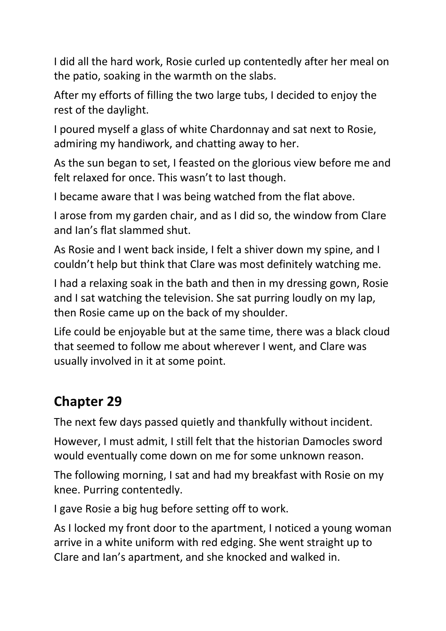I did all the hard work, Rosie curled up contentedly after her meal on the patio, soaking in the warmth on the slabs.

After my efforts of filling the two large tubs, I decided to enjoy the rest of the daylight.

I poured myself a glass of white Chardonnay and sat next to Rosie, admiring my handiwork, and chatting away to her.

As the sun began to set, I feasted on the glorious view before me and felt relaxed for once. This wasn't to last though.

I became aware that I was being watched from the flat above.

I arose from my garden chair, and as I did so, the window from Clare and Ian's flat slammed shut.

As Rosie and I went back inside, I felt a shiver down my spine, and I couldn't help but think that Clare was most definitely watching me.

I had a relaxing soak in the bath and then in my dressing gown, Rosie and I sat watching the television. She sat purring loudly on my lap, then Rosie came up on the back of my shoulder.

Life could be enjoyable but at the same time, there was a black cloud that seemed to follow me about wherever I went, and Clare was usually involved in it at some point.

### **Chapter 29**

The next few days passed quietly and thankfully without incident.

However, I must admit, I still felt that the historian Damocles sword would eventually come down on me for some unknown reason.

The following morning, I sat and had my breakfast with Rosie on my knee. Purring contentedly.

I gave Rosie a big hug before setting off to work.

As I locked my front door to the apartment, I noticed a young woman arrive in a white uniform with red edging. She went straight up to Clare and Ian's apartment, and she knocked and walked in.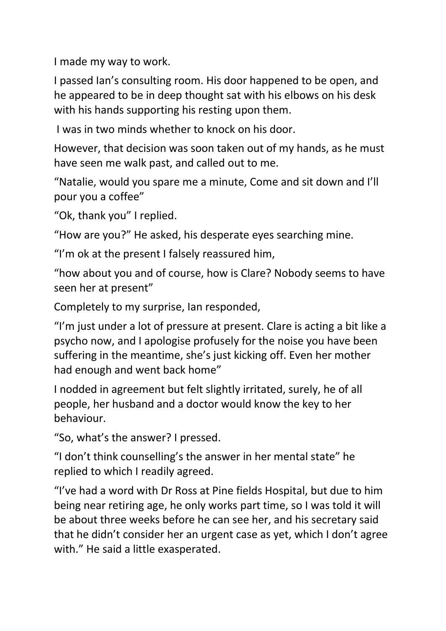I made my way to work.

I passed Ian's consulting room. His door happened to be open, and he appeared to be in deep thought sat with his elbows on his desk with his hands supporting his resting upon them.

I was in two minds whether to knock on his door.

However, that decision was soon taken out of my hands, as he must have seen me walk past, and called out to me.

"Natalie, would you spare me a minute, Come and sit down and I'll pour you a coffee"

"Ok, thank you" I replied.

"How are you?" He asked, his desperate eyes searching mine.

"I'm ok at the present I falsely reassured him,

"how about you and of course, how is Clare? Nobody seems to have seen her at present"

Completely to my surprise, Ian responded,

"I'm just under a lot of pressure at present. Clare is acting a bit like a psycho now, and I apologise profusely for the noise you have been suffering in the meantime, she's just kicking off. Even her mother had enough and went back home"

I nodded in agreement but felt slightly irritated, surely, he of all people, her husband and a doctor would know the key to her behaviour.

"So, what's the answer? I pressed.

"I don't think counselling's the answer in her mental state" he replied to which I readily agreed.

"I've had a word with Dr Ross at Pine fields Hospital, but due to him being near retiring age, he only works part time, so I was told it will be about three weeks before he can see her, and his secretary said that he didn't consider her an urgent case as yet, which I don't agree with." He said a little exasperated.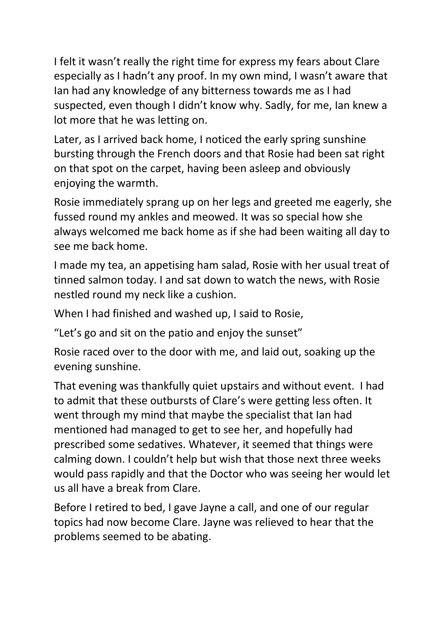I felt it wasn't really the right time for express my fears about Clare especially as I hadn't any proof. In my own mind, I wasn't aware that Ian had any knowledge of any bitterness towards me as I had suspected, even though I didn't know why. Sadly, for me, Ian knew a lot more that he was letting on.

Later, as I arrived back home, I noticed the early spring sunshine bursting through the French doors and that Rosie had been sat right on that spot on the carpet, having been asleep and obviously enjoying the warmth.

Rosie immediately sprang up on her legs and greeted me eagerly, she fussed round my ankles and meowed. It was so special how she always welcomed me back home as if she had been waiting all day to see me back home.

I made my tea, an appetising ham salad, Rosie with her usual treat of tinned salmon today. I and sat down to watch the news, with Rosie nestled round my neck like a cushion.

When I had finished and washed up, I said to Rosie,

"Let's go and sit on the patio and enjoy the sunset"

Rosie raced over to the door with me, and laid out, soaking up the evening sunshine.

That evening was thankfully quiet upstairs and without event. I had to admit that these outbursts of Clare's were getting less often. It went through my mind that maybe the specialist that Ian had mentioned had managed to get to see her, and hopefully had prescribed some sedatives. Whatever, it seemed that things were calming down. I couldn't help but wish that those next three weeks would pass rapidly and that the Doctor who was seeing her would let us all have a break from Clare.

Before I retired to bed, I gave Jayne a call, and one of our regular topics had now become Clare. Jayne was relieved to hear that the problems seemed to be abating.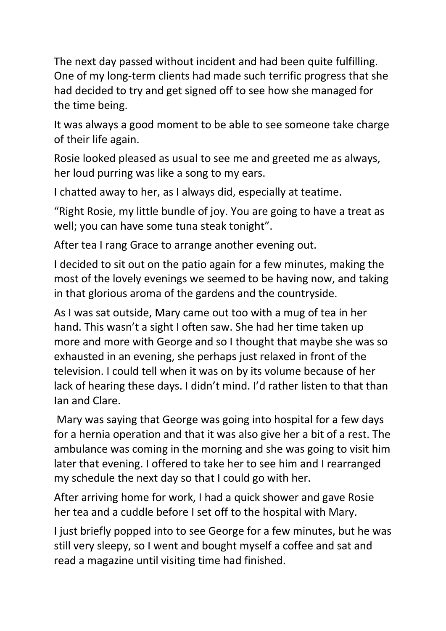The next day passed without incident and had been quite fulfilling. One of my long-term clients had made such terrific progress that she had decided to try and get signed off to see how she managed for the time being.

It was always a good moment to be able to see someone take charge of their life again.

Rosie looked pleased as usual to see me and greeted me as always, her loud purring was like a song to my ears.

I chatted away to her, as I always did, especially at teatime.

"Right Rosie, my little bundle of joy. You are going to have a treat as well; you can have some tuna steak tonight".

After tea I rang Grace to arrange another evening out.

I decided to sit out on the patio again for a few minutes, making the most of the lovely evenings we seemed to be having now, and taking in that glorious aroma of the gardens and the countryside.

As I was sat outside, Mary came out too with a mug of tea in her hand. This wasn't a sight I often saw. She had her time taken up more and more with George and so I thought that maybe she was so exhausted in an evening, she perhaps just relaxed in front of the television. I could tell when it was on by its volume because of her lack of hearing these days. I didn't mind. I'd rather listen to that than Ian and Clare.

Mary was saying that George was going into hospital for a few days for a hernia operation and that it was also give her a bit of a rest. The ambulance was coming in the morning and she was going to visit him later that evening. I offered to take her to see him and I rearranged my schedule the next day so that I could go with her.

After arriving home for work, I had a quick shower and gave Rosie her tea and a cuddle before I set off to the hospital with Mary.

I just briefly popped into to see George for a few minutes, but he was still very sleepy, so I went and bought myself a coffee and sat and read a magazine until visiting time had finished.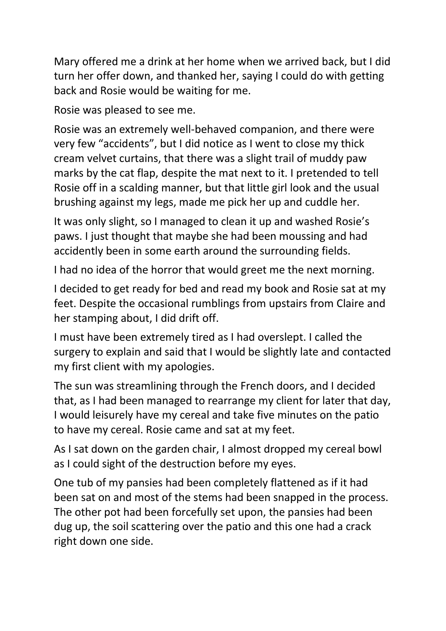Mary offered me a drink at her home when we arrived back, but I did turn her offer down, and thanked her, saying I could do with getting back and Rosie would be waiting for me.

Rosie was pleased to see me.

Rosie was an extremely well-behaved companion, and there were very few "accidents", but I did notice as I went to close my thick cream velvet curtains, that there was a slight trail of muddy paw marks by the cat flap, despite the mat next to it. I pretended to tell Rosie off in a scalding manner, but that little girl look and the usual brushing against my legs, made me pick her up and cuddle her.

It was only slight, so I managed to clean it up and washed Rosie's paws. I just thought that maybe she had been moussing and had accidently been in some earth around the surrounding fields.

I had no idea of the horror that would greet me the next morning.

I decided to get ready for bed and read my book and Rosie sat at my feet. Despite the occasional rumblings from upstairs from Claire and her stamping about, I did drift off.

I must have been extremely tired as I had overslept. I called the surgery to explain and said that I would be slightly late and contacted my first client with my apologies.

The sun was streamlining through the French doors, and I decided that, as I had been managed to rearrange my client for later that day, I would leisurely have my cereal and take five minutes on the patio to have my cereal. Rosie came and sat at my feet.

As I sat down on the garden chair, I almost dropped my cereal bowl as I could sight of the destruction before my eyes.

One tub of my pansies had been completely flattened as if it had been sat on and most of the stems had been snapped in the process. The other pot had been forcefully set upon, the pansies had been dug up, the soil scattering over the patio and this one had a crack right down one side.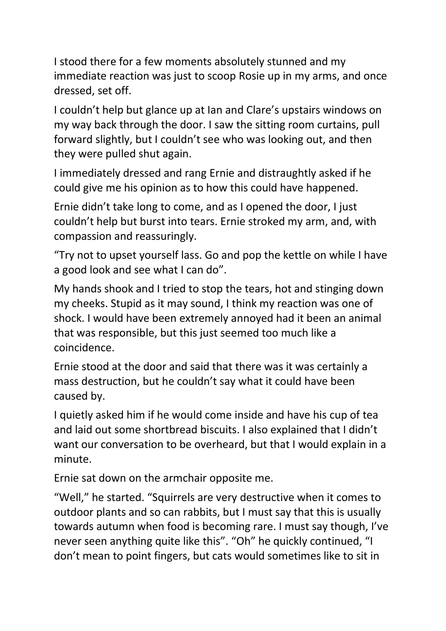I stood there for a few moments absolutely stunned and my immediate reaction was just to scoop Rosie up in my arms, and once dressed, set off.

I couldn't help but glance up at Ian and Clare's upstairs windows on my way back through the door. I saw the sitting room curtains, pull forward slightly, but I couldn't see who was looking out, and then they were pulled shut again.

I immediately dressed and rang Ernie and distraughtly asked if he could give me his opinion as to how this could have happened.

Ernie didn't take long to come, and as I opened the door, I just couldn't help but burst into tears. Ernie stroked my arm, and, with compassion and reassuringly.

"Try not to upset yourself lass. Go and pop the kettle on while I have a good look and see what I can do".

My hands shook and I tried to stop the tears, hot and stinging down my cheeks. Stupid as it may sound, I think my reaction was one of shock. I would have been extremely annoyed had it been an animal that was responsible, but this just seemed too much like a coincidence.

Ernie stood at the door and said that there was it was certainly a mass destruction, but he couldn't say what it could have been caused by.

I quietly asked him if he would come inside and have his cup of tea and laid out some shortbread biscuits. I also explained that I didn't want our conversation to be overheard, but that I would explain in a minute.

Ernie sat down on the armchair opposite me.

"Well," he started. "Squirrels are very destructive when it comes to outdoor plants and so can rabbits, but I must say that this is usually towards autumn when food is becoming rare. I must say though, I've never seen anything quite like this". "Oh" he quickly continued, "I don't mean to point fingers, but cats would sometimes like to sit in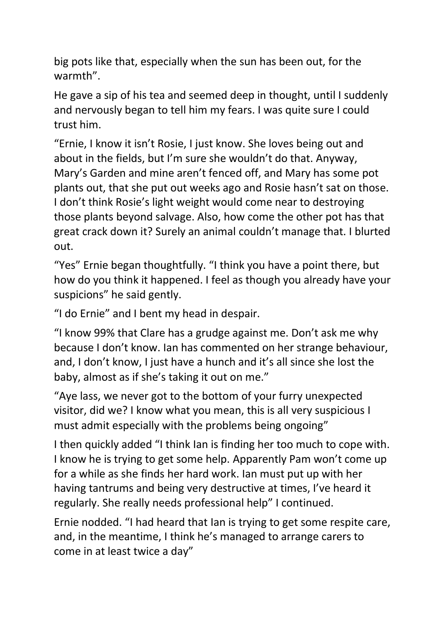big pots like that, especially when the sun has been out, for the warmth".

He gave a sip of his tea and seemed deep in thought, until I suddenly and nervously began to tell him my fears. I was quite sure I could trust him.

"Ernie, I know it isn't Rosie, I just know. She loves being out and about in the fields, but I'm sure she wouldn't do that. Anyway, Mary's Garden and mine aren't fenced off, and Mary has some pot plants out, that she put out weeks ago and Rosie hasn't sat on those. I don't think Rosie's light weight would come near to destroying those plants beyond salvage. Also, how come the other pot has that great crack down it? Surely an animal couldn't manage that. I blurted out.

"Yes" Ernie began thoughtfully. "I think you have a point there, but how do you think it happened. I feel as though you already have your suspicions" he said gently.

"I do Ernie" and I bent my head in despair.

"I know 99% that Clare has a grudge against me. Don't ask me why because I don't know. Ian has commented on her strange behaviour, and, I don't know, I just have a hunch and it's all since she lost the baby, almost as if she's taking it out on me."

"Aye lass, we never got to the bottom of your furry unexpected visitor, did we? I know what you mean, this is all very suspicious I must admit especially with the problems being ongoing"

I then quickly added "I think Ian is finding her too much to cope with. I know he is trying to get some help. Apparently Pam won't come up for a while as she finds her hard work. Ian must put up with her having tantrums and being very destructive at times, I've heard it regularly. She really needs professional help" I continued.

Ernie nodded. "I had heard that Ian is trying to get some respite care, and, in the meantime, I think he's managed to arrange carers to come in at least twice a day"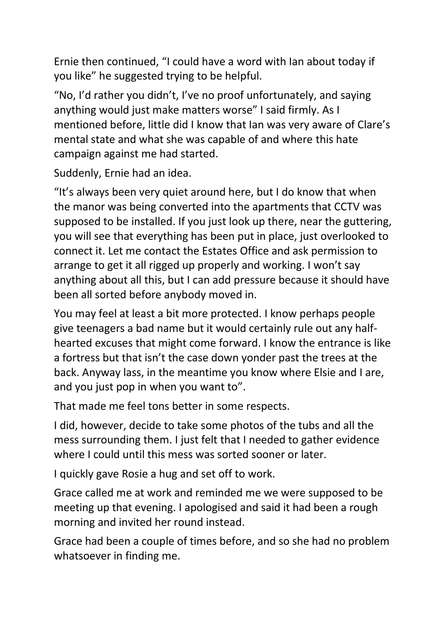Ernie then continued, "I could have a word with Ian about today if you like" he suggested trying to be helpful.

"No, I'd rather you didn't, I've no proof unfortunately, and saying anything would just make matters worse" I said firmly. As I mentioned before, little did I know that Ian was very aware of Clare's mental state and what she was capable of and where this hate campaign against me had started.

Suddenly, Ernie had an idea.

"It's always been very quiet around here, but I do know that when the manor was being converted into the apartments that CCTV was supposed to be installed. If you just look up there, near the guttering, you will see that everything has been put in place, just overlooked to connect it. Let me contact the Estates Office and ask permission to arrange to get it all rigged up properly and working. I won't say anything about all this, but I can add pressure because it should have been all sorted before anybody moved in.

You may feel at least a bit more protected. I know perhaps people give teenagers a bad name but it would certainly rule out any halfhearted excuses that might come forward. I know the entrance is like a fortress but that isn't the case down yonder past the trees at the back. Anyway lass, in the meantime you know where Elsie and I are, and you just pop in when you want to".

That made me feel tons better in some respects.

I did, however, decide to take some photos of the tubs and all the mess surrounding them. I just felt that I needed to gather evidence where I could until this mess was sorted sooner or later.

I quickly gave Rosie a hug and set off to work.

Grace called me at work and reminded me we were supposed to be meeting up that evening. I apologised and said it had been a rough morning and invited her round instead.

Grace had been a couple of times before, and so she had no problem whatsoever in finding me.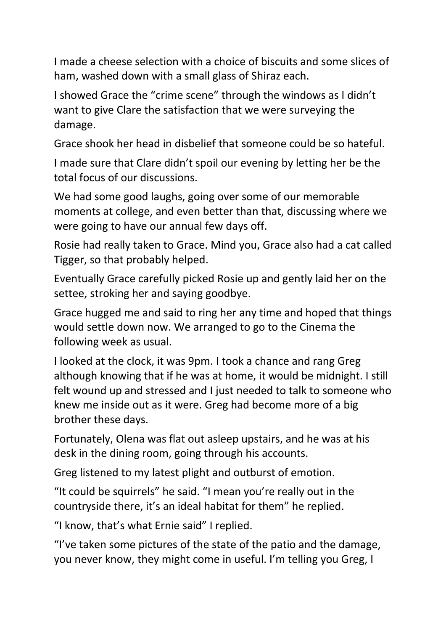I made a cheese selection with a choice of biscuits and some slices of ham, washed down with a small glass of Shiraz each.

I showed Grace the "crime scene" through the windows as I didn't want to give Clare the satisfaction that we were surveying the damage.

Grace shook her head in disbelief that someone could be so hateful.

I made sure that Clare didn't spoil our evening by letting her be the total focus of our discussions.

We had some good laughs, going over some of our memorable moments at college, and even better than that, discussing where we were going to have our annual few days off.

Rosie had really taken to Grace. Mind you, Grace also had a cat called Tigger, so that probably helped.

Eventually Grace carefully picked Rosie up and gently laid her on the settee, stroking her and saying goodbye.

Grace hugged me and said to ring her any time and hoped that things would settle down now. We arranged to go to the Cinema the following week as usual.

I looked at the clock, it was 9pm. I took a chance and rang Greg although knowing that if he was at home, it would be midnight. I still felt wound up and stressed and I just needed to talk to someone who knew me inside out as it were. Greg had become more of a big brother these days.

Fortunately, Olena was flat out asleep upstairs, and he was at his desk in the dining room, going through his accounts.

Greg listened to my latest plight and outburst of emotion.

"It could be squirrels" he said. "I mean you're really out in the countryside there, it's an ideal habitat for them" he replied.

"I know, that's what Ernie said" I replied.

"I've taken some pictures of the state of the patio and the damage, you never know, they might come in useful. I'm telling you Greg, I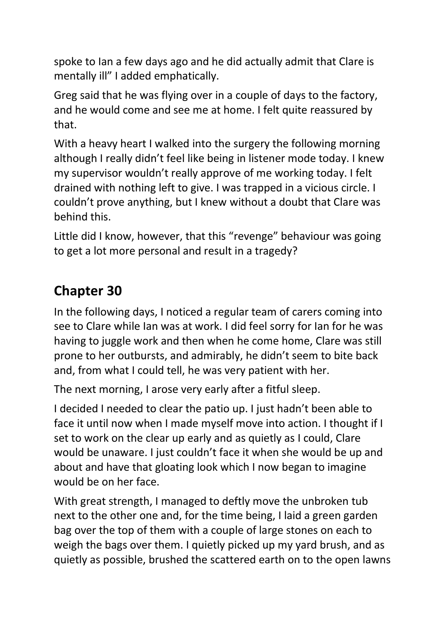spoke to Ian a few days ago and he did actually admit that Clare is mentally ill" I added emphatically.

Greg said that he was flying over in a couple of days to the factory, and he would come and see me at home. I felt quite reassured by that.

With a heavy heart I walked into the surgery the following morning although I really didn't feel like being in listener mode today. I knew my supervisor wouldn't really approve of me working today. I felt drained with nothing left to give. I was trapped in a vicious circle. I couldn't prove anything, but I knew without a doubt that Clare was behind this.

Little did I know, however, that this "revenge" behaviour was going to get a lot more personal and result in a tragedy?

### **Chapter 30**

In the following days, I noticed a regular team of carers coming into see to Clare while Ian was at work. I did feel sorry for Ian for he was having to juggle work and then when he come home, Clare was still prone to her outbursts, and admirably, he didn't seem to bite back and, from what I could tell, he was very patient with her.

The next morning, I arose very early after a fitful sleep.

I decided I needed to clear the patio up. I just hadn't been able to face it until now when I made myself move into action. I thought if I set to work on the clear up early and as quietly as I could, Clare would be unaware. I just couldn't face it when she would be up and about and have that gloating look which I now began to imagine would be on her face.

With great strength, I managed to deftly move the unbroken tub next to the other one and, for the time being, I laid a green garden bag over the top of them with a couple of large stones on each to weigh the bags over them. I quietly picked up my yard brush, and as quietly as possible, brushed the scattered earth on to the open lawns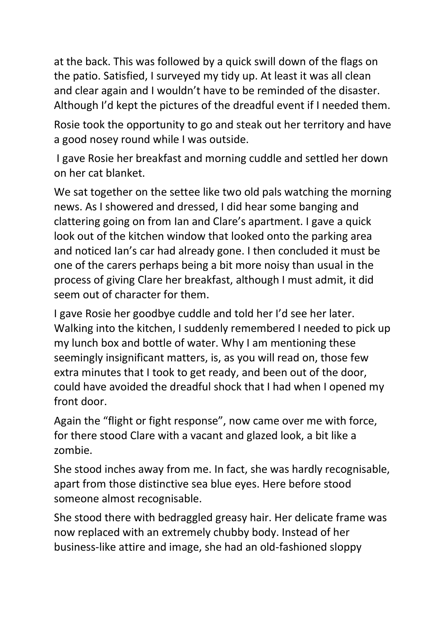at the back. This was followed by a quick swill down of the flags on the patio. Satisfied, I surveyed my tidy up. At least it was all clean and clear again and I wouldn't have to be reminded of the disaster. Although I'd kept the pictures of the dreadful event if I needed them.

Rosie took the opportunity to go and steak out her territory and have a good nosey round while I was outside.

I gave Rosie her breakfast and morning cuddle and settled her down on her cat blanket.

We sat together on the settee like two old pals watching the morning news. As I showered and dressed, I did hear some banging and clattering going on from Ian and Clare's apartment. I gave a quick look out of the kitchen window that looked onto the parking area and noticed Ian's car had already gone. I then concluded it must be one of the carers perhaps being a bit more noisy than usual in the process of giving Clare her breakfast, although I must admit, it did seem out of character for them.

I gave Rosie her goodbye cuddle and told her I'd see her later. Walking into the kitchen, I suddenly remembered I needed to pick up my lunch box and bottle of water. Why I am mentioning these seemingly insignificant matters, is, as you will read on, those few extra minutes that I took to get ready, and been out of the door, could have avoided the dreadful shock that I had when I opened my front door.

Again the "flight or fight response", now came over me with force, for there stood Clare with a vacant and glazed look, a bit like a zombie.

She stood inches away from me. In fact, she was hardly recognisable, apart from those distinctive sea blue eyes. Here before stood someone almost recognisable.

She stood there with bedraggled greasy hair. Her delicate frame was now replaced with an extremely chubby body. Instead of her business-like attire and image, she had an old-fashioned sloppy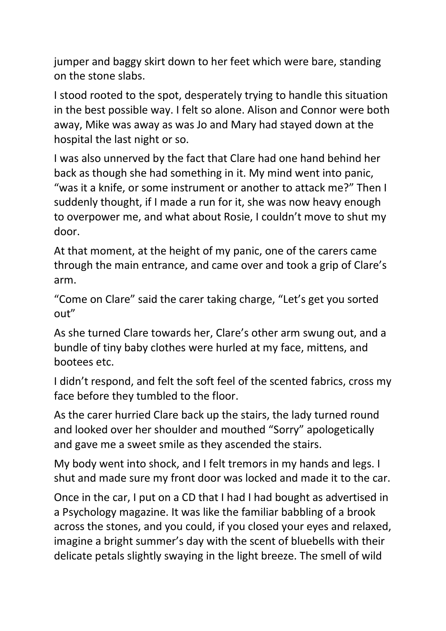jumper and baggy skirt down to her feet which were bare, standing on the stone slabs.

I stood rooted to the spot, desperately trying to handle this situation in the best possible way. I felt so alone. Alison and Connor were both away, Mike was away as was Jo and Mary had stayed down at the hospital the last night or so.

I was also unnerved by the fact that Clare had one hand behind her back as though she had something in it. My mind went into panic, "was it a knife, or some instrument or another to attack me?" Then I suddenly thought, if I made a run for it, she was now heavy enough to overpower me, and what about Rosie, I couldn't move to shut my door.

At that moment, at the height of my panic, one of the carers came through the main entrance, and came over and took a grip of Clare's arm.

"Come on Clare" said the carer taking charge, "Let's get you sorted out"

As she turned Clare towards her, Clare's other arm swung out, and a bundle of tiny baby clothes were hurled at my face, mittens, and bootees etc.

I didn't respond, and felt the soft feel of the scented fabrics, cross my face before they tumbled to the floor.

As the carer hurried Clare back up the stairs, the lady turned round and looked over her shoulder and mouthed "Sorry" apologetically and gave me a sweet smile as they ascended the stairs.

My body went into shock, and I felt tremors in my hands and legs. I shut and made sure my front door was locked and made it to the car.

Once in the car, I put on a CD that I had I had bought as advertised in a Psychology magazine. It was like the familiar babbling of a brook across the stones, and you could, if you closed your eyes and relaxed, imagine a bright summer's day with the scent of bluebells with their delicate petals slightly swaying in the light breeze. The smell of wild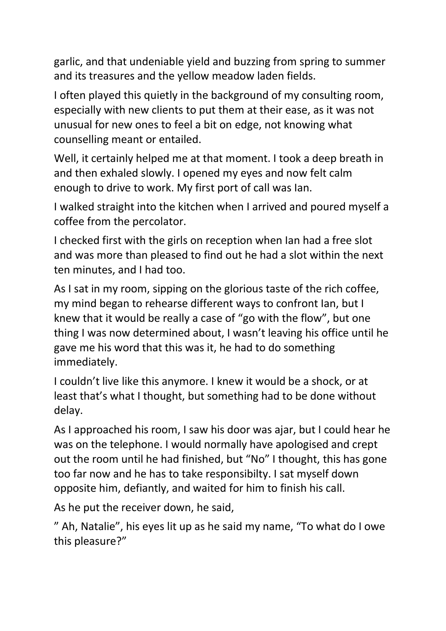garlic, and that undeniable yield and buzzing from spring to summer and its treasures and the yellow meadow laden fields.

I often played this quietly in the background of my consulting room, especially with new clients to put them at their ease, as it was not unusual for new ones to feel a bit on edge, not knowing what counselling meant or entailed.

Well, it certainly helped me at that moment. I took a deep breath in and then exhaled slowly. I opened my eyes and now felt calm enough to drive to work. My first port of call was Ian.

I walked straight into the kitchen when I arrived and poured myself a coffee from the percolator.

I checked first with the girls on reception when Ian had a free slot and was more than pleased to find out he had a slot within the next ten minutes, and I had too.

As I sat in my room, sipping on the glorious taste of the rich coffee, my mind began to rehearse different ways to confront Ian, but I knew that it would be really a case of "go with the flow", but one thing I was now determined about, I wasn't leaving his office until he gave me his word that this was it, he had to do something immediately.

I couldn't live like this anymore. I knew it would be a shock, or at least that's what I thought, but something had to be done without delay.

As I approached his room, I saw his door was ajar, but I could hear he was on the telephone. I would normally have apologised and crept out the room until he had finished, but "No" I thought, this has gone too far now and he has to take responsibilty. I sat myself down opposite him, defiantly, and waited for him to finish his call.

As he put the receiver down, he said,

" Ah, Natalie", his eyes lit up as he said my name, "To what do I owe this pleasure?"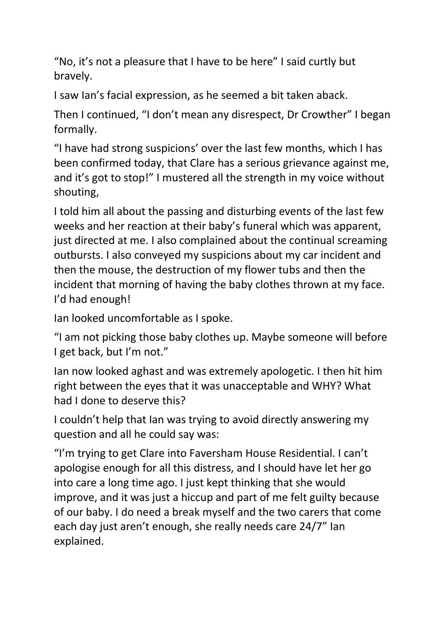"No, it's not a pleasure that I have to be here" I said curtly but bravely.

I saw Ian's facial expression, as he seemed a bit taken aback.

Then I continued, "I don't mean any disrespect, Dr Crowther" I began formally.

"I have had strong suspicions' over the last few months, which I has been confirmed today, that Clare has a serious grievance against me, and it's got to stop!" I mustered all the strength in my voice without shouting,

I told him all about the passing and disturbing events of the last few weeks and her reaction at their baby's funeral which was apparent, just directed at me. I also complained about the continual screaming outbursts. I also conveyed my suspicions about my car incident and then the mouse, the destruction of my flower tubs and then the incident that morning of having the baby clothes thrown at my face. I'd had enough!

Ian looked uncomfortable as I spoke.

"I am not picking those baby clothes up. Maybe someone will before I get back, but I'm not."

Ian now looked aghast and was extremely apologetic. I then hit him right between the eyes that it was unacceptable and WHY? What had I done to deserve this?

I couldn't help that Ian was trying to avoid directly answering my question and all he could say was:

"I'm trying to get Clare into Faversham House Residential. I can't apologise enough for all this distress, and I should have let her go into care a long time ago. I just kept thinking that she would improve, and it was just a hiccup and part of me felt guilty because of our baby. I do need a break myself and the two carers that come each day just aren't enough, she really needs care 24/7" Ian explained.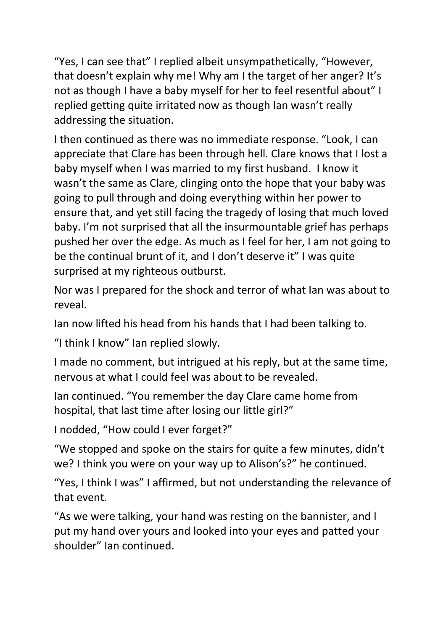"Yes, I can see that" I replied albeit unsympathetically, "However, that doesn't explain why me! Why am I the target of her anger? It's not as though I have a baby myself for her to feel resentful about" I replied getting quite irritated now as though Ian wasn't really addressing the situation.

I then continued as there was no immediate response. "Look, I can appreciate that Clare has been through hell. Clare knows that I lost a baby myself when I was married to my first husband. I know it wasn't the same as Clare, clinging onto the hope that your baby was going to pull through and doing everything within her power to ensure that, and yet still facing the tragedy of losing that much loved baby. I'm not surprised that all the insurmountable grief has perhaps pushed her over the edge. As much as I feel for her, I am not going to be the continual brunt of it, and I don't deserve it" I was quite surprised at my righteous outburst.

Nor was I prepared for the shock and terror of what Ian was about to reveal.

Ian now lifted his head from his hands that I had been talking to.

"I think I know" Ian replied slowly.

I made no comment, but intrigued at his reply, but at the same time, nervous at what I could feel was about to be revealed.

Ian continued. "You remember the day Clare came home from hospital, that last time after losing our little girl?"

I nodded, "How could I ever forget?"

"We stopped and spoke on the stairs for quite a few minutes, didn't we? I think you were on your way up to Alison's?" he continued.

"Yes, I think I was" I affirmed, but not understanding the relevance of that event.

"As we were talking, your hand was resting on the bannister, and I put my hand over yours and looked into your eyes and patted your shoulder" Ian continued.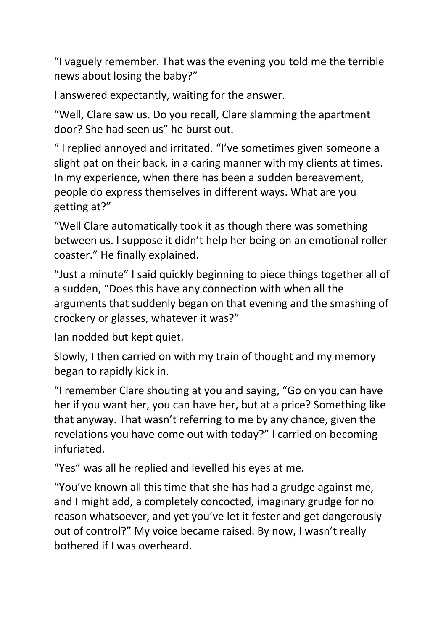"I vaguely remember. That was the evening you told me the terrible news about losing the baby?"

I answered expectantly, waiting for the answer.

"Well, Clare saw us. Do you recall, Clare slamming the apartment door? She had seen us" he burst out.

" I replied annoyed and irritated. "I've sometimes given someone a slight pat on their back, in a caring manner with my clients at times. In my experience, when there has been a sudden bereavement, people do express themselves in different ways. What are you getting at?"

"Well Clare automatically took it as though there was something between us. I suppose it didn't help her being on an emotional roller coaster." He finally explained.

"Just a minute" I said quickly beginning to piece things together all of a sudden, "Does this have any connection with when all the arguments that suddenly began on that evening and the smashing of crockery or glasses, whatever it was?"

Ian nodded but kept quiet.

Slowly, I then carried on with my train of thought and my memory began to rapidly kick in.

"I remember Clare shouting at you and saying, "Go on you can have her if you want her, you can have her, but at a price? Something like that anyway. That wasn't referring to me by any chance, given the revelations you have come out with today?" I carried on becoming infuriated.

"Yes" was all he replied and levelled his eyes at me.

"You've known all this time that she has had a grudge against me, and I might add, a completely concocted, imaginary grudge for no reason whatsoever, and yet you've let it fester and get dangerously out of control?" My voice became raised. By now, I wasn't really bothered if I was overheard.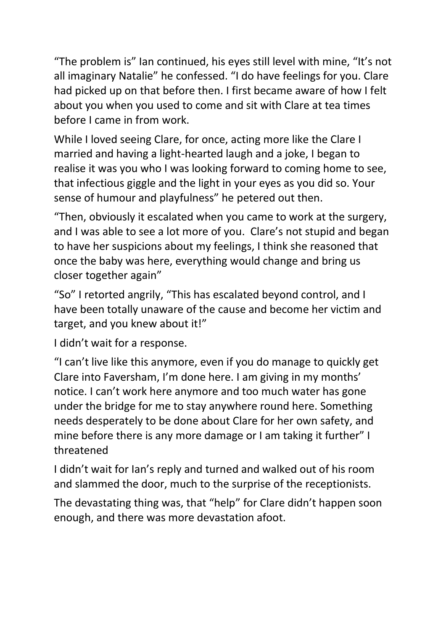"The problem is" Ian continued, his eyes still level with mine, "It's not all imaginary Natalie" he confessed. "I do have feelings for you. Clare had picked up on that before then. I first became aware of how I felt about you when you used to come and sit with Clare at tea times before I came in from work.

While I loved seeing Clare, for once, acting more like the Clare I married and having a light-hearted laugh and a joke, I began to realise it was you who I was looking forward to coming home to see, that infectious giggle and the light in your eyes as you did so. Your sense of humour and playfulness" he petered out then.

"Then, obviously it escalated when you came to work at the surgery, and I was able to see a lot more of you. Clare's not stupid and began to have her suspicions about my feelings, I think she reasoned that once the baby was here, everything would change and bring us closer together again"

"So" I retorted angrily, "This has escalated beyond control, and I have been totally unaware of the cause and become her victim and target, and you knew about it!"

I didn't wait for a response.

"I can't live like this anymore, even if you do manage to quickly get Clare into Faversham, I'm done here. I am giving in my months' notice. I can't work here anymore and too much water has gone under the bridge for me to stay anywhere round here. Something needs desperately to be done about Clare for her own safety, and mine before there is any more damage or I am taking it further" I threatened

I didn't wait for Ian's reply and turned and walked out of his room and slammed the door, much to the surprise of the receptionists.

The devastating thing was, that "help" for Clare didn't happen soon enough, and there was more devastation afoot.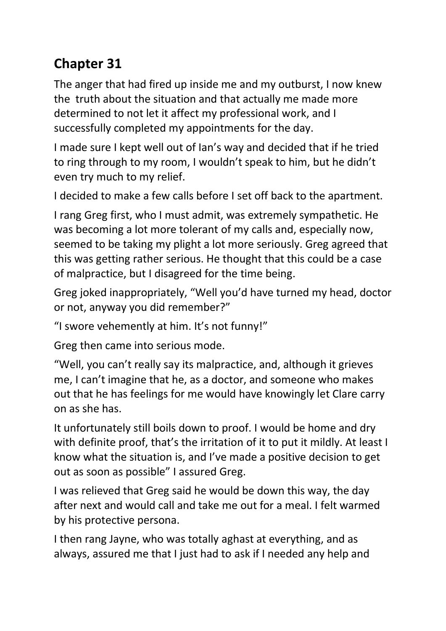## **Chapter 31**

The anger that had fired up inside me and my outburst, I now knew the truth about the situation and that actually me made more determined to not let it affect my professional work, and I successfully completed my appointments for the day.

I made sure I kept well out of Ian's way and decided that if he tried to ring through to my room, I wouldn't speak to him, but he didn't even try much to my relief.

I decided to make a few calls before I set off back to the apartment.

I rang Greg first, who I must admit, was extremely sympathetic. He was becoming a lot more tolerant of my calls and, especially now, seemed to be taking my plight a lot more seriously. Greg agreed that this was getting rather serious. He thought that this could be a case of malpractice, but I disagreed for the time being.

Greg joked inappropriately, "Well you'd have turned my head, doctor or not, anyway you did remember?"

"I swore vehemently at him. It's not funny!"

Greg then came into serious mode.

"Well, you can't really say its malpractice, and, although it grieves me, I can't imagine that he, as a doctor, and someone who makes out that he has feelings for me would have knowingly let Clare carry on as she has.

It unfortunately still boils down to proof. I would be home and dry with definite proof, that's the irritation of it to put it mildly. At least I know what the situation is, and I've made a positive decision to get out as soon as possible" I assured Greg.

I was relieved that Greg said he would be down this way, the day after next and would call and take me out for a meal. I felt warmed by his protective persona.

I then rang Jayne, who was totally aghast at everything, and as always, assured me that I just had to ask if I needed any help and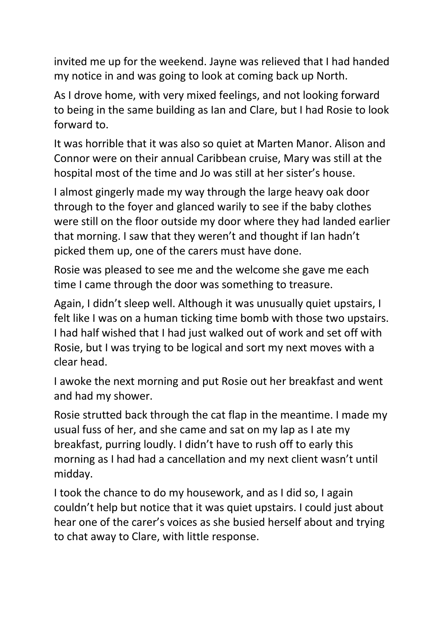invited me up for the weekend. Jayne was relieved that I had handed my notice in and was going to look at coming back up North.

As I drove home, with very mixed feelings, and not looking forward to being in the same building as Ian and Clare, but I had Rosie to look forward to.

It was horrible that it was also so quiet at Marten Manor. Alison and Connor were on their annual Caribbean cruise, Mary was still at the hospital most of the time and Jo was still at her sister's house.

I almost gingerly made my way through the large heavy oak door through to the foyer and glanced warily to see if the baby clothes were still on the floor outside my door where they had landed earlier that morning. I saw that they weren't and thought if Ian hadn't picked them up, one of the carers must have done.

Rosie was pleased to see me and the welcome she gave me each time I came through the door was something to treasure.

Again, I didn't sleep well. Although it was unusually quiet upstairs, I felt like I was on a human ticking time bomb with those two upstairs. I had half wished that I had just walked out of work and set off with Rosie, but I was trying to be logical and sort my next moves with a clear head.

I awoke the next morning and put Rosie out her breakfast and went and had my shower.

Rosie strutted back through the cat flap in the meantime. I made my usual fuss of her, and she came and sat on my lap as I ate my breakfast, purring loudly. I didn't have to rush off to early this morning as I had had a cancellation and my next client wasn't until midday.

I took the chance to do my housework, and as I did so, I again couldn't help but notice that it was quiet upstairs. I could just about hear one of the carer's voices as she busied herself about and trying to chat away to Clare, with little response.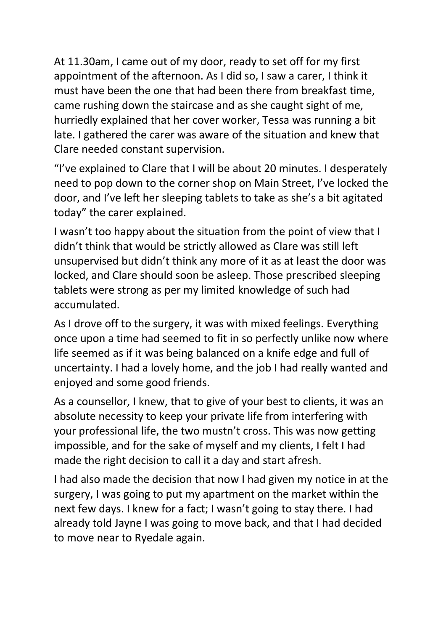At 11.30am, I came out of my door, ready to set off for my first appointment of the afternoon. As I did so, I saw a carer, I think it must have been the one that had been there from breakfast time, came rushing down the staircase and as she caught sight of me, hurriedly explained that her cover worker, Tessa was running a bit late. I gathered the carer was aware of the situation and knew that Clare needed constant supervision.

"I've explained to Clare that I will be about 20 minutes. I desperately need to pop down to the corner shop on Main Street, I've locked the door, and I've left her sleeping tablets to take as she's a bit agitated today" the carer explained.

I wasn't too happy about the situation from the point of view that I didn't think that would be strictly allowed as Clare was still left unsupervised but didn't think any more of it as at least the door was locked, and Clare should soon be asleep. Those prescribed sleeping tablets were strong as per my limited knowledge of such had accumulated.

As I drove off to the surgery, it was with mixed feelings. Everything once upon a time had seemed to fit in so perfectly unlike now where life seemed as if it was being balanced on a knife edge and full of uncertainty. I had a lovely home, and the job I had really wanted and enjoyed and some good friends.

As a counsellor, I knew, that to give of your best to clients, it was an absolute necessity to keep your private life from interfering with your professional life, the two mustn't cross. This was now getting impossible, and for the sake of myself and my clients, I felt I had made the right decision to call it a day and start afresh.

I had also made the decision that now I had given my notice in at the surgery, I was going to put my apartment on the market within the next few days. I knew for a fact; I wasn't going to stay there. I had already told Jayne I was going to move back, and that I had decided to move near to Ryedale again.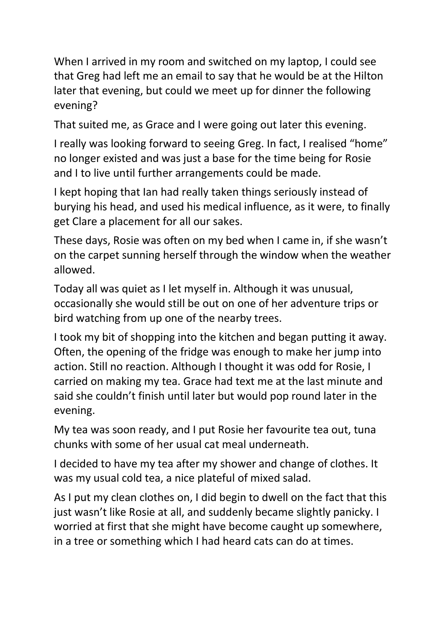When I arrived in my room and switched on my laptop, I could see that Greg had left me an email to say that he would be at the Hilton later that evening, but could we meet up for dinner the following evening?

That suited me, as Grace and I were going out later this evening.

I really was looking forward to seeing Greg. In fact, I realised "home" no longer existed and was just a base for the time being for Rosie and I to live until further arrangements could be made.

I kept hoping that Ian had really taken things seriously instead of burying his head, and used his medical influence, as it were, to finally get Clare a placement for all our sakes.

These days, Rosie was often on my bed when I came in, if she wasn't on the carpet sunning herself through the window when the weather allowed.

Today all was quiet as I let myself in. Although it was unusual, occasionally she would still be out on one of her adventure trips or bird watching from up one of the nearby trees.

I took my bit of shopping into the kitchen and began putting it away. Often, the opening of the fridge was enough to make her jump into action. Still no reaction. Although I thought it was odd for Rosie, I carried on making my tea. Grace had text me at the last minute and said she couldn't finish until later but would pop round later in the evening.

My tea was soon ready, and I put Rosie her favourite tea out, tuna chunks with some of her usual cat meal underneath.

I decided to have my tea after my shower and change of clothes. It was my usual cold tea, a nice plateful of mixed salad.

As I put my clean clothes on, I did begin to dwell on the fact that this just wasn't like Rosie at all, and suddenly became slightly panicky. I worried at first that she might have become caught up somewhere, in a tree or something which I had heard cats can do at times.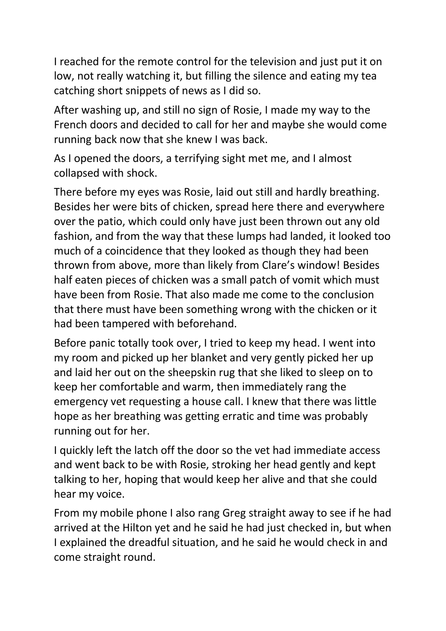I reached for the remote control for the television and just put it on low, not really watching it, but filling the silence and eating my tea catching short snippets of news as I did so.

After washing up, and still no sign of Rosie, I made my way to the French doors and decided to call for her and maybe she would come running back now that she knew I was back.

As I opened the doors, a terrifying sight met me, and I almost collapsed with shock.

There before my eyes was Rosie, laid out still and hardly breathing. Besides her were bits of chicken, spread here there and everywhere over the patio, which could only have just been thrown out any old fashion, and from the way that these lumps had landed, it looked too much of a coincidence that they looked as though they had been thrown from above, more than likely from Clare's window! Besides half eaten pieces of chicken was a small patch of vomit which must have been from Rosie. That also made me come to the conclusion that there must have been something wrong with the chicken or it had been tampered with beforehand.

Before panic totally took over, I tried to keep my head. I went into my room and picked up her blanket and very gently picked her up and laid her out on the sheepskin rug that she liked to sleep on to keep her comfortable and warm, then immediately rang the emergency vet requesting a house call. I knew that there was little hope as her breathing was getting erratic and time was probably running out for her.

I quickly left the latch off the door so the vet had immediate access and went back to be with Rosie, stroking her head gently and kept talking to her, hoping that would keep her alive and that she could hear my voice.

From my mobile phone I also rang Greg straight away to see if he had arrived at the Hilton yet and he said he had just checked in, but when I explained the dreadful situation, and he said he would check in and come straight round.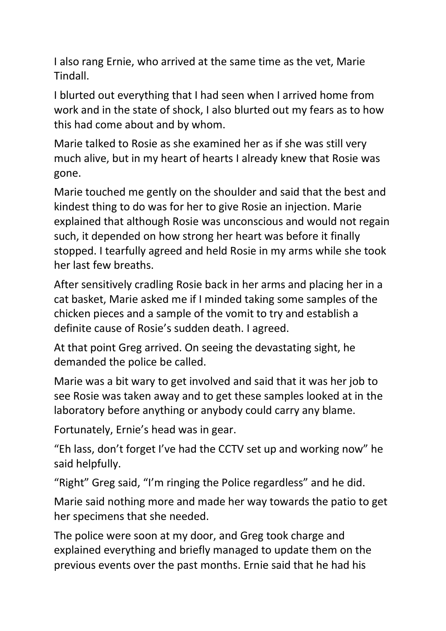I also rang Ernie, who arrived at the same time as the vet, Marie Tindall.

I blurted out everything that I had seen when I arrived home from work and in the state of shock, I also blurted out my fears as to how this had come about and by whom.

Marie talked to Rosie as she examined her as if she was still very much alive, but in my heart of hearts I already knew that Rosie was gone.

Marie touched me gently on the shoulder and said that the best and kindest thing to do was for her to give Rosie an injection. Marie explained that although Rosie was unconscious and would not regain such, it depended on how strong her heart was before it finally stopped. I tearfully agreed and held Rosie in my arms while she took her last few breaths.

After sensitively cradling Rosie back in her arms and placing her in a cat basket, Marie asked me if I minded taking some samples of the chicken pieces and a sample of the vomit to try and establish a definite cause of Rosie's sudden death. I agreed.

At that point Greg arrived. On seeing the devastating sight, he demanded the police be called.

Marie was a bit wary to get involved and said that it was her job to see Rosie was taken away and to get these samples looked at in the laboratory before anything or anybody could carry any blame.

Fortunately, Ernie's head was in gear.

"Eh lass, don't forget I've had the CCTV set up and working now" he said helpfully.

"Right" Greg said, "I'm ringing the Police regardless" and he did.

Marie said nothing more and made her way towards the patio to get her specimens that she needed.

The police were soon at my door, and Greg took charge and explained everything and briefly managed to update them on the previous events over the past months. Ernie said that he had his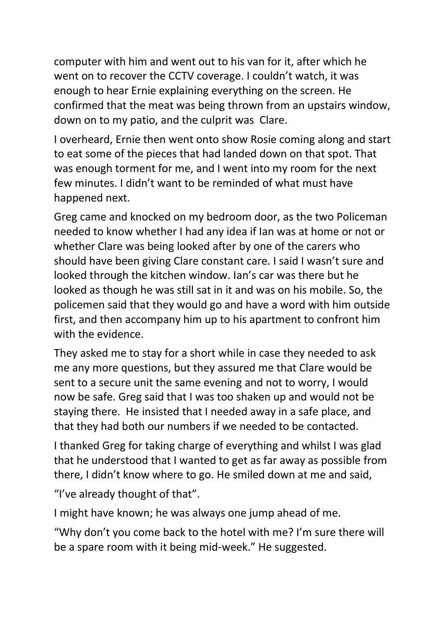computer with him and went out to his van for it, after which he went on to recover the CCTV coverage. I couldn't watch, it was enough to hear Ernie explaining everything on the screen. He confirmed that the meat was being thrown from an upstairs window, down on to my patio, and the culprit was Clare.

I overheard, Ernie then went onto show Rosie coming along and start to eat some of the pieces that had landed down on that spot. That was enough torment for me, and I went into my room for the next few minutes. I didn't want to be reminded of what must have happened next.

Greg came and knocked on my bedroom door, as the two Policeman needed to know whether I had any idea if Ian was at home or not or whether Clare was being looked after by one of the carers who should have been giving Clare constant care. I said I wasn't sure and looked through the kitchen window. Ian's car was there but he looked as though he was still sat in it and was on his mobile. So, the policemen said that they would go and have a word with him outside first, and then accompany him up to his apartment to confront him with the evidence.

They asked me to stay for a short while in case they needed to ask me any more questions, but they assured me that Clare would be sent to a secure unit the same evening and not to worry, I would now be safe. Greg said that I was too shaken up and would not be staying there. He insisted that I needed away in a safe place, and that they had both our numbers if we needed to be contacted.

I thanked Greg for taking charge of everything and whilst I was glad that he understood that I wanted to get as far away as possible from there, I didn't know where to go. He smiled down at me and said,

"I've already thought of that".

I might have known; he was always one jump ahead of me.

"Why don't you come back to the hotel with me? I'm sure there will be a spare room with it being mid-week." He suggested.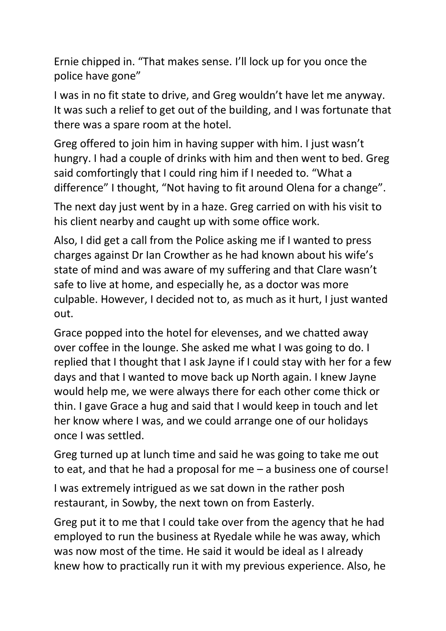Ernie chipped in. "That makes sense. I'll lock up for you once the police have gone"

I was in no fit state to drive, and Greg wouldn't have let me anyway. It was such a relief to get out of the building, and I was fortunate that there was a spare room at the hotel.

Greg offered to join him in having supper with him. I just wasn't hungry. I had a couple of drinks with him and then went to bed. Greg said comfortingly that I could ring him if I needed to. "What a difference" I thought, "Not having to fit around Olena for a change".

The next day just went by in a haze. Greg carried on with his visit to his client nearby and caught up with some office work.

Also, I did get a call from the Police asking me if I wanted to press charges against Dr Ian Crowther as he had known about his wife's state of mind and was aware of my suffering and that Clare wasn't safe to live at home, and especially he, as a doctor was more culpable. However, I decided not to, as much as it hurt, I just wanted out.

Grace popped into the hotel for elevenses, and we chatted away over coffee in the lounge. She asked me what I was going to do. I replied that I thought that I ask Jayne if I could stay with her for a few days and that I wanted to move back up North again. I knew Jayne would help me, we were always there for each other come thick or thin. I gave Grace a hug and said that I would keep in touch and let her know where I was, and we could arrange one of our holidays once I was settled.

Greg turned up at lunch time and said he was going to take me out to eat, and that he had a proposal for me – a business one of course!

I was extremely intrigued as we sat down in the rather posh restaurant, in Sowby, the next town on from Easterly.

Greg put it to me that I could take over from the agency that he had employed to run the business at Ryedale while he was away, which was now most of the time. He said it would be ideal as I already knew how to practically run it with my previous experience. Also, he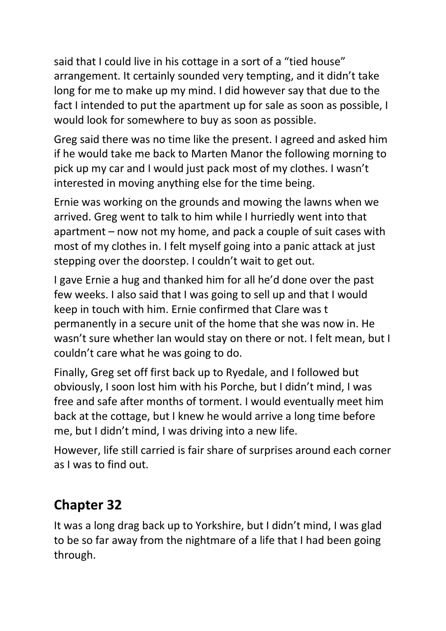said that I could live in his cottage in a sort of a "tied house" arrangement. It certainly sounded very tempting, and it didn't take long for me to make up my mind. I did however say that due to the fact I intended to put the apartment up for sale as soon as possible, I would look for somewhere to buy as soon as possible.

Greg said there was no time like the present. I agreed and asked him if he would take me back to Marten Manor the following morning to pick up my car and I would just pack most of my clothes. I wasn't interested in moving anything else for the time being.

Ernie was working on the grounds and mowing the lawns when we arrived. Greg went to talk to him while I hurriedly went into that apartment – now not my home, and pack a couple of suit cases with most of my clothes in. I felt myself going into a panic attack at just stepping over the doorstep. I couldn't wait to get out.

I gave Ernie a hug and thanked him for all he'd done over the past few weeks. I also said that I was going to sell up and that I would keep in touch with him. Ernie confirmed that Clare was t permanently in a secure unit of the home that she was now in. He wasn't sure whether Ian would stay on there or not. I felt mean, but I couldn't care what he was going to do.

Finally, Greg set off first back up to Ryedale, and I followed but obviously, I soon lost him with his Porche, but I didn't mind, I was free and safe after months of torment. I would eventually meet him back at the cottage, but I knew he would arrive a long time before me, but I didn't mind, I was driving into a new life.

However, life still carried is fair share of surprises around each corner as I was to find out.

## **Chapter 32**

It was a long drag back up to Yorkshire, but I didn't mind, I was glad to be so far away from the nightmare of a life that I had been going through.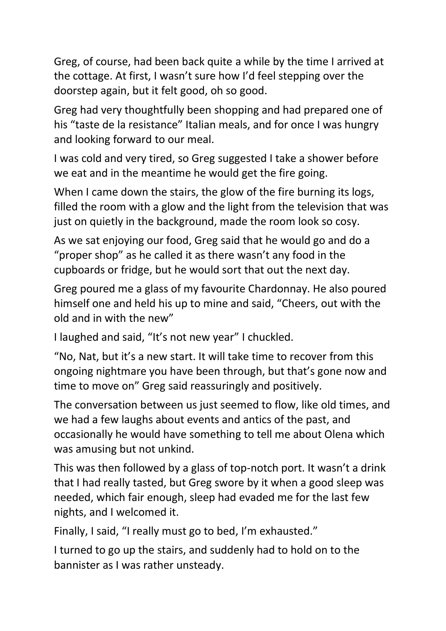Greg, of course, had been back quite a while by the time I arrived at the cottage. At first, I wasn't sure how I'd feel stepping over the doorstep again, but it felt good, oh so good.

Greg had very thoughtfully been shopping and had prepared one of his "taste de la resistance" Italian meals, and for once I was hungry and looking forward to our meal.

I was cold and very tired, so Greg suggested I take a shower before we eat and in the meantime he would get the fire going.

When I came down the stairs, the glow of the fire burning its logs, filled the room with a glow and the light from the television that was just on quietly in the background, made the room look so cosy.

As we sat enjoying our food, Greg said that he would go and do a "proper shop" as he called it as there wasn't any food in the cupboards or fridge, but he would sort that out the next day.

Greg poured me a glass of my favourite Chardonnay. He also poured himself one and held his up to mine and said, "Cheers, out with the old and in with the new"

I laughed and said, "It's not new year" I chuckled.

"No, Nat, but it's a new start. It will take time to recover from this ongoing nightmare you have been through, but that's gone now and time to move on" Greg said reassuringly and positively.

The conversation between us just seemed to flow, like old times, and we had a few laughs about events and antics of the past, and occasionally he would have something to tell me about Olena which was amusing but not unkind.

This was then followed by a glass of top-notch port. It wasn't a drink that I had really tasted, but Greg swore by it when a good sleep was needed, which fair enough, sleep had evaded me for the last few nights, and I welcomed it.

Finally, I said, "I really must go to bed, I'm exhausted."

I turned to go up the stairs, and suddenly had to hold on to the bannister as I was rather unsteady.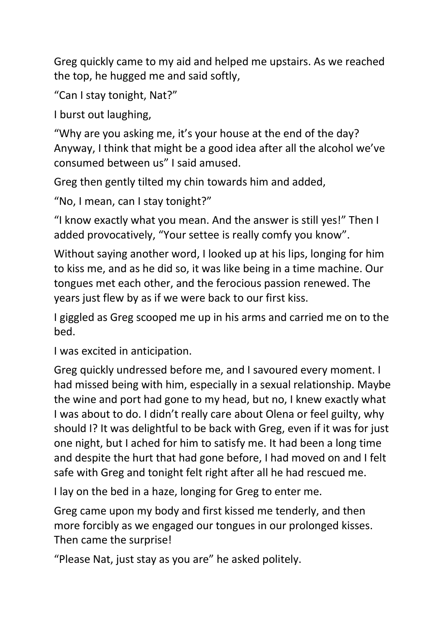Greg quickly came to my aid and helped me upstairs. As we reached the top, he hugged me and said softly,

"Can I stay tonight, Nat?"

I burst out laughing,

"Why are you asking me, it's your house at the end of the day? Anyway, I think that might be a good idea after all the alcohol we've consumed between us" I said amused.

Greg then gently tilted my chin towards him and added,

"No, I mean, can I stay tonight?"

"I know exactly what you mean. And the answer is still yes!" Then I added provocatively, "Your settee is really comfy you know".

Without saying another word, I looked up at his lips, longing for him to kiss me, and as he did so, it was like being in a time machine. Our tongues met each other, and the ferocious passion renewed. The years just flew by as if we were back to our first kiss.

I giggled as Greg scooped me up in his arms and carried me on to the bed.

I was excited in anticipation.

Greg quickly undressed before me, and I savoured every moment. I had missed being with him, especially in a sexual relationship. Maybe the wine and port had gone to my head, but no, I knew exactly what I was about to do. I didn't really care about Olena or feel guilty, why should I? It was delightful to be back with Greg, even if it was for just one night, but I ached for him to satisfy me. It had been a long time and despite the hurt that had gone before, I had moved on and I felt safe with Greg and tonight felt right after all he had rescued me.

I lay on the bed in a haze, longing for Greg to enter me.

Greg came upon my body and first kissed me tenderly, and then more forcibly as we engaged our tongues in our prolonged kisses. Then came the surprise!

"Please Nat, just stay as you are" he asked politely.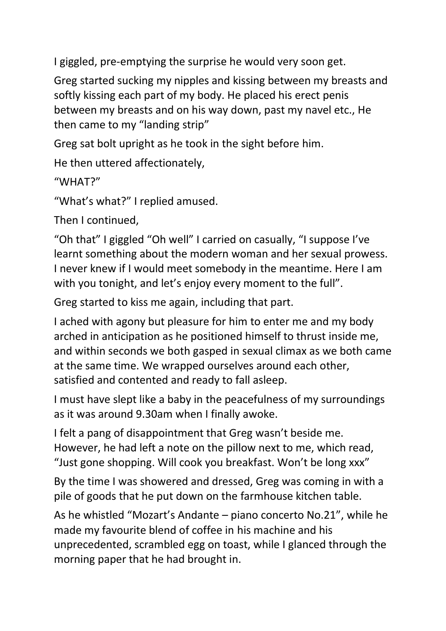I giggled, pre-emptying the surprise he would very soon get.

Greg started sucking my nipples and kissing between my breasts and softly kissing each part of my body. He placed his erect penis between my breasts and on his way down, past my navel etc., He then came to my "landing strip"

Greg sat bolt upright as he took in the sight before him.

He then uttered affectionately,

"WHAT?"

"What's what?" I replied amused.

Then I continued,

"Oh that" I giggled "Oh well" I carried on casually, "I suppose I've learnt something about the modern woman and her sexual prowess. I never knew if I would meet somebody in the meantime. Here I am with you tonight, and let's enjoy every moment to the full".

Greg started to kiss me again, including that part.

I ached with agony but pleasure for him to enter me and my body arched in anticipation as he positioned himself to thrust inside me, and within seconds we both gasped in sexual climax as we both came at the same time. We wrapped ourselves around each other, satisfied and contented and ready to fall asleep.

I must have slept like a baby in the peacefulness of my surroundings as it was around 9.30am when I finally awoke.

I felt a pang of disappointment that Greg wasn't beside me. However, he had left a note on the pillow next to me, which read, "Just gone shopping. Will cook you breakfast. Won't be long xxx"

By the time I was showered and dressed, Greg was coming in with a pile of goods that he put down on the farmhouse kitchen table.

As he whistled "Mozart's Andante – piano concerto No.21", while he made my favourite blend of coffee in his machine and his unprecedented, scrambled egg on toast, while I glanced through the morning paper that he had brought in.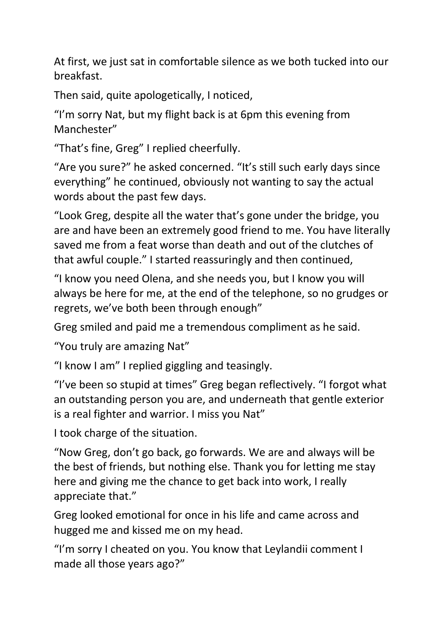At first, we just sat in comfortable silence as we both tucked into our breakfast.

Then said, quite apologetically, I noticed,

"I'm sorry Nat, but my flight back is at 6pm this evening from Manchester"

"That's fine, Greg" I replied cheerfully.

"Are you sure?" he asked concerned. "It's still such early days since everything" he continued, obviously not wanting to say the actual words about the past few days.

"Look Greg, despite all the water that's gone under the bridge, you are and have been an extremely good friend to me. You have literally saved me from a feat worse than death and out of the clutches of that awful couple." I started reassuringly and then continued,

"I know you need Olena, and she needs you, but I know you will always be here for me, at the end of the telephone, so no grudges or regrets, we've both been through enough"

Greg smiled and paid me a tremendous compliment as he said.

"You truly are amazing Nat"

"I know I am" I replied giggling and teasingly.

"I've been so stupid at times" Greg began reflectively. "I forgot what an outstanding person you are, and underneath that gentle exterior is a real fighter and warrior. I miss you Nat"

I took charge of the situation.

"Now Greg, don't go back, go forwards. We are and always will be the best of friends, but nothing else. Thank you for letting me stay here and giving me the chance to get back into work, I really appreciate that."

Greg looked emotional for once in his life and came across and hugged me and kissed me on my head.

"I'm sorry I cheated on you. You know that Leylandii comment I made all those years ago?"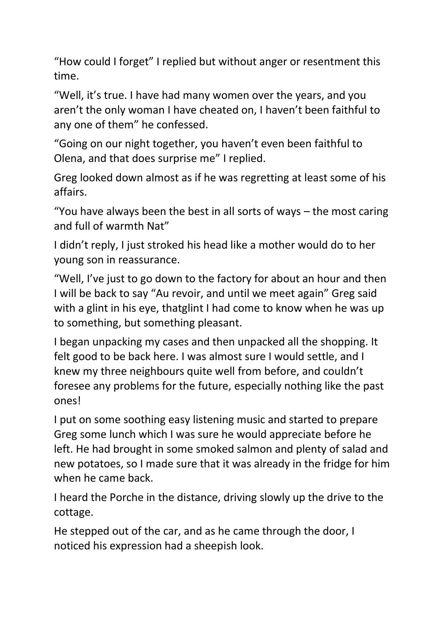"How could I forget" I replied but without anger or resentment this time.

"Well, it's true. I have had many women over the years, and you aren't the only woman I have cheated on, I haven't been faithful to any one of them" he confessed.

"Going on our night together, you haven't even been faithful to Olena, and that does surprise me" I replied.

Greg looked down almost as if he was regretting at least some of his affairs.

"You have always been the best in all sorts of ways – the most caring and full of warmth Nat"

I didn't reply, I just stroked his head like a mother would do to her young son in reassurance.

"Well, I've just to go down to the factory for about an hour and then I will be back to say "Au revoir, and until we meet again" Greg said with a glint in his eye, thatglint I had come to know when he was up to something, but something pleasant.

I began unpacking my cases and then unpacked all the shopping. It felt good to be back here. I was almost sure I would settle, and I knew my three neighbours quite well from before, and couldn't foresee any problems for the future, especially nothing like the past ones!

I put on some soothing easy listening music and started to prepare Greg some lunch which I was sure he would appreciate before he left. He had brought in some smoked salmon and plenty of salad and new potatoes, so I made sure that it was already in the fridge for him when he came back.

I heard the Porche in the distance, driving slowly up the drive to the cottage.

He stepped out of the car, and as he came through the door, I noticed his expression had a sheepish look.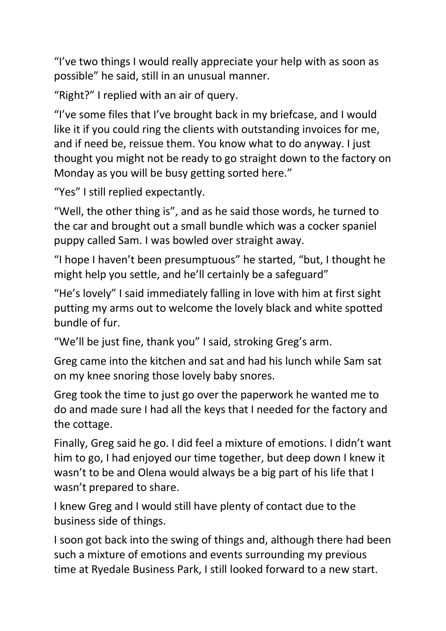"I've two things I would really appreciate your help with as soon as possible" he said, still in an unusual manner.

"Right?" I replied with an air of query.

"I've some files that I've brought back in my briefcase, and I would like it if you could ring the clients with outstanding invoices for me, and if need be, reissue them. You know what to do anyway. I just thought you might not be ready to go straight down to the factory on Monday as you will be busy getting sorted here."

"Yes" I still replied expectantly.

"Well, the other thing is", and as he said those words, he turned to the car and brought out a small bundle which was a cocker spaniel puppy called Sam. I was bowled over straight away.

"I hope I haven't been presumptuous" he started, "but, I thought he might help you settle, and he'll certainly be a safeguard"

"He's lovely" I said immediately falling in love with him at first sight putting my arms out to welcome the lovely black and white spotted bundle of fur.

"We'll be just fine, thank you" I said, stroking Greg's arm.

Greg came into the kitchen and sat and had his lunch while Sam sat on my knee snoring those lovely baby snores.

Greg took the time to just go over the paperwork he wanted me to do and made sure I had all the keys that I needed for the factory and the cottage.

Finally, Greg said he go. I did feel a mixture of emotions. I didn't want him to go, I had enjoyed our time together, but deep down I knew it wasn't to be and Olena would always be a big part of his life that I wasn't prepared to share.

I knew Greg and I would still have plenty of contact due to the business side of things.

I soon got back into the swing of things and, although there had been such a mixture of emotions and events surrounding my previous time at Ryedale Business Park, I still looked forward to a new start.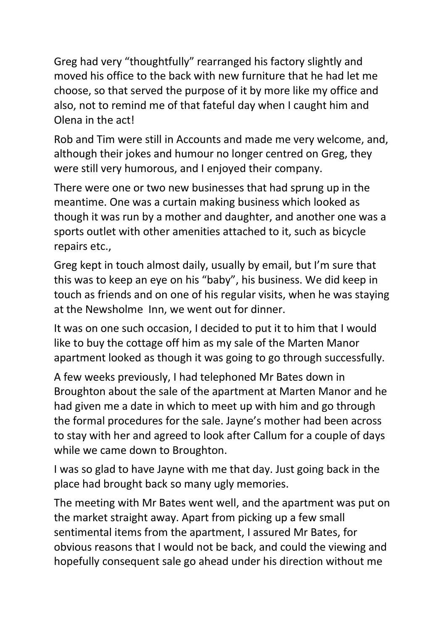Greg had very "thoughtfully" rearranged his factory slightly and moved his office to the back with new furniture that he had let me choose, so that served the purpose of it by more like my office and also, not to remind me of that fateful day when I caught him and Olena in the act!

Rob and Tim were still in Accounts and made me very welcome, and, although their jokes and humour no longer centred on Greg, they were still very humorous, and I enjoyed their company.

There were one or two new businesses that had sprung up in the meantime. One was a curtain making business which looked as though it was run by a mother and daughter, and another one was a sports outlet with other amenities attached to it, such as bicycle repairs etc.,

Greg kept in touch almost daily, usually by email, but I'm sure that this was to keep an eye on his "baby", his business. We did keep in touch as friends and on one of his regular visits, when he was staying at the Newsholme Inn, we went out for dinner.

It was on one such occasion, I decided to put it to him that I would like to buy the cottage off him as my sale of the Marten Manor apartment looked as though it was going to go through successfully.

A few weeks previously, I had telephoned Mr Bates down in Broughton about the sale of the apartment at Marten Manor and he had given me a date in which to meet up with him and go through the formal procedures for the sale. Jayne's mother had been across to stay with her and agreed to look after Callum for a couple of days while we came down to Broughton.

I was so glad to have Jayne with me that day. Just going back in the place had brought back so many ugly memories.

The meeting with Mr Bates went well, and the apartment was put on the market straight away. Apart from picking up a few small sentimental items from the apartment, I assured Mr Bates, for obvious reasons that I would not be back, and could the viewing and hopefully consequent sale go ahead under his direction without me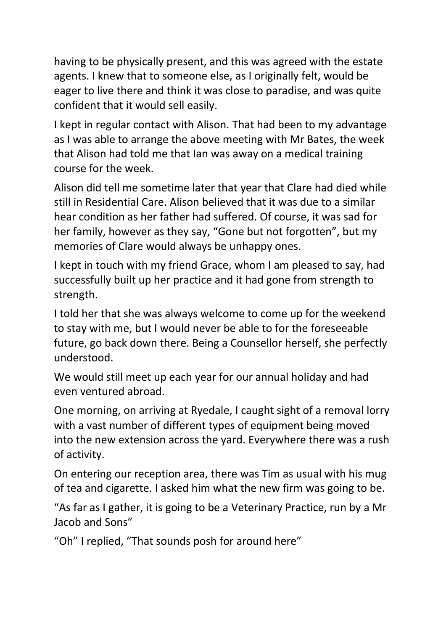having to be physically present, and this was agreed with the estate agents. I knew that to someone else, as I originally felt, would be eager to live there and think it was close to paradise, and was quite confident that it would sell easily.

I kept in regular contact with Alison. That had been to my advantage as I was able to arrange the above meeting with Mr Bates, the week that Alison had told me that Ian was away on a medical training course for the week.

Alison did tell me sometime later that year that Clare had died while still in Residential Care. Alison believed that it was due to a similar hear condition as her father had suffered. Of course, it was sad for her family, however as they say, "Gone but not forgotten", but my memories of Clare would always be unhappy ones.

I kept in touch with my friend Grace, whom I am pleased to say, had successfully built up her practice and it had gone from strength to strength.

I told her that she was always welcome to come up for the weekend to stay with me, but I would never be able to for the foreseeable future, go back down there. Being a Counsellor herself, she perfectly understood.

We would still meet up each year for our annual holiday and had even ventured abroad.

One morning, on arriving at Ryedale, I caught sight of a removal lorry with a vast number of different types of equipment being moved into the new extension across the yard. Everywhere there was a rush of activity.

On entering our reception area, there was Tim as usual with his mug of tea and cigarette. I asked him what the new firm was going to be.

"As far as I gather, it is going to be a Veterinary Practice, run by a Mr Jacob and Sons"

"Oh" I replied, "That sounds posh for around here"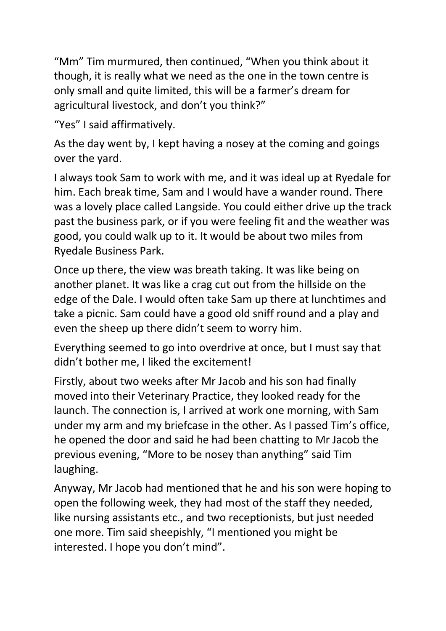"Mm" Tim murmured, then continued, "When you think about it though, it is really what we need as the one in the town centre is only small and quite limited, this will be a farmer's dream for agricultural livestock, and don't you think?"

"Yes" I said affirmatively.

As the day went by, I kept having a nosey at the coming and goings over the yard.

I always took Sam to work with me, and it was ideal up at Ryedale for him. Each break time, Sam and I would have a wander round. There was a lovely place called Langside. You could either drive up the track past the business park, or if you were feeling fit and the weather was good, you could walk up to it. It would be about two miles from Ryedale Business Park.

Once up there, the view was breath taking. It was like being on another planet. It was like a crag cut out from the hillside on the edge of the Dale. I would often take Sam up there at lunchtimes and take a picnic. Sam could have a good old sniff round and a play and even the sheep up there didn't seem to worry him.

Everything seemed to go into overdrive at once, but I must say that didn't bother me, I liked the excitement!

Firstly, about two weeks after Mr Jacob and his son had finally moved into their Veterinary Practice, they looked ready for the launch. The connection is, I arrived at work one morning, with Sam under my arm and my briefcase in the other. As I passed Tim's office, he opened the door and said he had been chatting to Mr Jacob the previous evening, "More to be nosey than anything" said Tim laughing.

Anyway, Mr Jacob had mentioned that he and his son were hoping to open the following week, they had most of the staff they needed, like nursing assistants etc., and two receptionists, but just needed one more. Tim said sheepishly, "I mentioned you might be interested. I hope you don't mind".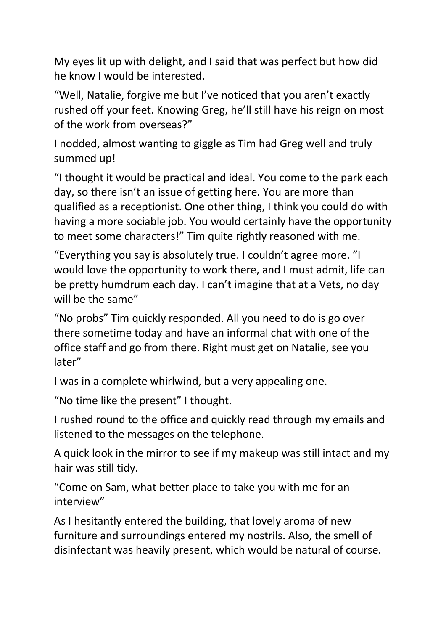My eyes lit up with delight, and I said that was perfect but how did he know I would be interested.

"Well, Natalie, forgive me but I've noticed that you aren't exactly rushed off your feet. Knowing Greg, he'll still have his reign on most of the work from overseas?"

I nodded, almost wanting to giggle as Tim had Greg well and truly summed up!

"I thought it would be practical and ideal. You come to the park each day, so there isn't an issue of getting here. You are more than qualified as a receptionist. One other thing, I think you could do with having a more sociable job. You would certainly have the opportunity to meet some characters!" Tim quite rightly reasoned with me.

"Everything you say is absolutely true. I couldn't agree more. "I would love the opportunity to work there, and I must admit, life can be pretty humdrum each day. I can't imagine that at a Vets, no day will be the same"

"No probs" Tim quickly responded. All you need to do is go over there sometime today and have an informal chat with one of the office staff and go from there. Right must get on Natalie, see you later"

I was in a complete whirlwind, but a very appealing one.

"No time like the present" I thought.

I rushed round to the office and quickly read through my emails and listened to the messages on the telephone.

A quick look in the mirror to see if my makeup was still intact and my hair was still tidy.

"Come on Sam, what better place to take you with me for an interview"

As I hesitantly entered the building, that lovely aroma of new furniture and surroundings entered my nostrils. Also, the smell of disinfectant was heavily present, which would be natural of course.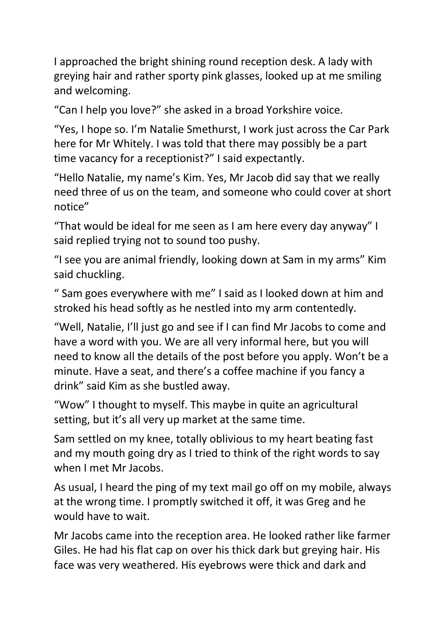I approached the bright shining round reception desk. A lady with greying hair and rather sporty pink glasses, looked up at me smiling and welcoming.

"Can I help you love?" she asked in a broad Yorkshire voice.

"Yes, I hope so. I'm Natalie Smethurst, I work just across the Car Park here for Mr Whitely. I was told that there may possibly be a part time vacancy for a receptionist?" I said expectantly.

"Hello Natalie, my name's Kim. Yes, Mr Jacob did say that we really need three of us on the team, and someone who could cover at short notice"

"That would be ideal for me seen as I am here every day anyway" I said replied trying not to sound too pushy.

"I see you are animal friendly, looking down at Sam in my arms" Kim said chuckling.

" Sam goes everywhere with me" I said as I looked down at him and stroked his head softly as he nestled into my arm contentedly.

"Well, Natalie, I'll just go and see if I can find Mr Jacobs to come and have a word with you. We are all very informal here, but you will need to know all the details of the post before you apply. Won't be a minute. Have a seat, and there's a coffee machine if you fancy a drink" said Kim as she bustled away.

"Wow" I thought to myself. This maybe in quite an agricultural setting, but it's all very up market at the same time.

Sam settled on my knee, totally oblivious to my heart beating fast and my mouth going dry as I tried to think of the right words to say when I met Mr Jacobs.

As usual, I heard the ping of my text mail go off on my mobile, always at the wrong time. I promptly switched it off, it was Greg and he would have to wait.

Mr Jacobs came into the reception area. He looked rather like farmer Giles. He had his flat cap on over his thick dark but greying hair. His face was very weathered. His eyebrows were thick and dark and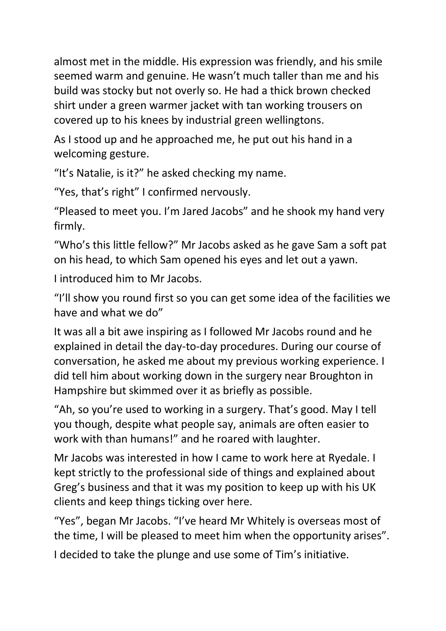almost met in the middle. His expression was friendly, and his smile seemed warm and genuine. He wasn't much taller than me and his build was stocky but not overly so. He had a thick brown checked shirt under a green warmer jacket with tan working trousers on covered up to his knees by industrial green wellingtons.

As I stood up and he approached me, he put out his hand in a welcoming gesture.

"It's Natalie, is it?" he asked checking my name.

"Yes, that's right" I confirmed nervously.

"Pleased to meet you. I'm Jared Jacobs" and he shook my hand very firmly.

"Who's this little fellow?" Mr Jacobs asked as he gave Sam a soft pat on his head, to which Sam opened his eyes and let out a yawn.

I introduced him to Mr Jacobs.

"I'll show you round first so you can get some idea of the facilities we have and what we do"

It was all a bit awe inspiring as I followed Mr Jacobs round and he explained in detail the day-to-day procedures. During our course of conversation, he asked me about my previous working experience. I did tell him about working down in the surgery near Broughton in Hampshire but skimmed over it as briefly as possible.

"Ah, so you're used to working in a surgery. That's good. May I tell you though, despite what people say, animals are often easier to work with than humans!" and he roared with laughter.

Mr Jacobs was interested in how I came to work here at Ryedale. I kept strictly to the professional side of things and explained about Greg's business and that it was my position to keep up with his UK clients and keep things ticking over here.

"Yes", began Mr Jacobs. "I've heard Mr Whitely is overseas most of the time, I will be pleased to meet him when the opportunity arises".

I decided to take the plunge and use some of Tim's initiative.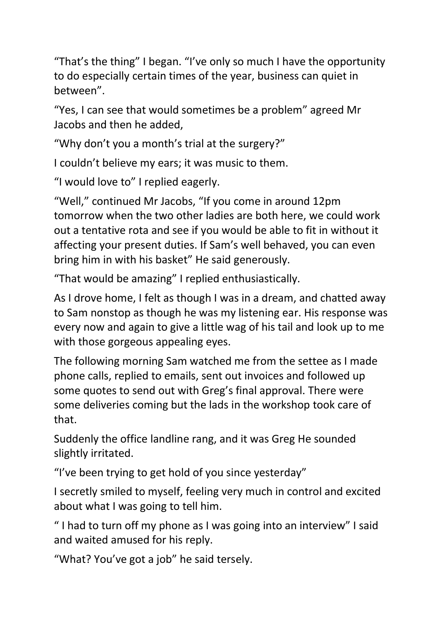"That's the thing" I began. "I've only so much I have the opportunity to do especially certain times of the year, business can quiet in between".

"Yes, I can see that would sometimes be a problem" agreed Mr Jacobs and then he added,

"Why don't you a month's trial at the surgery?"

I couldn't believe my ears; it was music to them.

"I would love to" I replied eagerly.

"Well," continued Mr Jacobs, "If you come in around 12pm tomorrow when the two other ladies are both here, we could work out a tentative rota and see if you would be able to fit in without it affecting your present duties. If Sam's well behaved, you can even bring him in with his basket" He said generously.

"That would be amazing" I replied enthusiastically.

As I drove home, I felt as though I was in a dream, and chatted away to Sam nonstop as though he was my listening ear. His response was every now and again to give a little wag of his tail and look up to me with those gorgeous appealing eyes.

The following morning Sam watched me from the settee as I made phone calls, replied to emails, sent out invoices and followed up some quotes to send out with Greg's final approval. There were some deliveries coming but the lads in the workshop took care of that.

Suddenly the office landline rang, and it was Greg He sounded slightly irritated.

"I've been trying to get hold of you since yesterday"

I secretly smiled to myself, feeling very much in control and excited about what I was going to tell him.

" I had to turn off my phone as I was going into an interview" I said and waited amused for his reply.

"What? You've got a job" he said tersely.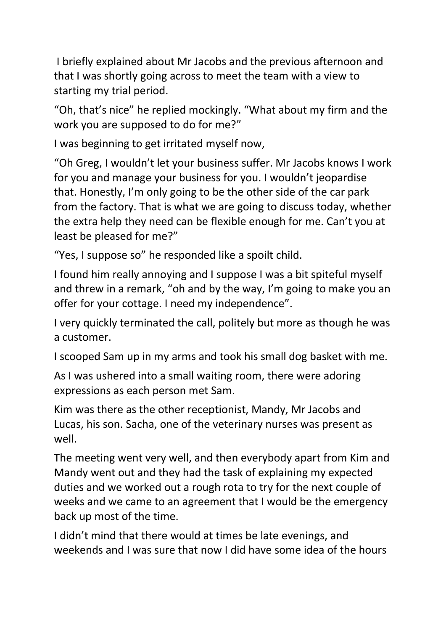I briefly explained about Mr Jacobs and the previous afternoon and that I was shortly going across to meet the team with a view to starting my trial period.

"Oh, that's nice" he replied mockingly. "What about my firm and the work you are supposed to do for me?"

I was beginning to get irritated myself now,

"Oh Greg, I wouldn't let your business suffer. Mr Jacobs knows I work for you and manage your business for you. I wouldn't jeopardise that. Honestly, I'm only going to be the other side of the car park from the factory. That is what we are going to discuss today, whether the extra help they need can be flexible enough for me. Can't you at least be pleased for me?"

"Yes, I suppose so" he responded like a spoilt child.

I found him really annoying and I suppose I was a bit spiteful myself and threw in a remark, "oh and by the way, I'm going to make you an offer for your cottage. I need my independence".

I very quickly terminated the call, politely but more as though he was a customer.

I scooped Sam up in my arms and took his small dog basket with me.

As I was ushered into a small waiting room, there were adoring expressions as each person met Sam.

Kim was there as the other receptionist, Mandy, Mr Jacobs and Lucas, his son. Sacha, one of the veterinary nurses was present as well.

The meeting went very well, and then everybody apart from Kim and Mandy went out and they had the task of explaining my expected duties and we worked out a rough rota to try for the next couple of weeks and we came to an agreement that I would be the emergency back up most of the time.

I didn't mind that there would at times be late evenings, and weekends and I was sure that now I did have some idea of the hours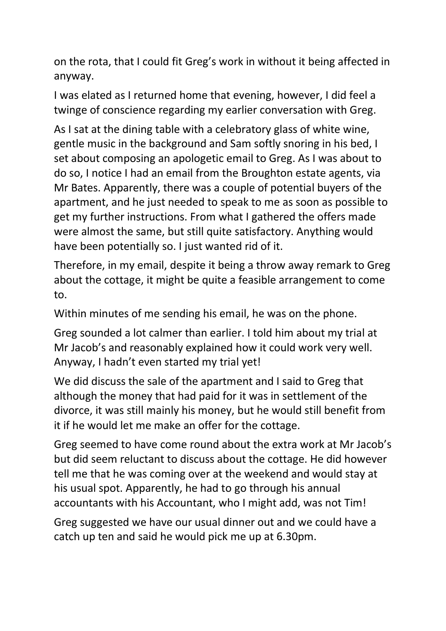on the rota, that I could fit Greg's work in without it being affected in anyway.

I was elated as I returned home that evening, however, I did feel a twinge of conscience regarding my earlier conversation with Greg.

As I sat at the dining table with a celebratory glass of white wine, gentle music in the background and Sam softly snoring in his bed, I set about composing an apologetic email to Greg. As I was about to do so, I notice I had an email from the Broughton estate agents, via Mr Bates. Apparently, there was a couple of potential buyers of the apartment, and he just needed to speak to me as soon as possible to get my further instructions. From what I gathered the offers made were almost the same, but still quite satisfactory. Anything would have been potentially so. I just wanted rid of it.

Therefore, in my email, despite it being a throw away remark to Greg about the cottage, it might be quite a feasible arrangement to come to.

Within minutes of me sending his email, he was on the phone.

Greg sounded a lot calmer than earlier. I told him about my trial at Mr Jacob's and reasonably explained how it could work very well. Anyway, I hadn't even started my trial yet!

We did discuss the sale of the apartment and I said to Greg that although the money that had paid for it was in settlement of the divorce, it was still mainly his money, but he would still benefit from it if he would let me make an offer for the cottage.

Greg seemed to have come round about the extra work at Mr Jacob's but did seem reluctant to discuss about the cottage. He did however tell me that he was coming over at the weekend and would stay at his usual spot. Apparently, he had to go through his annual accountants with his Accountant, who I might add, was not Tim!

Greg suggested we have our usual dinner out and we could have a catch up ten and said he would pick me up at 6.30pm.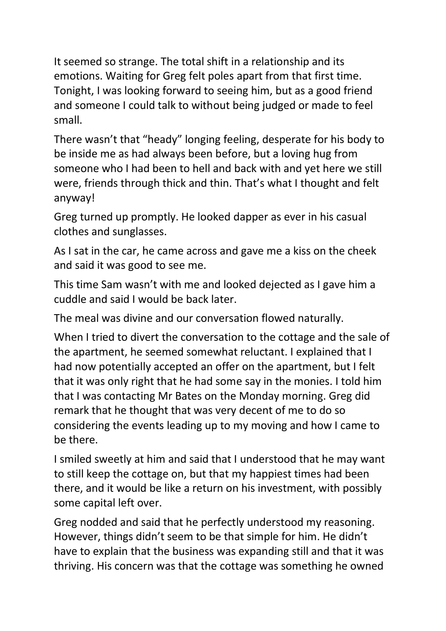It seemed so strange. The total shift in a relationship and its emotions. Waiting for Greg felt poles apart from that first time. Tonight, I was looking forward to seeing him, but as a good friend and someone I could talk to without being judged or made to feel small.

There wasn't that "heady" longing feeling, desperate for his body to be inside me as had always been before, but a loving hug from someone who I had been to hell and back with and yet here we still were, friends through thick and thin. That's what I thought and felt anyway!

Greg turned up promptly. He looked dapper as ever in his casual clothes and sunglasses.

As I sat in the car, he came across and gave me a kiss on the cheek and said it was good to see me.

This time Sam wasn't with me and looked dejected as I gave him a cuddle and said I would be back later.

The meal was divine and our conversation flowed naturally.

When I tried to divert the conversation to the cottage and the sale of the apartment, he seemed somewhat reluctant. I explained that I had now potentially accepted an offer on the apartment, but I felt that it was only right that he had some say in the monies. I told him that I was contacting Mr Bates on the Monday morning. Greg did remark that he thought that was very decent of me to do so considering the events leading up to my moving and how I came to be there.

I smiled sweetly at him and said that I understood that he may want to still keep the cottage on, but that my happiest times had been there, and it would be like a return on his investment, with possibly some capital left over.

Greg nodded and said that he perfectly understood my reasoning. However, things didn't seem to be that simple for him. He didn't have to explain that the business was expanding still and that it was thriving. His concern was that the cottage was something he owned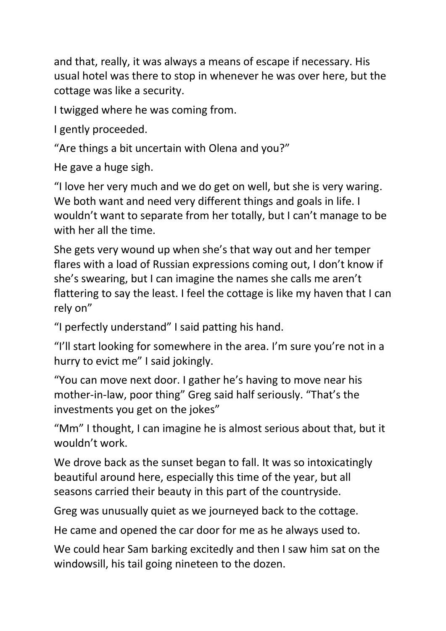and that, really, it was always a means of escape if necessary. His usual hotel was there to stop in whenever he was over here, but the cottage was like a security.

I twigged where he was coming from.

I gently proceeded.

"Are things a bit uncertain with Olena and you?"

He gave a huge sigh.

"I love her very much and we do get on well, but she is very waring. We both want and need very different things and goals in life. I wouldn't want to separate from her totally, but I can't manage to be with her all the time.

She gets very wound up when she's that way out and her temper flares with a load of Russian expressions coming out, I don't know if she's swearing, but I can imagine the names she calls me aren't flattering to say the least. I feel the cottage is like my haven that I can rely on"

"I perfectly understand" I said patting his hand.

"I'll start looking for somewhere in the area. I'm sure you're not in a hurry to evict me" I said jokingly.

"You can move next door. I gather he's having to move near his mother-in-law, poor thing" Greg said half seriously. "That's the investments you get on the jokes"

"Mm" I thought, I can imagine he is almost serious about that, but it wouldn't work.

We drove back as the sunset began to fall. It was so intoxicatingly beautiful around here, especially this time of the year, but all seasons carried their beauty in this part of the countryside.

Greg was unusually quiet as we journeyed back to the cottage.

He came and opened the car door for me as he always used to.

We could hear Sam barking excitedly and then I saw him sat on the windowsill, his tail going nineteen to the dozen.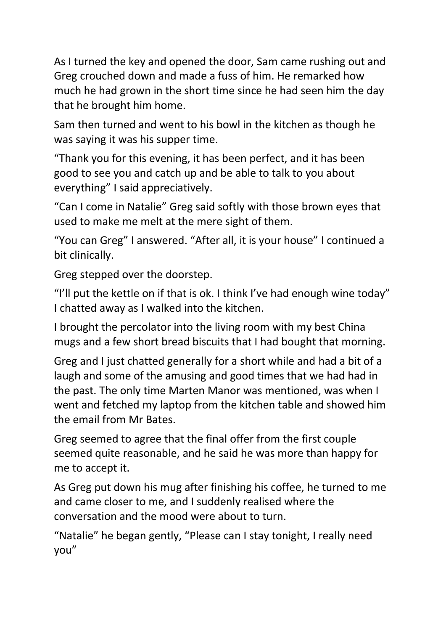As I turned the key and opened the door, Sam came rushing out and Greg crouched down and made a fuss of him. He remarked how much he had grown in the short time since he had seen him the day that he brought him home.

Sam then turned and went to his bowl in the kitchen as though he was saying it was his supper time.

"Thank you for this evening, it has been perfect, and it has been good to see you and catch up and be able to talk to you about everything" I said appreciatively.

"Can I come in Natalie" Greg said softly with those brown eyes that used to make me melt at the mere sight of them.

"You can Greg" I answered. "After all, it is your house" I continued a bit clinically.

Greg stepped over the doorstep.

"I'll put the kettle on if that is ok. I think I've had enough wine today" I chatted away as I walked into the kitchen.

I brought the percolator into the living room with my best China mugs and a few short bread biscuits that I had bought that morning.

Greg and I just chatted generally for a short while and had a bit of a laugh and some of the amusing and good times that we had had in the past. The only time Marten Manor was mentioned, was when I went and fetched my laptop from the kitchen table and showed him the email from Mr Bates.

Greg seemed to agree that the final offer from the first couple seemed quite reasonable, and he said he was more than happy for me to accept it.

As Greg put down his mug after finishing his coffee, he turned to me and came closer to me, and I suddenly realised where the conversation and the mood were about to turn.

"Natalie" he began gently, "Please can I stay tonight, I really need you"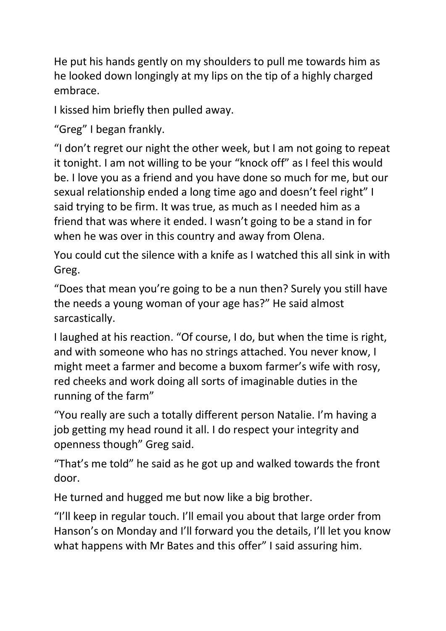He put his hands gently on my shoulders to pull me towards him as he looked down longingly at my lips on the tip of a highly charged embrace.

I kissed him briefly then pulled away.

"Greg" I began frankly.

"I don't regret our night the other week, but I am not going to repeat it tonight. I am not willing to be your "knock off" as I feel this would be. I love you as a friend and you have done so much for me, but our sexual relationship ended a long time ago and doesn't feel right" I said trying to be firm. It was true, as much as I needed him as a friend that was where it ended. I wasn't going to be a stand in for when he was over in this country and away from Olena.

You could cut the silence with a knife as I watched this all sink in with Greg.

"Does that mean you're going to be a nun then? Surely you still have the needs a young woman of your age has?" He said almost sarcastically.

I laughed at his reaction. "Of course, I do, but when the time is right, and with someone who has no strings attached. You never know, I might meet a farmer and become a buxom farmer's wife with rosy, red cheeks and work doing all sorts of imaginable duties in the running of the farm"

"You really are such a totally different person Natalie. I'm having a job getting my head round it all. I do respect your integrity and openness though" Greg said.

"That's me told" he said as he got up and walked towards the front door.

He turned and hugged me but now like a big brother.

"I'll keep in regular touch. I'll email you about that large order from Hanson's on Monday and I'll forward you the details, I'll let you know what happens with Mr Bates and this offer" I said assuring him.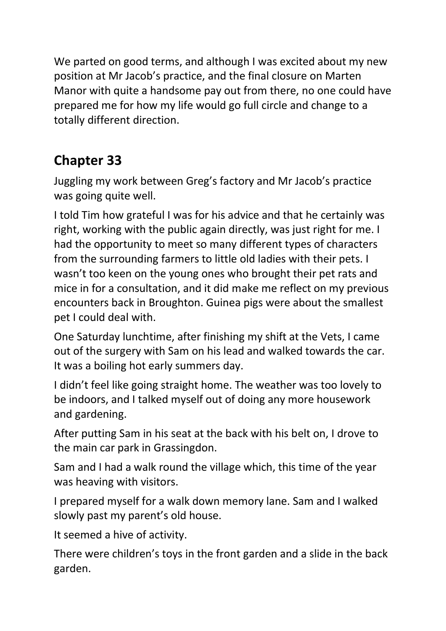We parted on good terms, and although I was excited about my new position at Mr Jacob's practice, and the final closure on Marten Manor with quite a handsome pay out from there, no one could have prepared me for how my life would go full circle and change to a totally different direction.

## **Chapter 33**

Juggling my work between Greg's factory and Mr Jacob's practice was going quite well.

I told Tim how grateful I was for his advice and that he certainly was right, working with the public again directly, was just right for me. I had the opportunity to meet so many different types of characters from the surrounding farmers to little old ladies with their pets. I wasn't too keen on the young ones who brought their pet rats and mice in for a consultation, and it did make me reflect on my previous encounters back in Broughton. Guinea pigs were about the smallest pet I could deal with.

One Saturday lunchtime, after finishing my shift at the Vets, I came out of the surgery with Sam on his lead and walked towards the car. It was a boiling hot early summers day.

I didn't feel like going straight home. The weather was too lovely to be indoors, and I talked myself out of doing any more housework and gardening.

After putting Sam in his seat at the back with his belt on, I drove to the main car park in Grassingdon.

Sam and I had a walk round the village which, this time of the year was heaving with visitors.

I prepared myself for a walk down memory lane. Sam and I walked slowly past my parent's old house.

It seemed a hive of activity.

There were children's toys in the front garden and a slide in the back garden.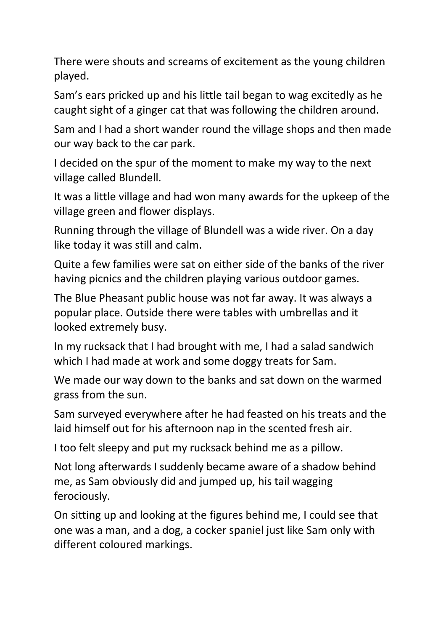There were shouts and screams of excitement as the young children played.

Sam's ears pricked up and his little tail began to wag excitedly as he caught sight of a ginger cat that was following the children around.

Sam and I had a short wander round the village shops and then made our way back to the car park.

I decided on the spur of the moment to make my way to the next village called Blundell.

It was a little village and had won many awards for the upkeep of the village green and flower displays.

Running through the village of Blundell was a wide river. On a day like today it was still and calm.

Quite a few families were sat on either side of the banks of the river having picnics and the children playing various outdoor games.

The Blue Pheasant public house was not far away. It was always a popular place. Outside there were tables with umbrellas and it looked extremely busy.

In my rucksack that I had brought with me, I had a salad sandwich which I had made at work and some doggy treats for Sam.

We made our way down to the banks and sat down on the warmed grass from the sun.

Sam surveyed everywhere after he had feasted on his treats and the laid himself out for his afternoon nap in the scented fresh air.

I too felt sleepy and put my rucksack behind me as a pillow.

Not long afterwards I suddenly became aware of a shadow behind me, as Sam obviously did and jumped up, his tail wagging ferociously.

On sitting up and looking at the figures behind me, I could see that one was a man, and a dog, a cocker spaniel just like Sam only with different coloured markings.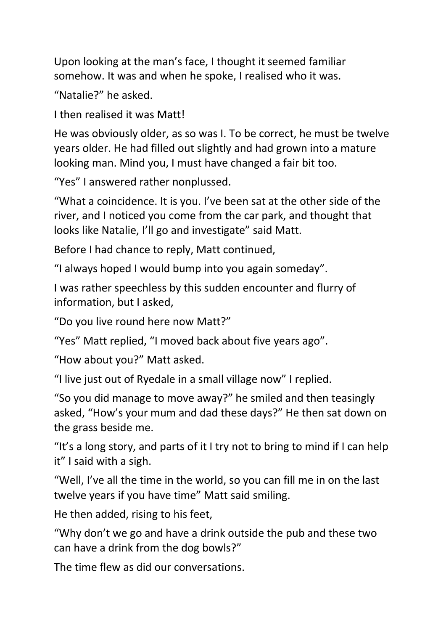Upon looking at the man's face, I thought it seemed familiar somehow. It was and when he spoke, I realised who it was.

"Natalie?" he asked.

I then realised it was Matt!

He was obviously older, as so was I. To be correct, he must be twelve years older. He had filled out slightly and had grown into a mature looking man. Mind you, I must have changed a fair bit too.

"Yes" I answered rather nonplussed.

"What a coincidence. It is you. I've been sat at the other side of the river, and I noticed you come from the car park, and thought that looks like Natalie, I'll go and investigate" said Matt.

Before I had chance to reply, Matt continued,

"I always hoped I would bump into you again someday".

I was rather speechless by this sudden encounter and flurry of information, but I asked,

"Do you live round here now Matt?"

"Yes" Matt replied, "I moved back about five years ago".

"How about you?" Matt asked.

"I live just out of Ryedale in a small village now" I replied.

"So you did manage to move away?" he smiled and then teasingly asked, "How's your mum and dad these days?" He then sat down on the grass beside me.

"It's a long story, and parts of it I try not to bring to mind if I can help it" I said with a sigh.

"Well, I've all the time in the world, so you can fill me in on the last twelve years if you have time" Matt said smiling.

He then added, rising to his feet,

"Why don't we go and have a drink outside the pub and these two can have a drink from the dog bowls?"

The time flew as did our conversations.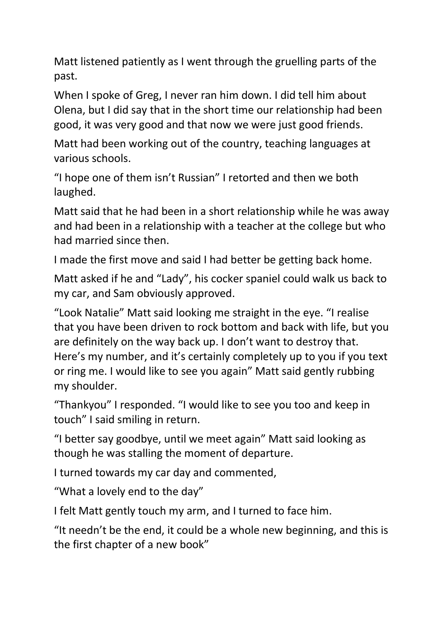Matt listened patiently as I went through the gruelling parts of the past.

When I spoke of Greg, I never ran him down. I did tell him about Olena, but I did say that in the short time our relationship had been good, it was very good and that now we were just good friends.

Matt had been working out of the country, teaching languages at various schools.

"I hope one of them isn't Russian" I retorted and then we both laughed.

Matt said that he had been in a short relationship while he was away and had been in a relationship with a teacher at the college but who had married since then.

I made the first move and said I had better be getting back home.

Matt asked if he and "Lady", his cocker spaniel could walk us back to my car, and Sam obviously approved.

"Look Natalie" Matt said looking me straight in the eye. "I realise that you have been driven to rock bottom and back with life, but you are definitely on the way back up. I don't want to destroy that. Here's my number, and it's certainly completely up to you if you text or ring me. I would like to see you again" Matt said gently rubbing my shoulder.

"Thankyou" I responded. "I would like to see you too and keep in touch" I said smiling in return.

"I better say goodbye, until we meet again" Matt said looking as though he was stalling the moment of departure.

I turned towards my car day and commented,

"What a lovely end to the day"

I felt Matt gently touch my arm, and I turned to face him.

"It needn't be the end, it could be a whole new beginning, and this is the first chapter of a new book"